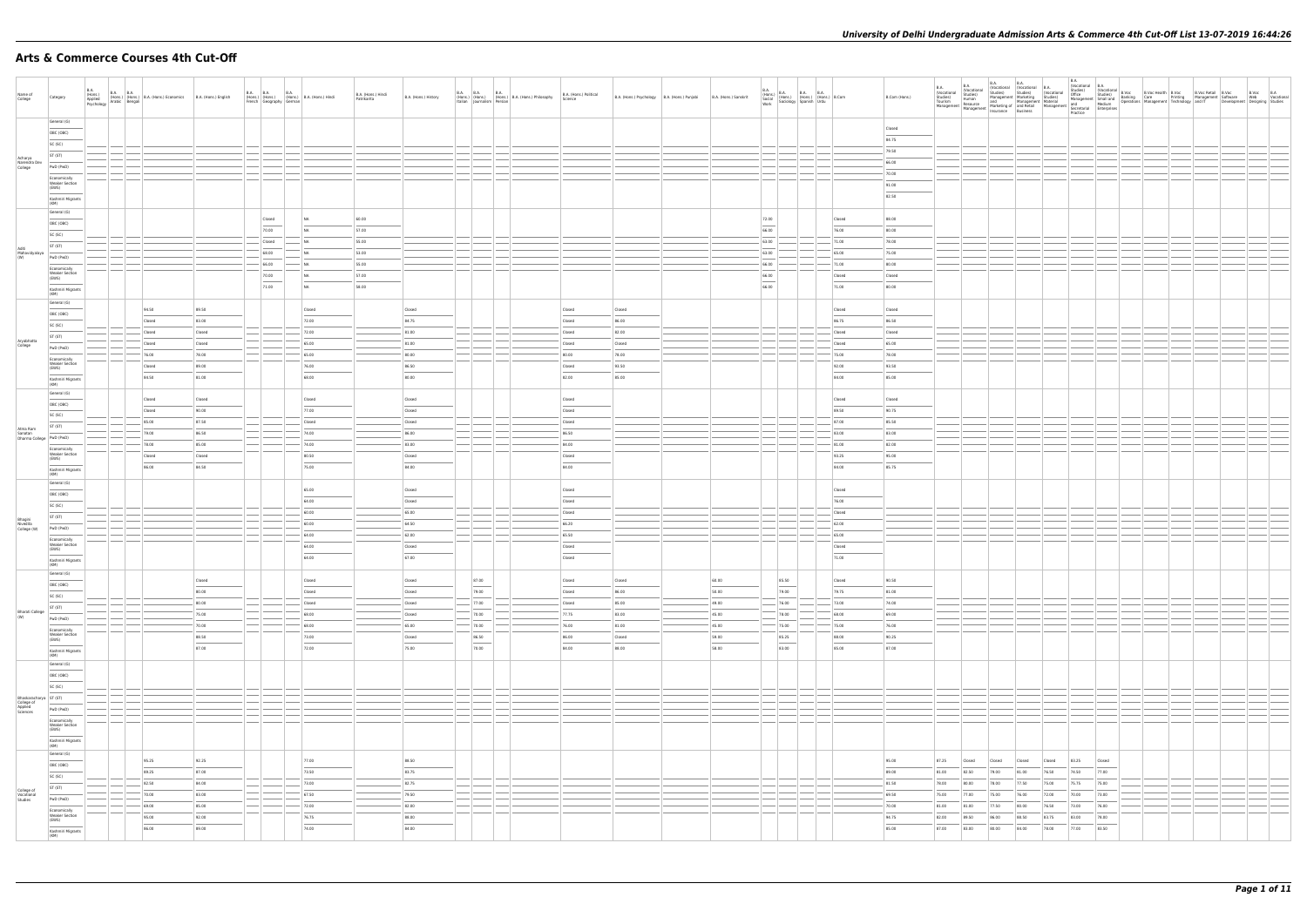# **Arts & Commerce Courses 4th Cut-Off**

| Name of<br>College                              | Category                                       | B.A.<br>(Hons.)<br>Applied | B.A. (Hons.) B.A. B.A. (Hons.) B.A. (Hons.) Economics<br>(Hons.) (Hons.) B.A. (Hons.) Economics<br>Psychology Arabic Bengali | B.A. (Hons.) English |        | B.A. B.A. (Hons.) (B.A. (Hons.) B.A. (Hons.) Hindi<br>French Geography German | B.A. (Hons.) Hindi<br>Patrikarita | B.A. (Hons.) History |                 | B.A. B.A. B.A. B.A. (Hons.)<br>(Hons.) (Hons.) (Hons.) B.A. (Hons.) Philosophy<br>Italian Journalism Persian | B.A. (Hons.) Political<br>Science | B.A. (Hons.) Psychology   B.A. (Hons.) Punjabi | B.A. (Hons.) Sanskrit | B.A. (Hons.) B.A. B.A. (Hons.) (Mons.) B.Com<br>Social (Hons.) (Hons.) (Hons.) B.Com<br>Work Sociology Spanish Urdu |                 | B.Com (Hons.)   |                |                                  |                |                |                |                |  |  | B.Voc B.A<br>Web Vocational<br>Development Designing Studies |
|-------------------------------------------------|------------------------------------------------|----------------------------|------------------------------------------------------------------------------------------------------------------------------|----------------------|--------|-------------------------------------------------------------------------------|-----------------------------------|----------------------|-----------------|--------------------------------------------------------------------------------------------------------------|-----------------------------------|------------------------------------------------|-----------------------|---------------------------------------------------------------------------------------------------------------------|-----------------|-----------------|----------------|----------------------------------|----------------|----------------|----------------|----------------|--|--|--------------------------------------------------------------|
|                                                 | General (G)                                    |                            |                                                                                                                              |                      |        |                                                                               |                                   |                      |                 |                                                                                                              |                                   |                                                |                       |                                                                                                                     |                 | Closed          |                |                                  |                |                |                |                |  |  |                                                              |
|                                                 | OBC (OBC)                                      |                            |                                                                                                                              |                      |        |                                                                               |                                   |                      |                 |                                                                                                              |                                   |                                                |                       |                                                                                                                     |                 | 84.75           |                |                                  |                |                |                |                |  |  |                                                              |
|                                                 | SC (SC)                                        |                            |                                                                                                                              |                      |        |                                                                               |                                   |                      |                 |                                                                                                              |                                   |                                                |                       |                                                                                                                     |                 | 79.50           |                |                                  |                |                |                |                |  |  |                                                              |
| Acharya<br>Narendra Dev<br>College              | ST (ST)                                        |                            |                                                                                                                              |                      |        |                                                                               |                                   |                      |                 |                                                                                                              |                                   |                                                |                       |                                                                                                                     |                 | 66.00           |                |                                  |                |                |                |                |  |  |                                                              |
|                                                 | PwD (PwD)                                      |                            |                                                                                                                              |                      |        |                                                                               |                                   |                      |                 |                                                                                                              |                                   |                                                |                       |                                                                                                                     |                 | 70.00           |                |                                  |                |                |                |                |  |  |                                                              |
|                                                 | Economically<br><b>Weaker Section</b><br>(EWS) |                            |                                                                                                                              |                      |        |                                                                               |                                   |                      |                 |                                                                                                              |                                   |                                                |                       |                                                                                                                     |                 | 91.00           |                |                                  |                |                |                |                |  |  |                                                              |
|                                                 | Kashmiri Migrants                              |                            |                                                                                                                              |                      |        |                                                                               |                                   |                      |                 |                                                                                                              |                                   |                                                |                       |                                                                                                                     |                 | 82.50           |                |                                  |                |                |                |                |  |  |                                                              |
|                                                 | (KM)                                           |                            |                                                                                                                              |                      |        |                                                                               |                                   |                      |                 |                                                                                                              |                                   |                                                |                       |                                                                                                                     |                 |                 |                |                                  |                |                |                |                |  |  |                                                              |
|                                                 | General (G)                                    |                            |                                                                                                                              |                      | Closed | NA                                                                            | 60.00                             |                      |                 |                                                                                                              |                                   |                                                |                       | 72.00                                                                                                               | Closed          | 88.00           |                |                                  |                |                |                |                |  |  |                                                              |
|                                                 | OBC (OBC)                                      |                            |                                                                                                                              |                      | 70.00  | NA                                                                            | 57.00                             |                      |                 |                                                                                                              |                                   |                                                |                       | 66.00                                                                                                               | 76.00           | 80.00           |                |                                  |                |                |                |                |  |  |                                                              |
|                                                 | SC (SC)                                        |                            |                                                                                                                              |                      | Closed | <b>NA</b>                                                                     | 55.00                             |                      |                 |                                                                                                              |                                   |                                                |                       | 63.00                                                                                                               | 71.00           | 78.00           |                |                                  |                |                |                |                |  |  |                                                              |
| Aditi<br>Mahavidyalaya<br>(W)                   | ST (ST)                                        |                            |                                                                                                                              |                      | 68.00  | NA                                                                            | 53.00                             |                      |                 |                                                                                                              |                                   |                                                |                       | 63.00                                                                                                               | 65.00           | 75.00           |                |                                  |                |                |                |                |  |  |                                                              |
|                                                 | PwD (PwD)                                      |                            |                                                                                                                              |                      | 66.00  | N <sub>A</sub>                                                                | 55.00                             |                      |                 |                                                                                                              |                                   |                                                |                       | 66.00                                                                                                               | 71.00           | 80.00           |                |                                  |                |                |                |                |  |  |                                                              |
|                                                 | Economically<br><b>Weaker Section</b>          |                            |                                                                                                                              |                      | 70.00  | <b>NA</b>                                                                     | 57.00                             |                      |                 |                                                                                                              |                                   |                                                |                       | 66.00                                                                                                               | Closed          | Closed          |                |                                  |                |                |                |                |  |  |                                                              |
|                                                 | (EWS)                                          |                            |                                                                                                                              |                      | 71.00  | NA                                                                            | 58.00                             |                      |                 |                                                                                                              |                                   |                                                |                       | 66.00                                                                                                               | 71.00           | 80.00           |                |                                  |                |                |                |                |  |  |                                                              |
|                                                 | Kashmiri Migrants<br>(KM)                      |                            |                                                                                                                              |                      |        |                                                                               |                                   |                      |                 |                                                                                                              |                                   |                                                |                       |                                                                                                                     |                 |                 |                |                                  |                |                |                |                |  |  |                                                              |
|                                                 | General (G)                                    |                            | 94.50                                                                                                                        | 89.50                |        | Closed                                                                        |                                   | Closed               |                 |                                                                                                              | Closed                            | Closed                                         |                       |                                                                                                                     | Closed          | Closed          |                |                                  |                |                |                |                |  |  |                                                              |
|                                                 | OBC (OBC)                                      |                            | Closed                                                                                                                       | 83.00                |        | 72.00                                                                         |                                   | 84.75                |                 |                                                                                                              | Closed                            | 86.00                                          |                       |                                                                                                                     | 86.75           | 86.50           |                |                                  |                |                |                |                |  |  |                                                              |
|                                                 | SC (SC)                                        |                            | Closed                                                                                                                       | Closed               |        | 72.00                                                                         |                                   | 81.00                |                 |                                                                                                              | Closed                            | 82.00                                          |                       |                                                                                                                     | Closed          | Closed          |                |                                  |                |                |                |                |  |  |                                                              |
| Aryabhatta                                      | ST (ST)                                        |                            | Closed                                                                                                                       | Closed               |        | 65.00                                                                         |                                   | 81.00                |                 |                                                                                                              | Closed                            | Closed                                         |                       |                                                                                                                     | Closed          | 65.00           |                |                                  |                |                |                |                |  |  |                                                              |
| College                                         | PwD (PwD)                                      |                            | 76.00                                                                                                                        | 78.00                |        | 65.00                                                                         |                                   | 80.00                |                 |                                                                                                              | 80.00                             | 78.00                                          |                       |                                                                                                                     | 75.00           | 78.00           |                |                                  |                |                |                |                |  |  |                                                              |
|                                                 | Economically<br><b>Weaker Section</b>          |                            | Closed                                                                                                                       | 89.00                |        | 76.00                                                                         |                                   | 86.50                |                 |                                                                                                              | Closed                            | 93.50                                          |                       |                                                                                                                     | 92.00           | 93.50           |                |                                  |                |                |                |                |  |  |                                                              |
|                                                 | (EWS)                                          |                            | 84.50                                                                                                                        | 81.00                |        | 68.00                                                                         |                                   | 80.00                |                 |                                                                                                              | 82.00                             | 85.00                                          |                       |                                                                                                                     | 84.00           | 85.00           |                |                                  |                |                |                |                |  |  |                                                              |
|                                                 | Kashmiri Migrants<br>(KM)                      |                            |                                                                                                                              |                      |        |                                                                               |                                   |                      |                 |                                                                                                              |                                   |                                                |                       |                                                                                                                     |                 |                 |                |                                  |                |                |                |                |  |  |                                                              |
|                                                 | General (G)                                    |                            |                                                                                                                              |                      |        |                                                                               |                                   |                      |                 |                                                                                                              |                                   |                                                |                       |                                                                                                                     |                 |                 |                |                                  |                |                |                |                |  |  |                                                              |
|                                                 | OBC (OBC)                                      |                            | Closed                                                                                                                       | Closed               |        | Closed<br>77.00                                                               |                                   | Closed               |                 |                                                                                                              | Closed                            |                                                |                       |                                                                                                                     | Closed<br>89.50 | Closed<br>90.75 |                |                                  |                |                |                |                |  |  |                                                              |
|                                                 | SC (SC)                                        |                            | Closed<br>85.00                                                                                                              | 90.00<br>87.50       |        | Closed                                                                        |                                   | Closed               |                 |                                                                                                              | Closed                            |                                                |                       |                                                                                                                     | 87.00           | 85.50           |                |                                  |                |                |                |                |  |  |                                                              |
| Atma Ram<br>Sanatan<br>Dharma College PwD (PwD) | ST (ST)                                        |                            | 79.00                                                                                                                        | 86.50                |        | 74.00                                                                         |                                   | Closed<br>86.00      |                 |                                                                                                              | Closed<br>86.50                   |                                                |                       |                                                                                                                     | 83.00           | 83.00           |                |                                  |                |                |                |                |  |  |                                                              |
|                                                 |                                                |                            | 78.00                                                                                                                        | 85.00                |        | 74.00                                                                         |                                   | 83.00                |                 |                                                                                                              | 84.00                             |                                                |                       |                                                                                                                     | 81.00           | 82.00           |                |                                  |                |                |                |                |  |  |                                                              |
|                                                 | Economically<br><b>Weaker Section</b>          |                            |                                                                                                                              |                      |        |                                                                               |                                   |                      |                 |                                                                                                              |                                   |                                                |                       |                                                                                                                     |                 |                 |                |                                  |                |                |                |                |  |  |                                                              |
|                                                 | (EWS)                                          |                            | Closed                                                                                                                       | Closed               |        | 80.50                                                                         |                                   | Closed               |                 |                                                                                                              | Closed                            |                                                |                       |                                                                                                                     | 93.25           | 95.00           |                |                                  |                |                |                |                |  |  |                                                              |
|                                                 | Kashmiri Migrants<br>(KM)                      |                            | 86.00                                                                                                                        | 84.50                |        | 75.00                                                                         |                                   | 84.00                |                 |                                                                                                              | 84.00                             |                                                |                       |                                                                                                                     | 84.00           | 85.75           |                |                                  |                |                |                |                |  |  |                                                              |
|                                                 | General (G)                                    |                            |                                                                                                                              |                      |        |                                                                               |                                   |                      |                 |                                                                                                              |                                   |                                                |                       |                                                                                                                     |                 |                 |                |                                  |                |                |                |                |  |  |                                                              |
|                                                 | OBC (OBC)                                      |                            |                                                                                                                              |                      |        | 65.00<br>64.00                                                                |                                   | Closed               |                 |                                                                                                              | Closed                            |                                                |                       |                                                                                                                     | Closed<br>76.00 |                 |                |                                  |                |                |                |                |  |  |                                                              |
|                                                 | SC (SC)                                        |                            |                                                                                                                              |                      |        |                                                                               |                                   | Closed               |                 |                                                                                                              | Closed                            |                                                |                       |                                                                                                                     |                 |                 |                |                                  |                |                |                |                |  |  |                                                              |
|                                                 | ST (ST)                                        |                            |                                                                                                                              |                      |        | 60.00<br>60.00                                                                |                                   | 65.00<br>64.50       |                 |                                                                                                              | Closed<br>66.20                   |                                                |                       |                                                                                                                     | Closed          |                 |                |                                  |                |                |                |                |  |  |                                                              |
| Bhagini<br>Nivedita<br>College (W)              | PwD (PwD)                                      |                            |                                                                                                                              |                      |        |                                                                               |                                   |                      |                 |                                                                                                              |                                   |                                                |                       |                                                                                                                     | 62.00           |                 |                |                                  |                |                |                |                |  |  |                                                              |
|                                                 | Economically                                   |                            |                                                                                                                              |                      |        | 64.00                                                                         |                                   | 62.00                |                 |                                                                                                              | 65.50                             |                                                |                       |                                                                                                                     | 65.00           |                 |                |                                  |                |                |                |                |  |  |                                                              |
|                                                 | Weaker Section<br>(EWS)                        |                            |                                                                                                                              |                      |        | 64.00                                                                         |                                   | Closed               |                 |                                                                                                              | Closed                            |                                                |                       |                                                                                                                     | Closed          |                 |                |                                  |                |                |                |                |  |  |                                                              |
|                                                 | Kashmiri Migrants<br>  (KM)                    |                            |                                                                                                                              |                      |        | 64.00                                                                         |                                   | 67.00                |                 |                                                                                                              | Closed                            |                                                |                       |                                                                                                                     | 71.00           |                 |                |                                  |                |                |                |                |  |  |                                                              |
|                                                 | General (G)                                    |                            |                                                                                                                              | Closed               |        | Closed                                                                        |                                   | Closed               | 87.00           |                                                                                                              | Closed                            | Closed                                         | 60.00                 | 85.50                                                                                                               | Closed          | 90.50           |                |                                  |                |                |                |                |  |  |                                                              |
|                                                 | OBC (OBC)                                      |                            |                                                                                                                              | 80.00                |        | Closed                                                                        |                                   | Closed               | 79.00           |                                                                                                              | Closed                            | 86.00                                          | 50.00                 | 79.00                                                                                                               | 79.75           | 81.00           |                |                                  |                |                |                |                |  |  |                                                              |
|                                                 | SC (SC)                                        |                            |                                                                                                                              | 80.00                |        | Closed                                                                        |                                   | Closed               | 77.00           |                                                                                                              | Closed                            | 85.00                                          | 49.00                 | 76.00                                                                                                               | 73.00           | 74.00           |                |                                  |                |                |                |                |  |  |                                                              |
| <b>Bharati College</b>                          | ST (ST)                                        |                            |                                                                                                                              | 75.00                |        | 68.00                                                                         |                                   | Closed               | 70.00           |                                                                                                              | 77.75                             | 83.00                                          | 45.00                 | 78.00                                                                                                               | 68.00           | 69.00           |                |                                  |                |                |                |                |  |  |                                                              |
| (W)                                             | PwD (PwD)                                      |                            |                                                                                                                              | 70.00                |        | 68.00                                                                         |                                   | 65.00                | $-70.00$        |                                                                                                              | 76.00                             | 81.00                                          | $-45.00$              | 75.00                                                                                                               | 75.00           | 76.00           |                |                                  |                |                |                |                |  |  |                                                              |
|                                                 | Economically<br><b>Weaker Section</b>          |                            |                                                                                                                              | 88.50                |        | 73.00                                                                         |                                   | Closed               | 86.50           |                                                                                                              | 86.00                             | Closed                                         | 59.00                 | 85.25                                                                                                               | 88.00           | 90.25           |                |                                  |                |                |                |                |  |  |                                                              |
|                                                 | (EWS)                                          |                            |                                                                                                                              | 87.00                |        | 72.00                                                                         |                                   | 75.00                | $\sim$<br>70.00 |                                                                                                              | $\frac{1}{2}$<br>84.00            | 88.00                                          | 58.00                 | $\sim$<br>83.00                                                                                                     | 85.00           | 87.00           |                |                                  |                |                |                |                |  |  |                                                              |
|                                                 | Kashmiri Migrants<br>(KM)                      |                            |                                                                                                                              |                      |        |                                                                               |                                   |                      |                 |                                                                                                              |                                   |                                                |                       |                                                                                                                     |                 |                 |                |                                  |                |                |                |                |  |  |                                                              |
|                                                 | General (G)                                    |                            |                                                                                                                              |                      |        |                                                                               |                                   |                      |                 |                                                                                                              |                                   |                                                |                       |                                                                                                                     |                 |                 |                |                                  |                |                |                |                |  |  |                                                              |
|                                                 | OBC (OBC)                                      |                            |                                                                                                                              |                      |        |                                                                               |                                   |                      |                 |                                                                                                              |                                   |                                                |                       |                                                                                                                     |                 |                 |                |                                  |                |                |                |                |  |  |                                                              |
|                                                 | SC (SC)                                        |                            |                                                                                                                              |                      |        |                                                                               |                                   |                      |                 |                                                                                                              |                                   |                                                |                       |                                                                                                                     |                 |                 |                |                                  |                |                |                |                |  |  |                                                              |
| Bhaskaracharya ST (ST)                          |                                                |                            |                                                                                                                              |                      |        |                                                                               |                                   |                      |                 |                                                                                                              |                                   |                                                |                       |                                                                                                                     |                 |                 |                |                                  |                |                |                |                |  |  |                                                              |
| College of<br>Applied<br>Sciences               | PwD (PwD)                                      |                            |                                                                                                                              |                      |        |                                                                               |                                   |                      |                 |                                                                                                              |                                   |                                                |                       |                                                                                                                     |                 |                 |                |                                  |                |                |                |                |  |  |                                                              |
|                                                 | Economically<br><b>Weaker Section</b>          |                            |                                                                                                                              |                      |        |                                                                               |                                   |                      |                 |                                                                                                              |                                   |                                                |                       |                                                                                                                     |                 |                 |                |                                  |                |                |                |                |  |  |                                                              |
|                                                 | (EWS)<br>$\sim$                                |                            |                                                                                                                              |                      |        |                                                                               |                                   |                      |                 |                                                                                                              |                                   |                                                |                       |                                                                                                                     |                 |                 |                |                                  |                |                |                |                |  |  |                                                              |
|                                                 | Kashmiri Migrants<br>(KM)                      |                            |                                                                                                                              |                      |        |                                                                               |                                   |                      |                 |                                                                                                              |                                   |                                                |                       |                                                                                                                     |                 |                 |                |                                  |                |                |                |                |  |  |                                                              |
|                                                 | General (G)                                    |                            | 95.25                                                                                                                        | 92.25                |        | 77.00                                                                         |                                   | 88.50                |                 |                                                                                                              |                                   |                                                |                       |                                                                                                                     |                 | 95.00           | 87.25          | Closed<br>Closed                 | Closed         | Closed         | 83.25          | Closed         |  |  |                                                              |
|                                                 | OBC (OBC)<br>$\overline{\phantom{a}}$          |                            | 89.25                                                                                                                        | 87.00                |        | 73.50                                                                         |                                   | 83.75                |                 |                                                                                                              |                                   |                                                |                       |                                                                                                                     |                 | 89.00           | 81.00          | 82.50<br>79.00                   | 81.00          | 76.50          | 74.50          | 77.00          |  |  |                                                              |
|                                                 | SC (SC)                                        |                            | 82.50                                                                                                                        | 84.00                |        | 73.00                                                                         |                                   | 82.75                |                 |                                                                                                              |                                   |                                                |                       |                                                                                                                     |                 | 81.50           | 78.00          | 80.00<br>78.00                   | 77.50          | 75.00          | 75.75          | 75.00          |  |  |                                                              |
| College of<br>Vocational<br>Studies             | ST (ST)                                        |                            | 70.00                                                                                                                        | 83.00                |        | 67.50                                                                         |                                   | 79.50                |                 |                                                                                                              |                                   |                                                |                       |                                                                                                                     |                 | 69.50           | 75.00          | 77.00<br>75.00                   |                | 72.00          | 70.00          |                |  |  |                                                              |
|                                                 | PwD (PwD)                                      |                            |                                                                                                                              |                      |        |                                                                               |                                   |                      |                 |                                                                                                              |                                   |                                                |                       |                                                                                                                     |                 |                 |                |                                  | 76.00          |                |                | 73.00          |  |  |                                                              |
|                                                 | Economically<br><b>Weaker Section</b>          |                            | 69.00                                                                                                                        | 85.00                |        | 72.00                                                                         |                                   | 82.00                |                 |                                                                                                              |                                   |                                                |                       |                                                                                                                     |                 | 70.00           | 81.00          | 81.00<br>77.50                   | 80.00          | 76.50<br>83.75 | 73.00          | 76.00          |  |  |                                                              |
|                                                 | (EWS)                                          |                            | 95.00<br>86.00                                                                                                               | 92.00<br>89.00       |        | 76.75<br>74.00                                                                |                                   | 88.00<br>84.00       |                 |                                                                                                              |                                   |                                                |                       |                                                                                                                     |                 | 94.75<br>85.00  | 82.00<br>87.00 | 89.50<br>86.00<br>83.00<br>80.00 | 88.50<br>84.00 | 78.00          | 83.00<br>77.00 | 78.00<br>83.50 |  |  |                                                              |
|                                                 | Kashmiri Migrants<br>(KM)                      |                            |                                                                                                                              |                      |        |                                                                               |                                   |                      |                 |                                                                                                              |                                   |                                                |                       |                                                                                                                     |                 |                 |                |                                  |                |                |                |                |  |  |                                                              |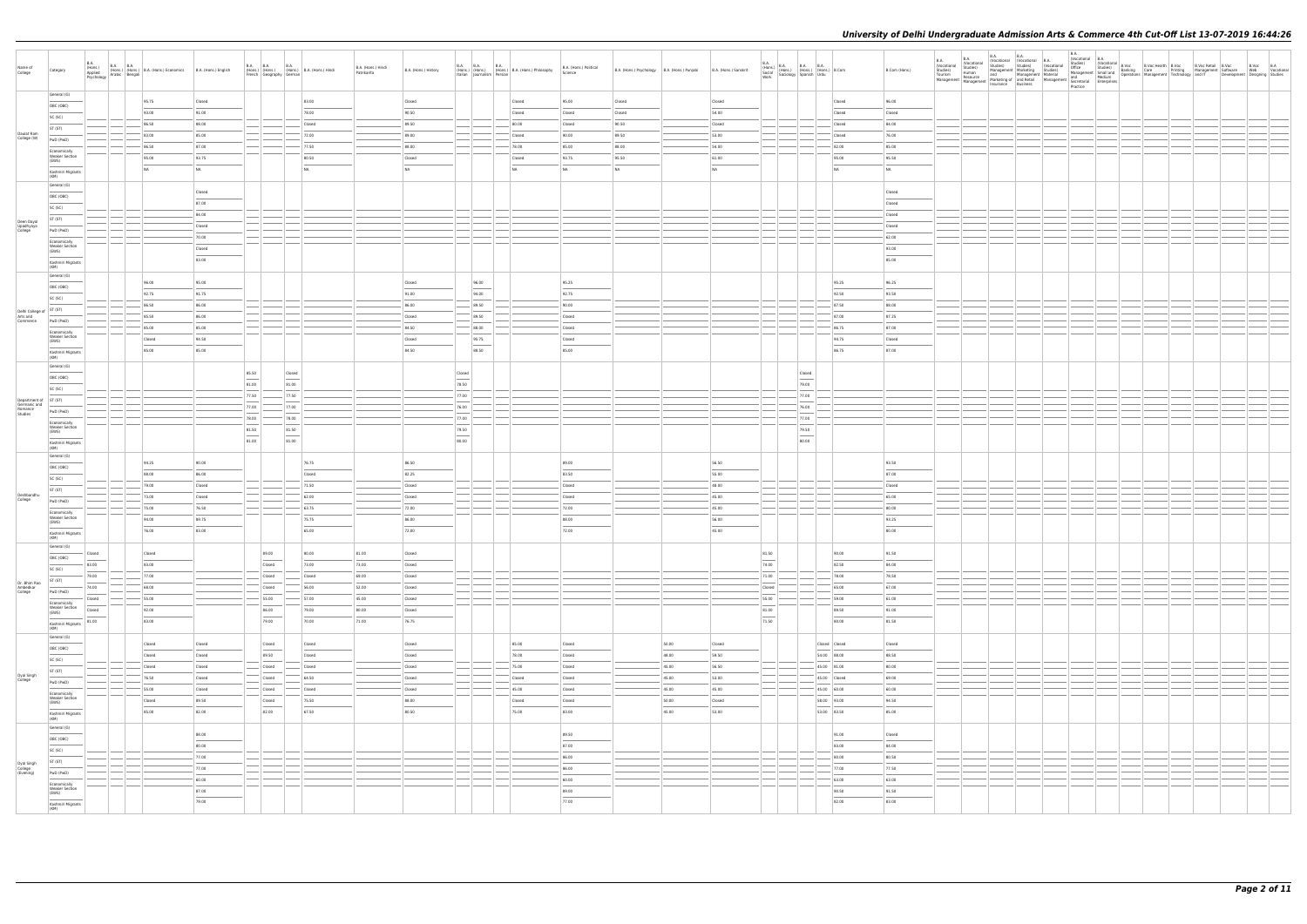|                                     |                                                | B.A.                                                                                                                                                                                                                                                                                                                                                                                                                                                                                |                                                             |                |       |                                      |                                                           |                                   |                      |                                                                                                                                                                                                                                                                                                                                                                                                                                                                                     |                                           |                                                 |                                   |                                              |       |                       |                                   |                                                                                                                  |                 | <b>B.A.</b> | <b>B.A.</b> | B.A. (Vocational B.A. (Vocational B.A. Studies) Studies) (Vocational B.A. |  | B.A.<br>(Vocational B.A. |  |  |                                                                                                                                                                                                                                |  |
|-------------------------------------|------------------------------------------------|-------------------------------------------------------------------------------------------------------------------------------------------------------------------------------------------------------------------------------------------------------------------------------------------------------------------------------------------------------------------------------------------------------------------------------------------------------------------------------------|-------------------------------------------------------------|----------------|-------|--------------------------------------|-----------------------------------------------------------|-----------------------------------|----------------------|-------------------------------------------------------------------------------------------------------------------------------------------------------------------------------------------------------------------------------------------------------------------------------------------------------------------------------------------------------------------------------------------------------------------------------------------------------------------------------------|-------------------------------------------|-------------------------------------------------|-----------------------------------|----------------------------------------------|-------|-----------------------|-----------------------------------|------------------------------------------------------------------------------------------------------------------|-----------------|-------------|-------------|---------------------------------------------------------------------------|--|--------------------------|--|--|--------------------------------------------------------------------------------------------------------------------------------------------------------------------------------------------------------------------------------|--|
| Name of<br>College                  | Category                                       | <b>B.A. B.A.</b><br>(Hons.)<br>Applied (Hons.)<br>Psychology Arabic Bengali                                                                                                                                                                                                                                                                                                                                                                                                         | (Hons.) (Hons.) B.A. (Hons.) Economics B.A. (Hons.) English |                |       | B.A. B.A.<br>French Geography German | <b>B.A.</b><br>(Hons.) (Hons.) (Hons.) B.A. (Hons.) Hindi | B.A. (Hons.) Hindi<br>Patrikarita | B.A. (Hons.) History | B.A. B.A.                                                                                                                                                                                                                                                                                                                                                                                                                                                                           | <b>B.A.</b><br>Italian Journalism Persian | (Hons.) (Hons.) (Hons.) B.A. (Hons.) Philosophy | B.A. (Hons.) Political<br>Science | B.A. (Hons.) Psychology B.A. (Hons.) Punjabi |       | B.A. (Hons.) Sanskrit |                                   | B.A. (Hons.) B.A. B.A. B.A. (Hons.) B.Com<br>Social (Hons.) (Hons.) (Hons.) B.Com<br>Work Sociology Spanish Urdu | B.Com (Hons.)   |             |             |                                                                           |  | Practice                 |  |  | B.A. Uncertained Studies) (Vocational B.A. Uncertained Studies) (Vocational Studies) (Washington Studies) (Washington Studies) (Washington Studies) (Washington Studies) (Washington Studies) (Washington Studies) (Washington |  |
|                                     | General (G)                                    |                                                                                                                                                                                                                                                                                                                                                                                                                                                                                     | 95.75                                                       | Closed         |       |                                      | 83.00                                                     |                                   | Closed               |                                                                                                                                                                                                                                                                                                                                                                                                                                                                                     |                                           | Closed                                          | 95.00                             | Closed                                       |       | Closed                |                                   | Closed                                                                                                           | 96.00           |             |             |                                                                           |  |                          |  |  |                                                                                                                                                                                                                                |  |
|                                     | OBC (OBC)                                      |                                                                                                                                                                                                                                                                                                                                                                                                                                                                                     | 93.00                                                       | 91.00          |       |                                      | 78.00                                                     |                                   | 90.50                |                                                                                                                                                                                                                                                                                                                                                                                                                                                                                     |                                           | Closed                                          | Closed                            | Closed                                       |       | 54.00                 |                                   | Closed                                                                                                           | Closed          |             |             |                                                                           |  |                          |  |  |                                                                                                                                                                                                                                |  |
|                                     | SC (SC)                                        |                                                                                                                                                                                                                                                                                                                                                                                                                                                                                     | 86.50                                                       | 88.00          |       |                                      | Closed                                                    |                                   | 89.50                |                                                                                                                                                                                                                                                                                                                                                                                                                                                                                     |                                           | 80.00                                           | Closed                            | 90.50                                        |       | Closed                |                                   | Closed                                                                                                           | 84.00           |             |             |                                                                           |  |                          |  |  |                                                                                                                                                                                                                                |  |
| Daulat Ram<br>College (W)           | ST (ST)                                        |                                                                                                                                                                                                                                                                                                                                                                                                                                                                                     | 83.00                                                       | 85.00          |       |                                      | 72.00                                                     |                                   | 89.00                |                                                                                                                                                                                                                                                                                                                                                                                                                                                                                     |                                           | Closed                                          | 90.00                             | 89.50                                        |       | 53.00                 |                                   | Closed                                                                                                           | 76.00           |             |             |                                                                           |  |                          |  |  |                                                                                                                                                                                                                                |  |
|                                     | PwD (PwD)                                      |                                                                                                                                                                                                                                                                                                                                                                                                                                                                                     | 86.50                                                       | 87.00          |       |                                      | 77.50                                                     |                                   | 88.00                |                                                                                                                                                                                                                                                                                                                                                                                                                                                                                     |                                           | 78.00                                           | 85.00                             | 88.00                                        |       | 54.00                 |                                   | 82.00                                                                                                            | 85.00           |             |             |                                                                           |  |                          |  |  |                                                                                                                                                                                                                                |  |
|                                     | Economically<br><b>Weaker Section</b><br>(EWS) |                                                                                                                                                                                                                                                                                                                                                                                                                                                                                     | 95.00                                                       | 93.75          |       |                                      | 80.50                                                     |                                   | Closed               |                                                                                                                                                                                                                                                                                                                                                                                                                                                                                     |                                           | Closed                                          | 93.75                             | 95.50                                        |       | 61.00                 |                                   | 95.00                                                                                                            | 95.50           |             |             |                                                                           |  |                          |  |  |                                                                                                                                                                                                                                |  |
|                                     |                                                |                                                                                                                                                                                                                                                                                                                                                                                                                                                                                     | NA                                                          | <b>NA</b>      |       |                                      | NA                                                        |                                   | N <sub>A</sub>       |                                                                                                                                                                                                                                                                                                                                                                                                                                                                                     |                                           | NA                                              | NA                                | NA                                           |       | NA                    |                                   | NA                                                                                                               | NA              |             |             |                                                                           |  |                          |  |  |                                                                                                                                                                                                                                |  |
|                                     | Kashmiri Migrants<br>(KM)                      |                                                                                                                                                                                                                                                                                                                                                                                                                                                                                     |                                                             |                |       |                                      |                                                           |                                   |                      |                                                                                                                                                                                                                                                                                                                                                                                                                                                                                     |                                           |                                                 |                                   |                                              |       |                       |                                   |                                                                                                                  |                 |             |             |                                                                           |  |                          |  |  |                                                                                                                                                                                                                                |  |
|                                     | General (G)                                    |                                                                                                                                                                                                                                                                                                                                                                                                                                                                                     |                                                             | Closed         |       |                                      |                                                           |                                   |                      |                                                                                                                                                                                                                                                                                                                                                                                                                                                                                     |                                           |                                                 |                                   |                                              |       |                       |                                   |                                                                                                                  | Closed          |             |             |                                                                           |  |                          |  |  |                                                                                                                                                                                                                                |  |
|                                     | OBC (OBC)                                      |                                                                                                                                                                                                                                                                                                                                                                                                                                                                                     |                                                             | 87.00          |       |                                      |                                                           |                                   |                      |                                                                                                                                                                                                                                                                                                                                                                                                                                                                                     |                                           |                                                 |                                   |                                              |       |                       |                                   |                                                                                                                  | Closed          |             |             |                                                                           |  |                          |  |  |                                                                                                                                                                                                                                |  |
|                                     | SC (SC)                                        |                                                                                                                                                                                                                                                                                                                                                                                                                                                                                     |                                                             | 84.00          |       |                                      |                                                           |                                   |                      |                                                                                                                                                                                                                                                                                                                                                                                                                                                                                     |                                           |                                                 |                                   |                                              |       |                       |                                   |                                                                                                                  | Closed          |             |             |                                                                           |  |                          |  |  |                                                                                                                                                                                                                                |  |
| Deen Dayal<br>Upadhyaya<br>College  | ST (ST)                                        |                                                                                                                                                                                                                                                                                                                                                                                                                                                                                     |                                                             | Closed         |       |                                      |                                                           |                                   |                      |                                                                                                                                                                                                                                                                                                                                                                                                                                                                                     |                                           |                                                 |                                   |                                              |       |                       |                                   |                                                                                                                  | Closed          |             |             |                                                                           |  |                          |  |  |                                                                                                                                                                                                                                |  |
|                                     | PwD (PwD)                                      |                                                                                                                                                                                                                                                                                                                                                                                                                                                                                     |                                                             | 70.00          |       |                                      |                                                           |                                   |                      |                                                                                                                                                                                                                                                                                                                                                                                                                                                                                     |                                           |                                                 |                                   |                                              |       |                       |                                   |                                                                                                                  | 62.00           |             |             |                                                                           |  |                          |  |  |                                                                                                                                                                                                                                |  |
|                                     | Economically<br><b>Weaker Section</b>          |                                                                                                                                                                                                                                                                                                                                                                                                                                                                                     |                                                             | Closed         |       |                                      |                                                           |                                   |                      |                                                                                                                                                                                                                                                                                                                                                                                                                                                                                     |                                           |                                                 |                                   |                                              |       |                       |                                   |                                                                                                                  | 93.00           |             |             |                                                                           |  |                          |  |  |                                                                                                                                                                                                                                |  |
|                                     | (EWS)                                          |                                                                                                                                                                                                                                                                                                                                                                                                                                                                                     |                                                             | 83.00          |       |                                      |                                                           |                                   |                      |                                                                                                                                                                                                                                                                                                                                                                                                                                                                                     |                                           |                                                 |                                   |                                              |       |                       |                                   |                                                                                                                  | 85.00           |             |             |                                                                           |  |                          |  |  |                                                                                                                                                                                                                                |  |
|                                     | Kashmiri Migrants<br>(KM)                      |                                                                                                                                                                                                                                                                                                                                                                                                                                                                                     |                                                             |                |       |                                      |                                                           |                                   |                      |                                                                                                                                                                                                                                                                                                                                                                                                                                                                                     |                                           |                                                 |                                   |                                              |       |                       |                                   |                                                                                                                  |                 |             |             |                                                                           |  |                          |  |  |                                                                                                                                                                                                                                |  |
|                                     | General (G)                                    |                                                                                                                                                                                                                                                                                                                                                                                                                                                                                     | 96.00                                                       | 95.00          |       |                                      |                                                           |                                   | Closed               |                                                                                                                                                                                                                                                                                                                                                                                                                                                                                     | 96.00                                     |                                                 | 95.25                             |                                              |       |                       |                                   | 95.25                                                                                                            | 96.25           |             |             |                                                                           |  |                          |  |  |                                                                                                                                                                                                                                |  |
|                                     | OBC (OBC)                                      |                                                                                                                                                                                                                                                                                                                                                                                                                                                                                     | 92.75                                                       | 91.75          |       |                                      |                                                           |                                   | 91.00                |                                                                                                                                                                                                                                                                                                                                                                                                                                                                                     | 94.00                                     |                                                 | 92.75                             |                                              |       |                       |                                   | 92.50                                                                                                            | 93.50           |             |             |                                                                           |  |                          |  |  |                                                                                                                                                                                                                                |  |
|                                     | SC (SC)                                        |                                                                                                                                                                                                                                                                                                                                                                                                                                                                                     |                                                             |                |       |                                      |                                                           |                                   |                      |                                                                                                                                                                                                                                                                                                                                                                                                                                                                                     |                                           |                                                 |                                   |                                              |       |                       |                                   |                                                                                                                  |                 |             |             |                                                                           |  |                          |  |  |                                                                                                                                                                                                                                |  |
| Delhi College of ST (ST)            |                                                |                                                                                                                                                                                                                                                                                                                                                                                                                                                                                     | 86.50                                                       | 86.00          |       |                                      |                                                           |                                   | 86.00                |                                                                                                                                                                                                                                                                                                                                                                                                                                                                                     | 89.50                                     |                                                 | 90.00                             |                                              |       |                       |                                   | 87.50                                                                                                            | 88.00           |             |             |                                                                           |  |                          |  |  |                                                                                                                                                                                                                                |  |
| Arts and<br>Commerce                | PwD (PwD)                                      |                                                                                                                                                                                                                                                                                                                                                                                                                                                                                     | 85.50                                                       | 86.00          |       |                                      |                                                           |                                   | Closed               |                                                                                                                                                                                                                                                                                                                                                                                                                                                                                     | 89.50                                     |                                                 | Closed                            |                                              |       |                       |                                   | 87.00                                                                                                            | 87.25           |             |             |                                                                           |  |                          |  |  |                                                                                                                                                                                                                                |  |
|                                     | Economically<br><b>Weaker Section</b>          |                                                                                                                                                                                                                                                                                                                                                                                                                                                                                     | 85.00                                                       | 85.00          |       |                                      |                                                           |                                   | 84.50                |                                                                                                                                                                                                                                                                                                                                                                                                                                                                                     | 88.00                                     |                                                 | Closed                            |                                              |       |                       |                                   | 86.75<br>94.75                                                                                                   | 87.00           |             |             |                                                                           |  |                          |  |  |                                                                                                                                                                                                                                |  |
|                                     | (EWS)                                          |                                                                                                                                                                                                                                                                                                                                                                                                                                                                                     | Closed<br>85.00                                             | 94.50<br>85.00 |       |                                      |                                                           |                                   | Closed<br>84.50      |                                                                                                                                                                                                                                                                                                                                                                                                                                                                                     | 95.75<br>88.50                            |                                                 | Closed<br>85.00                   |                                              |       |                       |                                   | 86.75                                                                                                            | Closed<br>87.00 |             |             |                                                                           |  |                          |  |  |                                                                                                                                                                                                                                |  |
|                                     | Kashmiri Migrants<br>(KM)                      |                                                                                                                                                                                                                                                                                                                                                                                                                                                                                     |                                                             |                |       |                                      |                                                           |                                   |                      |                                                                                                                                                                                                                                                                                                                                                                                                                                                                                     |                                           |                                                 |                                   |                                              |       |                       |                                   |                                                                                                                  |                 |             |             |                                                                           |  |                          |  |  |                                                                                                                                                                                                                                |  |
|                                     | General (G)                                    |                                                                                                                                                                                                                                                                                                                                                                                                                                                                                     |                                                             |                | 85.50 |                                      | Closed                                                    |                                   |                      | Closed                                                                                                                                                                                                                                                                                                                                                                                                                                                                              |                                           |                                                 |                                   |                                              |       |                       |                                   | Closed                                                                                                           |                 |             |             |                                                                           |  |                          |  |  |                                                                                                                                                                                                                                |  |
|                                     | OBC (OBC)                                      |                                                                                                                                                                                                                                                                                                                                                                                                                                                                                     |                                                             |                | 81.00 |                                      | 81.00                                                     |                                   |                      | $\frac{1}{2} \left( \frac{1}{2} \right) \left( \frac{1}{2} \right) \left( \frac{1}{2} \right) \left( \frac{1}{2} \right) \left( \frac{1}{2} \right) \left( \frac{1}{2} \right) \left( \frac{1}{2} \right) \left( \frac{1}{2} \right) \left( \frac{1}{2} \right) \left( \frac{1}{2} \right) \left( \frac{1}{2} \right) \left( \frac{1}{2} \right) \left( \frac{1}{2} \right) \left( \frac{1}{2} \right) \left( \frac{1}{2} \right) \left( \frac{1}{2} \right) \left( \frac$<br>78.50 |                                           |                                                 |                                   |                                              |       |                       |                                   | 79.00                                                                                                            |                 |             |             |                                                                           |  |                          |  |  |                                                                                                                                                                                                                                |  |
|                                     | SC (SC)                                        |                                                                                                                                                                                                                                                                                                                                                                                                                                                                                     |                                                             |                | 77.50 |                                      | 77.50                                                     |                                   |                      | 77.00                                                                                                                                                                                                                                                                                                                                                                                                                                                                               |                                           |                                                 |                                   |                                              |       |                       |                                   | 77.00                                                                                                            |                 |             |             |                                                                           |  |                          |  |  |                                                                                                                                                                                                                                |  |
| Department of ST (ST)               |                                                |                                                                                                                                                                                                                                                                                                                                                                                                                                                                                     |                                                             |                | 77.00 |                                      | 77.00                                                     |                                   |                      | 76.00                                                                                                                                                                                                                                                                                                                                                                                                                                                                               |                                           |                                                 |                                   |                                              |       |                       |                                   | 76.00                                                                                                            |                 |             |             |                                                                           |  |                          |  |  |                                                                                                                                                                                                                                |  |
| Germanic and<br>Romance<br>Studies  | PwD (PwD)                                      |                                                                                                                                                                                                                                                                                                                                                                                                                                                                                     |                                                             |                | 78.00 |                                      | 78.00                                                     |                                   |                      | 77.00                                                                                                                                                                                                                                                                                                                                                                                                                                                                               |                                           |                                                 |                                   |                                              |       |                       |                                   | 77.00                                                                                                            |                 |             |             |                                                                           |  |                          |  |  |                                                                                                                                                                                                                                |  |
|                                     | Economically<br><b>Weaker Section</b>          |                                                                                                                                                                                                                                                                                                                                                                                                                                                                                     |                                                             |                | 81.50 |                                      | 81.50                                                     |                                   |                      | 79.50                                                                                                                                                                                                                                                                                                                                                                                                                                                                               |                                           |                                                 |                                   |                                              |       |                       |                                   | 79.50                                                                                                            |                 |             |             |                                                                           |  |                          |  |  |                                                                                                                                                                                                                                |  |
|                                     | (EWS)                                          |                                                                                                                                                                                                                                                                                                                                                                                                                                                                                     |                                                             |                | 81.00 |                                      | 81.00                                                     |                                   |                      | 80.00                                                                                                                                                                                                                                                                                                                                                                                                                                                                               |                                           |                                                 |                                   |                                              |       |                       |                                   | 80.00                                                                                                            |                 |             |             |                                                                           |  |                          |  |  |                                                                                                                                                                                                                                |  |
|                                     | Kashmiri Migrants<br>(KM)                      |                                                                                                                                                                                                                                                                                                                                                                                                                                                                                     |                                                             |                |       |                                      |                                                           |                                   |                      |                                                                                                                                                                                                                                                                                                                                                                                                                                                                                     |                                           |                                                 |                                   |                                              |       |                       |                                   |                                                                                                                  |                 |             |             |                                                                           |  |                          |  |  |                                                                                                                                                                                                                                |  |
|                                     | General (G)                                    |                                                                                                                                                                                                                                                                                                                                                                                                                                                                                     | 94.25                                                       | 90.00          |       |                                      | 76.75                                                     |                                   | 86.50                |                                                                                                                                                                                                                                                                                                                                                                                                                                                                                     |                                           |                                                 | 89.00                             |                                              |       | 56.50                 |                                   |                                                                                                                  | 93.50           |             |             |                                                                           |  |                          |  |  |                                                                                                                                                                                                                                |  |
|                                     | OBC (OBC)                                      |                                                                                                                                                                                                                                                                                                                                                                                                                                                                                     | 88.00                                                       | 86.00          |       |                                      | Closed                                                    |                                   | 82.25                |                                                                                                                                                                                                                                                                                                                                                                                                                                                                                     |                                           |                                                 | 83.50                             |                                              |       | 55.00                 |                                   |                                                                                                                  | 87.00           |             |             |                                                                           |  |                          |  |  |                                                                                                                                                                                                                                |  |
|                                     | SC (SC)                                        |                                                                                                                                                                                                                                                                                                                                                                                                                                                                                     | 79.00                                                       | Closed         |       |                                      | 71.50                                                     |                                   | Closed               |                                                                                                                                                                                                                                                                                                                                                                                                                                                                                     |                                           |                                                 | Closed                            |                                              |       | 48.00                 |                                   |                                                                                                                  | Closed          |             |             |                                                                           |  |                          |  |  |                                                                                                                                                                                                                                |  |
| Deshbandhu                          | ST (ST)                                        |                                                                                                                                                                                                                                                                                                                                                                                                                                                                                     | 73.00                                                       | Closed         |       |                                      | 62.00                                                     |                                   | Closed               |                                                                                                                                                                                                                                                                                                                                                                                                                                                                                     |                                           |                                                 | Closed                            |                                              |       | 45.00                 |                                   |                                                                                                                  | 65.00           |             |             |                                                                           |  |                          |  |  |                                                                                                                                                                                                                                |  |
| College                             | PwD (PwD)                                      |                                                                                                                                                                                                                                                                                                                                                                                                                                                                                     | 75.00                                                       | 76.50          |       |                                      | 63.75                                                     |                                   | 72.00                |                                                                                                                                                                                                                                                                                                                                                                                                                                                                                     |                                           |                                                 | 72.00                             |                                              |       | 45.00                 |                                   |                                                                                                                  | 80.00           |             |             |                                                                           |  |                          |  |  |                                                                                                                                                                                                                                |  |
|                                     | Economically<br><b>Weaker Section</b>          |                                                                                                                                                                                                                                                                                                                                                                                                                                                                                     | 94.00                                                       | 89.75          |       |                                      | 75.75                                                     |                                   | 86.00                |                                                                                                                                                                                                                                                                                                                                                                                                                                                                                     |                                           |                                                 | 88.00                             |                                              |       | 56.00                 |                                   |                                                                                                                  | 93.25           |             |             |                                                                           |  |                          |  |  |                                                                                                                                                                                                                                |  |
|                                     | (EWS)                                          |                                                                                                                                                                                                                                                                                                                                                                                                                                                                                     | 76.00                                                       | 83.00          |       |                                      | 65.00                                                     |                                   | 72.00                |                                                                                                                                                                                                                                                                                                                                                                                                                                                                                     |                                           |                                                 | 72.00                             |                                              |       | 45.00                 |                                   |                                                                                                                  | 80.00           |             |             |                                                                           |  |                          |  |  |                                                                                                                                                                                                                                |  |
|                                     | Kashmiri Migrants<br>(KM)                      |                                                                                                                                                                                                                                                                                                                                                                                                                                                                                     |                                                             |                |       |                                      |                                                           |                                   |                      |                                                                                                                                                                                                                                                                                                                                                                                                                                                                                     |                                           |                                                 |                                   |                                              |       |                       |                                   |                                                                                                                  |                 |             |             |                                                                           |  |                          |  |  |                                                                                                                                                                                                                                |  |
|                                     | General (G)                                    | Closed                                                                                                                                                                                                                                                                                                                                                                                                                                                                              | Closed                                                      |                |       | 89.00                                | 80.00                                                     | 81.00                             | Closed               |                                                                                                                                                                                                                                                                                                                                                                                                                                                                                     |                                           |                                                 |                                   |                                              |       |                       | 81.50                             | 90.00                                                                                                            | 91.50           |             |             |                                                                           |  |                          |  |  |                                                                                                                                                                                                                                |  |
|                                     | OBC (OBC)                                      | $\frac{1}{2} \left( \frac{1}{2} \right) \left( \frac{1}{2} \right) \left( \frac{1}{2} \right) \left( \frac{1}{2} \right) \left( \frac{1}{2} \right) \left( \frac{1}{2} \right) \left( \frac{1}{2} \right) \left( \frac{1}{2} \right) \left( \frac{1}{2} \right) \left( \frac{1}{2} \right) \left( \frac{1}{2} \right) \left( \frac{1}{2} \right) \left( \frac{1}{2} \right) \left( \frac{1}{2} \right) \left( \frac{1}{2} \right) \left( \frac{1}{2} \right) \left( \frac$<br>83.00 | 83.00                                                       |                |       | Closed                               | 73.00                                                     | 73.00                             | Closed               |                                                                                                                                                                                                                                                                                                                                                                                                                                                                                     |                                           |                                                 |                                   |                                              |       |                       | $\overline{\phantom{a}}$<br>74.00 | 82.50                                                                                                            | 84.00           |             |             |                                                                           |  |                          |  |  |                                                                                                                                                                                                                                |  |
|                                     | SC (SC)                                        | 79.00                                                                                                                                                                                                                                                                                                                                                                                                                                                                               | 77.00                                                       |                |       | Closed                               | Closed                                                    | 69.00                             | Closed               |                                                                                                                                                                                                                                                                                                                                                                                                                                                                                     |                                           |                                                 |                                   |                                              |       |                       | 71.00                             | 78.00                                                                                                            | 78.50           |             |             |                                                                           |  |                          |  |  |                                                                                                                                                                                                                                |  |
| Dr. Bhim Rao<br>Ambedkar<br>College | ST (ST)                                        | 74.00                                                                                                                                                                                                                                                                                                                                                                                                                                                                               | 68.00                                                       |                |       | Closed                               | 56.00                                                     | 52.00                             | Closed               |                                                                                                                                                                                                                                                                                                                                                                                                                                                                                     |                                           |                                                 |                                   |                                              |       |                       | Closed                            | 65.00                                                                                                            | 67.00           |             |             |                                                                           |  |                          |  |  |                                                                                                                                                                                                                                |  |
|                                     | PwD (PwD)                                      | Closed                                                                                                                                                                                                                                                                                                                                                                                                                                                                              | 55.00                                                       |                |       | 55.00                                | 57.00                                                     | 45.00                             | Closed               | $\sim$                                                                                                                                                                                                                                                                                                                                                                                                                                                                              |                                           |                                                 |                                   |                                              |       |                       | 55.00                             | 59.00                                                                                                            | 61.00           |             |             |                                                                           |  |                          |  |  |                                                                                                                                                                                                                                |  |
|                                     | Economically<br><b>Weaker Section</b><br>(EWS) | Closed                                                                                                                                                                                                                                                                                                                                                                                                                                                                              | 92.00                                                       |                |       | 86.00                                | 79.00                                                     | 80.00                             | Closed               |                                                                                                                                                                                                                                                                                                                                                                                                                                                                                     |                                           |                                                 |                                   |                                              |       |                       | 81.00                             | 89.50                                                                                                            | 91.00           |             |             |                                                                           |  |                          |  |  |                                                                                                                                                                                                                                |  |
|                                     |                                                | 81.00                                                                                                                                                                                                                                                                                                                                                                                                                                                                               | 83.00                                                       |                |       | 79.00                                | 70.00                                                     | 71.00                             | 76.75                |                                                                                                                                                                                                                                                                                                                                                                                                                                                                                     |                                           |                                                 |                                   |                                              |       |                       | 71.50                             | 80.00                                                                                                            | 81.50           |             |             |                                                                           |  |                          |  |  |                                                                                                                                                                                                                                |  |
|                                     | Kashmiri Migrants<br>(KM)                      |                                                                                                                                                                                                                                                                                                                                                                                                                                                                                     |                                                             |                |       |                                      |                                                           |                                   |                      |                                                                                                                                                                                                                                                                                                                                                                                                                                                                                     |                                           |                                                 |                                   |                                              |       |                       |                                   |                                                                                                                  |                 |             |             |                                                                           |  |                          |  |  |                                                                                                                                                                                                                                |  |
|                                     | General (G)<br>OBC (OBC)                       |                                                                                                                                                                                                                                                                                                                                                                                                                                                                                     | Closed                                                      | Closed         |       | Closed                               | Closed                                                    |                                   | Closed               |                                                                                                                                                                                                                                                                                                                                                                                                                                                                                     |                                           | 85.00                                           | Closed                            |                                              | 50.00 | Closed                |                                   | Closed Closed                                                                                                    | Closed          |             |             |                                                                           |  |                          |  |  |                                                                                                                                                                                                                                |  |
|                                     | SC (SC)                                        |                                                                                                                                                                                                                                                                                                                                                                                                                                                                                     | $\frac{1}{2}$<br>Closed                                     | Closed         |       | $\sim$<br>89.50                      | $\frac{1}{2}$<br>Closed                                   |                                   | $\sim$<br>Closed     |                                                                                                                                                                                                                                                                                                                                                                                                                                                                                     |                                           | 78.00                                           | Closed                            |                                              | 48.00 | 59.50                 |                                   | 54.00 88.00                                                                                                      | 88.50           |             |             |                                                                           |  |                          |  |  |                                                                                                                                                                                                                                |  |
|                                     | ST (ST)                                        |                                                                                                                                                                                                                                                                                                                                                                                                                                                                                     | Closed                                                      | Closed         |       | Closed                               | Closed                                                    |                                   | Closed               |                                                                                                                                                                                                                                                                                                                                                                                                                                                                                     |                                           | 75.00                                           | Closed                            |                                              | 45.00 | 56.50                 |                                   | 45.00 81.00                                                                                                      | 80.00           |             |             |                                                                           |  |                          |  |  |                                                                                                                                                                                                                                |  |
| Dyal Singh<br>College               |                                                |                                                                                                                                                                                                                                                                                                                                                                                                                                                                                     | 76.50                                                       | Closed         |       | Closed                               | 64.50                                                     |                                   | Closed               |                                                                                                                                                                                                                                                                                                                                                                                                                                                                                     |                                           | Closed                                          | Closed                            |                                              | 45.00 | 53.00                 |                                   | 45.00 Closed                                                                                                     | 69.00           |             |             |                                                                           |  |                          |  |  |                                                                                                                                                                                                                                |  |
|                                     | PwD (PwD)                                      |                                                                                                                                                                                                                                                                                                                                                                                                                                                                                     | 55.00                                                       | Closed         |       | Closed                               | Closed                                                    |                                   | Closed               | $\sim$                                                                                                                                                                                                                                                                                                                                                                                                                                                                              |                                           | 45.00                                           | Closed                            |                                              | 45.00 | 45.00                 |                                   | 45.00 60.00                                                                                                      | 60.00           |             |             |                                                                           |  |                          |  |  |                                                                                                                                                                                                                                |  |
|                                     | Economically<br><b>Weaker Section</b><br>(EWS) |                                                                                                                                                                                                                                                                                                                                                                                                                                                                                     | Closed                                                      | 89.50          |       | Closed                               | 75.50                                                     |                                   | 88.00                |                                                                                                                                                                                                                                                                                                                                                                                                                                                                                     |                                           | Closed                                          | Closed                            |                                              | 50.00 | Closed                |                                   | 58.00 93.00                                                                                                      | 94.50           |             |             |                                                                           |  |                          |  |  |                                                                                                                                                                                                                                |  |
|                                     | Kashmiri Migrants                              |                                                                                                                                                                                                                                                                                                                                                                                                                                                                                     | 85.00                                                       | 82.00          |       | 82.00                                | 67.50                                                     |                                   | 80.50                |                                                                                                                                                                                                                                                                                                                                                                                                                                                                                     |                                           | 75.00                                           | 83.00                             |                                              | 45.00 | 53.00                 |                                   | 53.00 83.50                                                                                                      | 85.00           |             |             |                                                                           |  |                          |  |  |                                                                                                                                                                                                                                |  |
|                                     | (KM)<br>General (G)                            |                                                                                                                                                                                                                                                                                                                                                                                                                                                                                     |                                                             |                |       |                                      |                                                           |                                   |                      |                                                                                                                                                                                                                                                                                                                                                                                                                                                                                     |                                           |                                                 |                                   |                                              |       |                       |                                   |                                                                                                                  |                 |             |             |                                                                           |  |                          |  |  |                                                                                                                                                                                                                                |  |
|                                     |                                                |                                                                                                                                                                                                                                                                                                                                                                                                                                                                                     |                                                             | 88.00          |       |                                      |                                                           |                                   |                      |                                                                                                                                                                                                                                                                                                                                                                                                                                                                                     |                                           |                                                 | 89.50                             |                                              |       |                       |                                   | 91.00                                                                                                            | Closed          |             |             |                                                                           |  |                          |  |  |                                                                                                                                                                                                                                |  |
|                                     | OBC (OBC)<br>SC (SC)                           |                                                                                                                                                                                                                                                                                                                                                                                                                                                                                     |                                                             | 80.00          |       |                                      |                                                           |                                   |                      |                                                                                                                                                                                                                                                                                                                                                                                                                                                                                     |                                           |                                                 | $\overline{\phantom{a}}$<br>87.00 |                                              |       |                       |                                   | 83.00                                                                                                            | 84.00           |             |             |                                                                           |  |                          |  |  |                                                                                                                                                                                                                                |  |
|                                     |                                                |                                                                                                                                                                                                                                                                                                                                                                                                                                                                                     |                                                             | 77.00          |       |                                      |                                                           |                                   |                      |                                                                                                                                                                                                                                                                                                                                                                                                                                                                                     |                                           |                                                 | 86.00                             |                                              |       |                       |                                   | 80.00                                                                                                            | 80.50           |             |             |                                                                           |  |                          |  |  |                                                                                                                                                                                                                                |  |
| Dyal Singh<br>College<br>(Evening)  | ST (ST)                                        |                                                                                                                                                                                                                                                                                                                                                                                                                                                                                     |                                                             | 77.00          |       |                                      |                                                           |                                   |                      |                                                                                                                                                                                                                                                                                                                                                                                                                                                                                     |                                           |                                                 | 86.00                             |                                              |       |                       |                                   | 77.00                                                                                                            | 77.50           |             |             |                                                                           |  |                          |  |  |                                                                                                                                                                                                                                |  |
|                                     | PwD (PwD)                                      |                                                                                                                                                                                                                                                                                                                                                                                                                                                                                     |                                                             | 60.00          |       |                                      |                                                           |                                   |                      |                                                                                                                                                                                                                                                                                                                                                                                                                                                                                     |                                           |                                                 | 60.00                             |                                              |       |                       |                                   | 63.00                                                                                                            | 63.00           |             |             |                                                                           |  |                          |  |  |                                                                                                                                                                                                                                |  |
|                                     | Economically<br><b>Weaker Section</b><br>(EWS) |                                                                                                                                                                                                                                                                                                                                                                                                                                                                                     |                                                             | 87.00          |       |                                      |                                                           |                                   |                      |                                                                                                                                                                                                                                                                                                                                                                                                                                                                                     |                                           |                                                 | 89.00                             |                                              |       |                       |                                   | 90.50                                                                                                            | 91.50           |             |             |                                                                           |  |                          |  |  |                                                                                                                                                                                                                                |  |
|                                     |                                                |                                                                                                                                                                                                                                                                                                                                                                                                                                                                                     |                                                             | 79.00          |       |                                      |                                                           |                                   |                      |                                                                                                                                                                                                                                                                                                                                                                                                                                                                                     |                                           |                                                 | 77.00                             |                                              |       |                       |                                   | 82.00                                                                                                            | 83.00           |             |             |                                                                           |  |                          |  |  |                                                                                                                                                                                                                                |  |
|                                     | Kashmiri Migrants<br>(KM)                      |                                                                                                                                                                                                                                                                                                                                                                                                                                                                                     |                                                             |                |       |                                      |                                                           |                                   |                      |                                                                                                                                                                                                                                                                                                                                                                                                                                                                                     |                                           |                                                 |                                   |                                              |       |                       |                                   |                                                                                                                  |                 |             |             |                                                                           |  |                          |  |  |                                                                                                                                                                                                                                |  |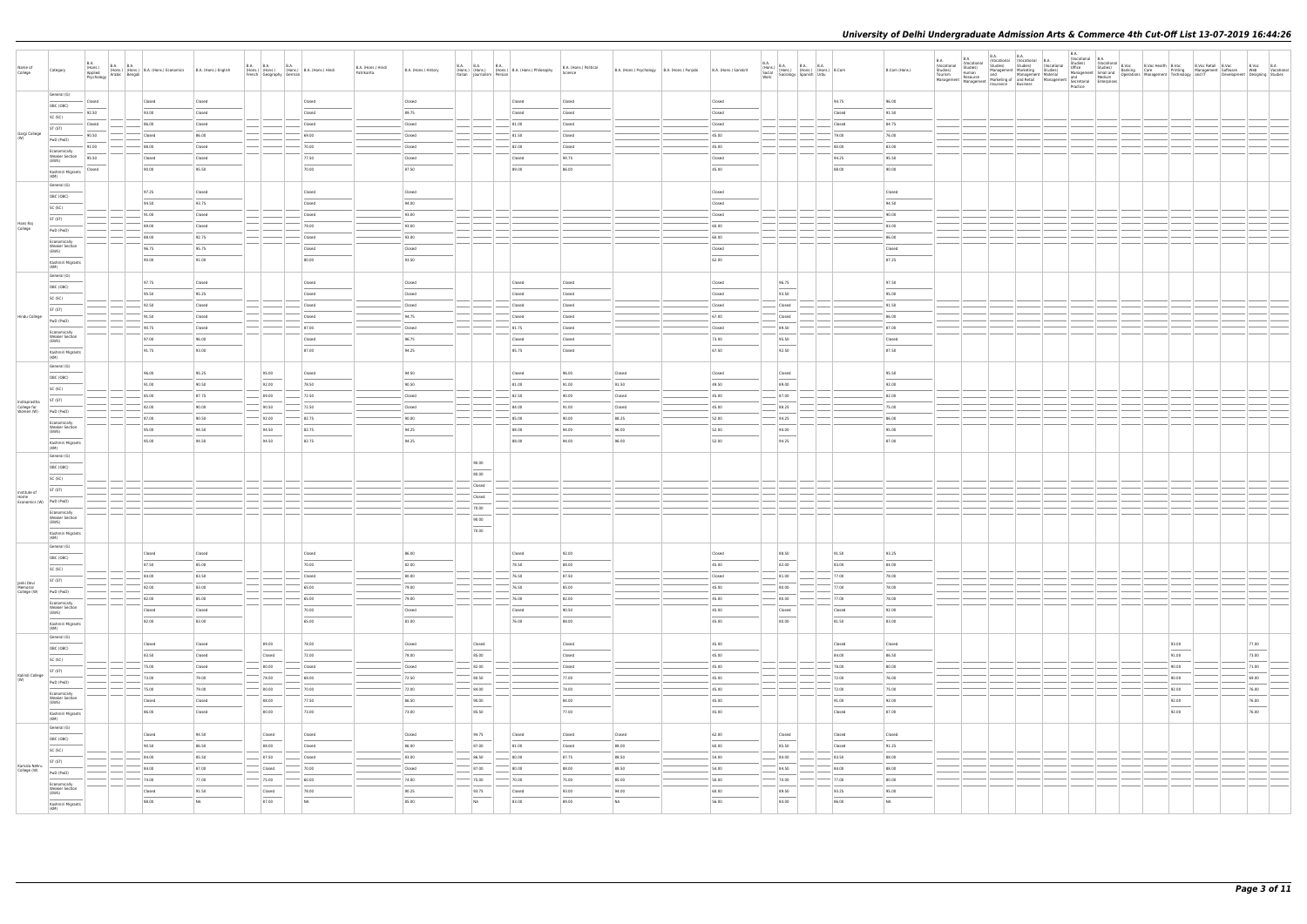| Name of<br>College                              | Category                                       | <b>B.A.</b> | (11015.)<br>Applied (Hons.) (Hons.) B.A. (Hons.) Economics B.A. (Hons.) English<br>Psychology Arabic Bengali |        | <b>B.A. B.A.</b><br><b>B.A.</b><br>(Hons.) (Hons.) (Hons.) B.A. (Hons.) Hindi<br>French Geography German |           | B.A. (Hons.) Hindi<br>Patrikarita | B.A. (Hons.) History | B.A. B.A.<br><b>B.A.</b><br>Italian Journalism Persian | (Hons.) (Hons.) (Hons.) B.A. (Hons.) Philosophy | B.A. (Hons.) Political<br>Science | B.A. (Hons.) Psychology   B.A. (Hons.) Punjabi | B.A. (Hons.) Sanskrit |        | $\begin{array}{ll} \text{B.A.} \\ \text{(Hons.)} \\ \text{Social} \\ \text{Social} \\ \text{Work} \\ \end{array} \hspace{1mm} \begin{array}{ll} \text{B.A.} \\ \text{(Hons.)} \\ \text{(Hons.)} \\ \text{(Hons.)} \\ \text{Spanish} \\ \end{array} \hspace{1mm} \begin{array}{ll} \text{B.A.} \\ \text{B.A.} \\ \text{(Hons.)} \\ \text{Urdu} \\ \end{array} \hspace{1mm} \begin{array}{ll} \text{B.A.} \\ \text{B. Comm.} \\ \text{B. Comm.} \\ \end{array}$ | B.Com (Hons.)  |  |  |  |                                                                                                                                                                                                                                                                                                                                                                                                                                                                                     |                        |  |
|-------------------------------------------------|------------------------------------------------|-------------|--------------------------------------------------------------------------------------------------------------|--------|----------------------------------------------------------------------------------------------------------|-----------|-----------------------------------|----------------------|--------------------------------------------------------|-------------------------------------------------|-----------------------------------|------------------------------------------------|-----------------------|--------|---------------------------------------------------------------------------------------------------------------------------------------------------------------------------------------------------------------------------------------------------------------------------------------------------------------------------------------------------------------------------------------------------------------------------------------------------------------|----------------|--|--|--|-------------------------------------------------------------------------------------------------------------------------------------------------------------------------------------------------------------------------------------------------------------------------------------------------------------------------------------------------------------------------------------------------------------------------------------------------------------------------------------|------------------------|--|
|                                                 | General (G)                                    |             |                                                                                                              |        |                                                                                                          |           |                                   |                      |                                                        |                                                 |                                   |                                                |                       |        |                                                                                                                                                                                                                                                                                                                                                                                                                                                               |                |  |  |  |                                                                                                                                                                                                                                                                                                                                                                                                                                                                                     |                        |  |
|                                                 | OBC (OBC)                                      | Closed      | Closed                                                                                                       | Closed |                                                                                                          | Closed    | Closed                            |                      |                                                        | Closed                                          | Closed                            |                                                | Closed                |        | 94.75                                                                                                                                                                                                                                                                                                                                                                                                                                                         | 96.00          |  |  |  |                                                                                                                                                                                                                                                                                                                                                                                                                                                                                     |                        |  |
|                                                 | SC (SC)                                        | 92.50       | 93.00                                                                                                        | Closed |                                                                                                          | Closed    | 89.75                             |                      |                                                        | Closed                                          | Closed                            |                                                | Closed                |        | Closed                                                                                                                                                                                                                                                                                                                                                                                                                                                        | 91.50          |  |  |  |                                                                                                                                                                                                                                                                                                                                                                                                                                                                                     |                        |  |
|                                                 | ST (ST)                                        | Closed      | 86.00                                                                                                        | Closed |                                                                                                          | Closed    | Closed                            |                      |                                                        | 81.00                                           | Closed                            |                                                | Closed                |        | Closed                                                                                                                                                                                                                                                                                                                                                                                                                                                        | 84.75          |  |  |  |                                                                                                                                                                                                                                                                                                                                                                                                                                                                                     |                        |  |
| Gargi College<br>(W)                            | PwD (PwD)                                      | 90.50       | Closed                                                                                                       | 86.00  |                                                                                                          | 69.00     | Closed                            |                      |                                                        | 81.50                                           | Closed                            |                                                | 45.00                 |        | 79.00                                                                                                                                                                                                                                                                                                                                                                                                                                                         | 76.00          |  |  |  |                                                                                                                                                                                                                                                                                                                                                                                                                                                                                     |                        |  |
|                                                 |                                                | 91.00       | 88.00                                                                                                        | Closed |                                                                                                          | 70.00     | Closed                            |                      |                                                        | 82.00                                           | Closed                            |                                                | 45.00                 |        | 80.00                                                                                                                                                                                                                                                                                                                                                                                                                                                         | 83.00          |  |  |  |                                                                                                                                                                                                                                                                                                                                                                                                                                                                                     |                        |  |
|                                                 | Economically<br><b>Weaker Section</b>          | 95.50       | Closed                                                                                                       | Closed |                                                                                                          | 77.50     | Closed                            |                      |                                                        | Closed                                          | 94.75                             |                                                | Closed                |        | 94.25                                                                                                                                                                                                                                                                                                                                                                                                                                                         | 95.50          |  |  |  |                                                                                                                                                                                                                                                                                                                                                                                                                                                                                     |                        |  |
|                                                 | (EWS)                                          | Closed      | 90.00                                                                                                        | 95.50  |                                                                                                          | 70.00     | 87.50                             |                      |                                                        | 89.00                                           | 86.00                             |                                                | 45.00                 |        | 88.00                                                                                                                                                                                                                                                                                                                                                                                                                                                         | 90.00          |  |  |  |                                                                                                                                                                                                                                                                                                                                                                                                                                                                                     |                        |  |
|                                                 | Kashmiri Migrants<br>(KM)                      |             |                                                                                                              |        |                                                                                                          |           |                                   |                      |                                                        |                                                 |                                   |                                                |                       |        |                                                                                                                                                                                                                                                                                                                                                                                                                                                               |                |  |  |  |                                                                                                                                                                                                                                                                                                                                                                                                                                                                                     |                        |  |
|                                                 | General (G)                                    |             |                                                                                                              |        |                                                                                                          |           |                                   |                      |                                                        |                                                 |                                   |                                                |                       |        |                                                                                                                                                                                                                                                                                                                                                                                                                                                               |                |  |  |  |                                                                                                                                                                                                                                                                                                                                                                                                                                                                                     |                        |  |
|                                                 | OBC (OBC)                                      |             | 97.25                                                                                                        | Closed |                                                                                                          | Closed    | Closed                            |                      |                                                        |                                                 |                                   |                                                | Closed                |        |                                                                                                                                                                                                                                                                                                                                                                                                                                                               | Closed         |  |  |  |                                                                                                                                                                                                                                                                                                                                                                                                                                                                                     |                        |  |
|                                                 | SC (SC)                                        |             | 94.50                                                                                                        | 93.75  |                                                                                                          | Closed    | 94.00                             |                      |                                                        |                                                 |                                   |                                                | Closed                |        |                                                                                                                                                                                                                                                                                                                                                                                                                                                               | 94.50          |  |  |  |                                                                                                                                                                                                                                                                                                                                                                                                                                                                                     |                        |  |
|                                                 | ST (ST)                                        |             | 91.00                                                                                                        | Closed |                                                                                                          | Closed    | 93.00                             |                      |                                                        |                                                 |                                   |                                                | Closed                |        |                                                                                                                                                                                                                                                                                                                                                                                                                                                               | 90.00          |  |  |  |                                                                                                                                                                                                                                                                                                                                                                                                                                                                                     |                        |  |
| Hans Raj<br>College                             |                                                |             | 89.00                                                                                                        | Closed |                                                                                                          | 79.00     | 93.00                             |                      |                                                        |                                                 |                                   |                                                | 60.00                 |        |                                                                                                                                                                                                                                                                                                                                                                                                                                                               | 83.00          |  |  |  |                                                                                                                                                                                                                                                                                                                                                                                                                                                                                     |                        |  |
|                                                 | PwD (PwD)                                      |             | 88.00                                                                                                        | 92.75  |                                                                                                          | Closed    | $-93.00$                          |                      |                                                        |                                                 |                                   |                                                | 60.00                 |        |                                                                                                                                                                                                                                                                                                                                                                                                                                                               | 86.00          |  |  |  |                                                                                                                                                                                                                                                                                                                                                                                                                                                                                     |                        |  |
|                                                 | Economically<br><b>Weaker Section</b>          |             | 96.75                                                                                                        | 95.75  |                                                                                                          | Closed    | Closed                            |                      |                                                        |                                                 |                                   |                                                | Closed                |        |                                                                                                                                                                                                                                                                                                                                                                                                                                                               | Closed         |  |  |  |                                                                                                                                                                                                                                                                                                                                                                                                                                                                                     |                        |  |
|                                                 | (EWS)                                          |             |                                                                                                              |        |                                                                                                          |           |                                   |                      |                                                        |                                                 |                                   |                                                |                       |        |                                                                                                                                                                                                                                                                                                                                                                                                                                                               |                |  |  |  |                                                                                                                                                                                                                                                                                                                                                                                                                                                                                     |                        |  |
|                                                 | Kashmiri Migrants<br>(KM)                      |             | 90.00                                                                                                        | 91.00  |                                                                                                          | 80.00     | 93.50                             |                      |                                                        |                                                 |                                   |                                                | 62.00                 |        |                                                                                                                                                                                                                                                                                                                                                                                                                                                               | 87.25          |  |  |  |                                                                                                                                                                                                                                                                                                                                                                                                                                                                                     |                        |  |
|                                                 | General (G)                                    |             |                                                                                                              |        |                                                                                                          |           |                                   |                      |                                                        |                                                 |                                   |                                                |                       |        |                                                                                                                                                                                                                                                                                                                                                                                                                                                               |                |  |  |  |                                                                                                                                                                                                                                                                                                                                                                                                                                                                                     |                        |  |
|                                                 | OBC (OBC)                                      |             | 97.75                                                                                                        | Closed |                                                                                                          | Closed    | Closed                            |                      |                                                        | Closed                                          | Closed                            |                                                | Closed                | 96.75  |                                                                                                                                                                                                                                                                                                                                                                                                                                                               | 97.50          |  |  |  |                                                                                                                                                                                                                                                                                                                                                                                                                                                                                     |                        |  |
|                                                 | SC (SC)                                        |             | 95.50                                                                                                        | 95.25  |                                                                                                          | Closed    | Closed                            |                      |                                                        | Closed                                          | Closed                            |                                                | Closed                | 93.50  |                                                                                                                                                                                                                                                                                                                                                                                                                                                               | 95.00          |  |  |  |                                                                                                                                                                                                                                                                                                                                                                                                                                                                                     |                        |  |
|                                                 | ST (ST)                                        |             | 92.50                                                                                                        | Closed |                                                                                                          | Closed    | Closed                            |                      |                                                        | Closed                                          | Closed                            |                                                | Closed                | Closed |                                                                                                                                                                                                                                                                                                                                                                                                                                                               | 91.50          |  |  |  |                                                                                                                                                                                                                                                                                                                                                                                                                                                                                     |                        |  |
| Hindu College                                   |                                                |             | 91.50                                                                                                        | Closed |                                                                                                          | Closed    | 94.75                             |                      |                                                        | Closed                                          | Closed                            |                                                | 67.00                 | Closed |                                                                                                                                                                                                                                                                                                                                                                                                                                                               | 86.00          |  |  |  |                                                                                                                                                                                                                                                                                                                                                                                                                                                                                     |                        |  |
|                                                 | PwD (PwD)                                      |             | 90.75                                                                                                        | Closed |                                                                                                          | 87.00     | Closed                            |                      |                                                        | 81.75                                           | Closed                            |                                                | Closed                | 89.50  |                                                                                                                                                                                                                                                                                                                                                                                                                                                               | 87.00          |  |  |  |                                                                                                                                                                                                                                                                                                                                                                                                                                                                                     |                        |  |
|                                                 | Economically<br><b>Weaker Section</b>          |             | 97.00                                                                                                        | 96.00  |                                                                                                          | Closed    | 96.75                             |                      |                                                        | Closed                                          | Closed                            |                                                | 73.00                 | 95.50  |                                                                                                                                                                                                                                                                                                                                                                                                                                                               | Closed         |  |  |  |                                                                                                                                                                                                                                                                                                                                                                                                                                                                                     |                        |  |
|                                                 | (EWS)                                          |             | 91.75                                                                                                        | 93.00  |                                                                                                          | 87.00     | 94.25                             |                      |                                                        | 85.75                                           | Closed                            |                                                | 67.50                 | 92.50  |                                                                                                                                                                                                                                                                                                                                                                                                                                                               | 87.50          |  |  |  |                                                                                                                                                                                                                                                                                                                                                                                                                                                                                     |                        |  |
|                                                 | Kashmiri Migrants<br>(KM)                      |             |                                                                                                              |        |                                                                                                          |           |                                   |                      |                                                        |                                                 |                                   |                                                |                       |        |                                                                                                                                                                                                                                                                                                                                                                                                                                                               |                |  |  |  |                                                                                                                                                                                                                                                                                                                                                                                                                                                                                     |                        |  |
|                                                 | General (G)                                    |             |                                                                                                              |        |                                                                                                          |           |                                   |                      |                                                        |                                                 |                                   |                                                |                       |        |                                                                                                                                                                                                                                                                                                                                                                                                                                                               |                |  |  |  |                                                                                                                                                                                                                                                                                                                                                                                                                                                                                     |                        |  |
|                                                 | OBC (OBC)                                      |             | 96.00                                                                                                        | 95.25  | 95.00                                                                                                    | Closed    | 94.50                             |                      |                                                        | Closed                                          | 96.00                             | Closed                                         | Closed                | Closed |                                                                                                                                                                                                                                                                                                                                                                                                                                                               | 95.50          |  |  |  |                                                                                                                                                                                                                                                                                                                                                                                                                                                                                     |                        |  |
|                                                 | SC (SC)                                        |             | 91.00                                                                                                        | 90.50  | 92.00                                                                                                    | 78.50     | 90.50                             |                      |                                                        | 81.00                                           | 91.00                             | 91.50                                          | 49.50                 | 89.00  |                                                                                                                                                                                                                                                                                                                                                                                                                                                               | 92.00          |  |  |  |                                                                                                                                                                                                                                                                                                                                                                                                                                                                                     |                        |  |
|                                                 | ST (ST)                                        |             | 85.00                                                                                                        | 87.75  | 89.00                                                                                                    | 72.50     | Closed                            |                      |                                                        | 82.50                                           | 90.00                             | Closed                                         | 45.00                 | 87.00  |                                                                                                                                                                                                                                                                                                                                                                                                                                                               | 82.00          |  |  |  |                                                                                                                                                                                                                                                                                                                                                                                                                                                                                     |                        |  |
| Indraprastha<br>College for<br>Women (W)        |                                                |             | 82.00                                                                                                        | 90.00  | 90.50                                                                                                    | 72.50     | Closed                            |                      |                                                        | 84.00                                           | 91.00                             | Closed                                         | 45.00                 | 88.25  |                                                                                                                                                                                                                                                                                                                                                                                                                                                               | 75.00          |  |  |  |                                                                                                                                                                                                                                                                                                                                                                                                                                                                                     |                        |  |
|                                                 | PwD (PwD)                                      |             | 87.00                                                                                                        | 90.50  | 92.00                                                                                                    | 82.75     | 90.00                             |                      |                                                        | 85.00                                           | 90.00                             | 88.25                                          | 52.00                 | 94.25  |                                                                                                                                                                                                                                                                                                                                                                                                                                                               | 86.00          |  |  |  |                                                                                                                                                                                                                                                                                                                                                                                                                                                                                     |                        |  |
|                                                 | Economically<br><b>Weaker Section</b>          |             | 95.00                                                                                                        | 94.50  | 94.50                                                                                                    | 82.75     | 94.25                             |                      |                                                        | 88.00                                           | 94.00                             | 96.00                                          | 52.00                 | 94.00  |                                                                                                                                                                                                                                                                                                                                                                                                                                                               | 95.00          |  |  |  |                                                                                                                                                                                                                                                                                                                                                                                                                                                                                     |                        |  |
|                                                 | (EWS)                                          |             |                                                                                                              | 94.50  | 94.50                                                                                                    |           |                                   |                      |                                                        | 88.00                                           |                                   |                                                | 52.00                 | 94.25  |                                                                                                                                                                                                                                                                                                                                                                                                                                                               | 87.00          |  |  |  |                                                                                                                                                                                                                                                                                                                                                                                                                                                                                     |                        |  |
|                                                 | Kashmiri Migrants<br>(KM)                      |             | 95.00                                                                                                        |        |                                                                                                          | 82.75     | 94.25                             |                      |                                                        |                                                 | 94.00                             | 96.00                                          |                       |        |                                                                                                                                                                                                                                                                                                                                                                                                                                                               |                |  |  |  |                                                                                                                                                                                                                                                                                                                                                                                                                                                                                     |                        |  |
|                                                 | General (G)                                    |             |                                                                                                              |        |                                                                                                          |           |                                   |                      |                                                        |                                                 |                                   |                                                |                       |        |                                                                                                                                                                                                                                                                                                                                                                                                                                                               |                |  |  |  |                                                                                                                                                                                                                                                                                                                                                                                                                                                                                     |                        |  |
|                                                 | OBC (OBC)                                      |             |                                                                                                              |        |                                                                                                          |           |                                   |                      | 90.00                                                  |                                                 |                                   |                                                |                       |        |                                                                                                                                                                                                                                                                                                                                                                                                                                                               |                |  |  |  |                                                                                                                                                                                                                                                                                                                                                                                                                                                                                     |                        |  |
|                                                 | SC (SC)                                        |             |                                                                                                              |        |                                                                                                          |           |                                   |                      | 80.00                                                  |                                                 |                                   |                                                |                       |        |                                                                                                                                                                                                                                                                                                                                                                                                                                                               |                |  |  |  |                                                                                                                                                                                                                                                                                                                                                                                                                                                                                     |                        |  |
|                                                 | ST (ST)                                        |             |                                                                                                              |        |                                                                                                          |           |                                   |                      | Closed                                                 |                                                 |                                   |                                                |                       |        |                                                                                                                                                                                                                                                                                                                                                                                                                                                               |                |  |  |  |                                                                                                                                                                                                                                                                                                                                                                                                                                                                                     |                        |  |
| Institute of<br>Home<br>Economics (W) PwD (PwD) |                                                |             |                                                                                                              |        |                                                                                                          |           |                                   |                      | Closed                                                 |                                                 |                                   |                                                |                       |        |                                                                                                                                                                                                                                                                                                                                                                                                                                                               |                |  |  |  |                                                                                                                                                                                                                                                                                                                                                                                                                                                                                     |                        |  |
|                                                 |                                                |             |                                                                                                              |        |                                                                                                          |           |                                   |                      | 70.00                                                  |                                                 |                                   |                                                |                       |        |                                                                                                                                                                                                                                                                                                                                                                                                                                                               |                |  |  |  |                                                                                                                                                                                                                                                                                                                                                                                                                                                                                     |                        |  |
|                                                 | Economically<br><b>Weaker Section</b><br>(EWS) |             |                                                                                                              |        |                                                                                                          |           |                                   |                      | 90.00                                                  |                                                 |                                   |                                                |                       |        |                                                                                                                                                                                                                                                                                                                                                                                                                                                               |                |  |  |  |                                                                                                                                                                                                                                                                                                                                                                                                                                                                                     |                        |  |
|                                                 | Kashmiri Migrants                              |             |                                                                                                              |        |                                                                                                          |           |                                   |                      | 70.00                                                  |                                                 |                                   |                                                |                       |        |                                                                                                                                                                                                                                                                                                                                                                                                                                                               |                |  |  |  |                                                                                                                                                                                                                                                                                                                                                                                                                                                                                     |                        |  |
|                                                 | (KM)                                           |             |                                                                                                              |        |                                                                                                          |           |                                   |                      |                                                        |                                                 |                                   |                                                |                       |        |                                                                                                                                                                                                                                                                                                                                                                                                                                                               |                |  |  |  |                                                                                                                                                                                                                                                                                                                                                                                                                                                                                     |                        |  |
|                                                 | General (G)                                    |             |                                                                                                              | Closed |                                                                                                          | Closed    | 86.00                             |                      |                                                        | Closed                                          | 92.00                             |                                                |                       | 88.50  | 91.50                                                                                                                                                                                                                                                                                                                                                                                                                                                         | 93.25          |  |  |  |                                                                                                                                                                                                                                                                                                                                                                                                                                                                                     |                        |  |
|                                                 | OBC (OBC)                                      |             | Closed                                                                                                       |        |                                                                                                          |           |                                   |                      |                                                        |                                                 |                                   |                                                | Closed                |        |                                                                                                                                                                                                                                                                                                                                                                                                                                                               |                |  |  |  |                                                                                                                                                                                                                                                                                                                                                                                                                                                                                     |                        |  |
|                                                 | SC (SC)                                        |             | 87.50                                                                                                        | 85.00  |                                                                                                          | 70.00     | 82.00                             |                      |                                                        | 78.50                                           | 88.00                             |                                                | 45.00                 | 82.00  | 83.00                                                                                                                                                                                                                                                                                                                                                                                                                                                         | 84.00          |  |  |  |                                                                                                                                                                                                                                                                                                                                                                                                                                                                                     |                        |  |
| Janki Devi                                      | ST (ST)                                        |             | 84.00                                                                                                        | 83.50  |                                                                                                          | Closed    | 80.00                             |                      |                                                        | 76.50                                           | 87.50                             |                                                | Closed                | 81.00  | 77.00                                                                                                                                                                                                                                                                                                                                                                                                                                                         | 78.00          |  |  |  |                                                                                                                                                                                                                                                                                                                                                                                                                                                                                     |                        |  |
| Memorial<br>College (W)                         | PwD (PwD)                                      |             | 82.00                                                                                                        | 83.00  |                                                                                                          | 65.00     | 79.00                             |                      |                                                        | 76.50                                           | 85.00                             |                                                | 45.00                 | 80.00  | 77.00                                                                                                                                                                                                                                                                                                                                                                                                                                                         | 78.00          |  |  |  |                                                                                                                                                                                                                                                                                                                                                                                                                                                                                     |                        |  |
|                                                 | Economically                                   |             | 82.00                                                                                                        | 85.00  |                                                                                                          | 65.00     | $-79.00$                          |                      |                                                        | 76.00                                           | 82.00                             |                                                | 45.00                 | 80.00  | 77.00                                                                                                                                                                                                                                                                                                                                                                                                                                                         | 78.00          |  |  |  |                                                                                                                                                                                                                                                                                                                                                                                                                                                                                     |                        |  |
|                                                 | <b>Weaker Section</b><br>(EWS)                 |             | Closed                                                                                                       | Closed |                                                                                                          | 70.00     | Closed                            |                      |                                                        | Closed                                          | 90.50                             |                                                | 45.00                 | Closed | Closed                                                                                                                                                                                                                                                                                                                                                                                                                                                        | 92.00          |  |  |  |                                                                                                                                                                                                                                                                                                                                                                                                                                                                                     |                        |  |
|                                                 | Kashmiri Migrants                              |             | 82.00                                                                                                        | 83.00  |                                                                                                          | 65.00     | 81.00                             |                      |                                                        | 76.00                                           | 88.00                             |                                                | 45.00                 | 80.00  | 81.50                                                                                                                                                                                                                                                                                                                                                                                                                                                         | 83.00          |  |  |  |                                                                                                                                                                                                                                                                                                                                                                                                                                                                                     |                        |  |
|                                                 | (KM)                                           |             |                                                                                                              |        |                                                                                                          |           |                                   |                      |                                                        |                                                 |                                   |                                                |                       |        |                                                                                                                                                                                                                                                                                                                                                                                                                                                               |                |  |  |  |                                                                                                                                                                                                                                                                                                                                                                                                                                                                                     |                        |  |
|                                                 | General (G)                                    |             | Closed                                                                                                       | Closed | 89.00                                                                                                    | 78.00     | Closed                            |                      | Closed                                                 |                                                 | Closed                            |                                                | 45.00                 |        | Closed                                                                                                                                                                                                                                                                                                                                                                                                                                                        | Closed         |  |  |  | 93.00                                                                                                                                                                                                                                                                                                                                                                                                                                                                               | 77.00                  |  |
|                                                 | OBC (OBC)                                      |             | 83.50                                                                                                        | Closed | Closed                                                                                                   | 72.00     | 78.00                             |                      | 85.00                                                  |                                                 | Closed                            |                                                | 45.00                 |        | 84.00                                                                                                                                                                                                                                                                                                                                                                                                                                                         | 86.50          |  |  |  | 91.00                                                                                                                                                                                                                                                                                                                                                                                                                                                                               | 73.00                  |  |
|                                                 | SC (SC)                                        |             |                                                                                                              |        |                                                                                                          |           |                                   |                      |                                                        |                                                 |                                   |                                                |                       |        |                                                                                                                                                                                                                                                                                                                                                                                                                                                               |                |  |  |  |                                                                                                                                                                                                                                                                                                                                                                                                                                                                                     |                        |  |
| Kalindi College                                 | ST (ST)                                        |             | 75.00                                                                                                        | Closed | 80.00                                                                                                    | Closed    | Closed                            |                      | 82.00                                                  |                                                 | Closed                            |                                                | 45.00                 |        | 78.00                                                                                                                                                                                                                                                                                                                                                                                                                                                         | 80.00          |  |  |  | 90.00                                                                                                                                                                                                                                                                                                                                                                                                                                                                               | 71.00                  |  |
| (W)                                             | PwD (PwD)                                      |             | 73.00                                                                                                        | 79.00  | 78.00                                                                                                    | 68.00     | 72.50                             |                      | 80.50                                                  |                                                 | 77.00                             |                                                | 45.00                 |        | 72.00                                                                                                                                                                                                                                                                                                                                                                                                                                                         | 76.00          |  |  |  | 90.00                                                                                                                                                                                                                                                                                                                                                                                                                                                                               | 69.00                  |  |
|                                                 | Economically                                   |             | 75.00                                                                                                        | 79.00  | 80.00                                                                                                    | 70.00     | 72.00                             |                      | 84.00                                                  |                                                 | 74.00                             |                                                | 45.00                 |        | 72.00                                                                                                                                                                                                                                                                                                                                                                                                                                                         | 75.00          |  |  |  | 92.00                                                                                                                                                                                                                                                                                                                                                                                                                                                                               | 76.00                  |  |
|                                                 | <b>Weaker Section</b><br>(EWS)                 |             | Closed                                                                                                       | Closed | 88.00<br>$\qquad \qquad$                                                                                 | 77.50     | 86.50                             |                      | 90.00                                                  |                                                 | 84.00                             |                                                | 45.00                 |        | 91.00                                                                                                                                                                                                                                                                                                                                                                                                                                                         | 92.00          |  |  |  | 92.00<br>$\frac{1}{2} \left( \frac{1}{2} \right) \left( \frac{1}{2} \right) \left( \frac{1}{2} \right) \left( \frac{1}{2} \right) \left( \frac{1}{2} \right) \left( \frac{1}{2} \right) \left( \frac{1}{2} \right) \left( \frac{1}{2} \right) \left( \frac{1}{2} \right) \left( \frac{1}{2} \right) \left( \frac{1}{2} \right) \left( \frac{1}{2} \right) \left( \frac{1}{2} \right) \left( \frac{1}{2} \right) \left( \frac{1}{2} \right) \left( \frac{1}{2} \right) \left( \frac$ | 76.00<br>$\frac{1}{2}$ |  |
|                                                 | Kashmiri Migrants                              |             | 86.00                                                                                                        | Closed | 80.00                                                                                                    | 73.00     | 73.00                             |                      | 85.50                                                  |                                                 | 77.00                             |                                                | 45.00                 |        | Closed                                                                                                                                                                                                                                                                                                                                                                                                                                                        | 87.00          |  |  |  | 92.00                                                                                                                                                                                                                                                                                                                                                                                                                                                                               | 76.00                  |  |
|                                                 | (KM)                                           |             |                                                                                                              |        |                                                                                                          |           |                                   |                      |                                                        |                                                 |                                   |                                                |                       |        |                                                                                                                                                                                                                                                                                                                                                                                                                                                               |                |  |  |  |                                                                                                                                                                                                                                                                                                                                                                                                                                                                                     |                        |  |
|                                                 | General (G)                                    |             | Closed                                                                                                       | 94.50  | Closed                                                                                                   | Closed    | Closed                            |                      | 94.75                                                  | Closed                                          | Closed                            | Closed                                         | 62.00                 | Closed | Closed                                                                                                                                                                                                                                                                                                                                                                                                                                                        | Closed         |  |  |  |                                                                                                                                                                                                                                                                                                                                                                                                                                                                                     |                        |  |
|                                                 | OBC (OBC)                                      |             | 90.50                                                                                                        | 86.50  | 88.00                                                                                                    | Closed    | 86.00                             |                      | 87.00                                                  | 81.00                                           | Closed                            | 88.00                                          | 60.00                 | 85.50  | Closed                                                                                                                                                                                                                                                                                                                                                                                                                                                        | 91.25          |  |  |  |                                                                                                                                                                                                                                                                                                                                                                                                                                                                                     |                        |  |
|                                                 | SC (SC)                                        |             |                                                                                                              |        |                                                                                                          |           |                                   |                      |                                                        |                                                 |                                   |                                                |                       |        |                                                                                                                                                                                                                                                                                                                                                                                                                                                               |                |  |  |  |                                                                                                                                                                                                                                                                                                                                                                                                                                                                                     |                        |  |
| Kamala Nehru                                    | ST (ST)                                        |             | 84.00                                                                                                        | 85.50  | $-$ 87.50                                                                                                | Closed    | 83.00                             |                      | 86.50                                                  | 80.00                                           | 87.75                             | 88.50                                          | 54.00                 | 84.00  | 83.50                                                                                                                                                                                                                                                                                                                                                                                                                                                         | 88.00          |  |  |  |                                                                                                                                                                                                                                                                                                                                                                                                                                                                                     |                        |  |
| College (W)                                     | PwD (PwD)                                      |             | 84.00                                                                                                        | 87.00  | Closed                                                                                                   | 70.00     | Closed                            |                      | 87.00                                                  | 80.00                                           | 88.00                             | 88.50                                          | 54.00                 | 84.50  | 84.00                                                                                                                                                                                                                                                                                                                                                                                                                                                         | 88.00          |  |  |  |                                                                                                                                                                                                                                                                                                                                                                                                                                                                                     |                        |  |
|                                                 | Economically                                   |             | 74.00                                                                                                        | 77.00  | $- 75.00$                                                                                                | 60.00     | $-74.00$                          |                      | $- 75.00$                                              | 70.00                                           | 75.00                             | 85.00                                          | $-50.00$              | 70.00  | 77.00                                                                                                                                                                                                                                                                                                                                                                                                                                                         | 80.00          |  |  |  |                                                                                                                                                                                                                                                                                                                                                                                                                                                                                     |                        |  |
|                                                 | <b>Weaker Section</b><br>(EWS)                 |             | Closed                                                                                                       | 91.50  | Closed                                                                                                   | 78.00     | 90.25                             |                      | 93.75                                                  | Closed                                          | 93.00                             | 94.00                                          | 60.00                 | 89.50  | 93.25                                                                                                                                                                                                                                                                                                                                                                                                                                                         | 95.00          |  |  |  |                                                                                                                                                                                                                                                                                                                                                                                                                                                                                     |                        |  |
|                                                 | Kashmiri Migrants                              |             | 88.00                                                                                                        | NA     | 87.00                                                                                                    | <b>NA</b> | 85.00                             |                      | <b>NA</b>                                              | 83.00                                           | 89.00                             | NA                                             | 56.00                 | 84.00  | 86.00                                                                                                                                                                                                                                                                                                                                                                                                                                                         | N <sub>A</sub> |  |  |  |                                                                                                                                                                                                                                                                                                                                                                                                                                                                                     |                        |  |
|                                                 | (KM)                                           |             |                                                                                                              |        |                                                                                                          |           |                                   |                      |                                                        |                                                 |                                   |                                                |                       |        |                                                                                                                                                                                                                                                                                                                                                                                                                                                               |                |  |  |  |                                                                                                                                                                                                                                                                                                                                                                                                                                                                                     |                        |  |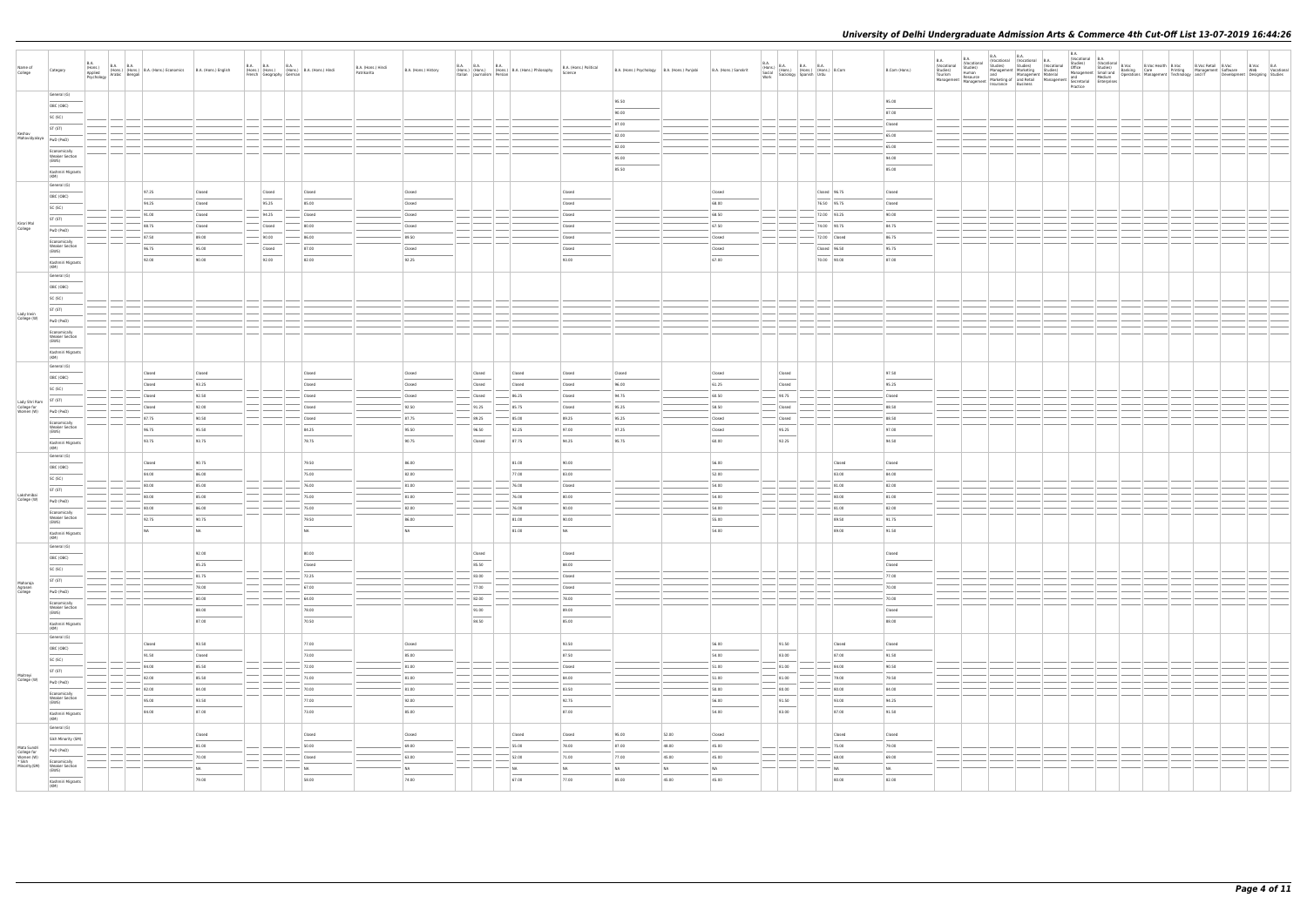| Name of<br>College                                                | Category                                |  | B.A. (Hons.) B.A. B.A. (Hons.) B.A. (Hons.) Economics B.A. (Hons.) English Applied Parabic Bengali |        | <b>B.A. B.A. B.A.</b><br>French Geography German | (Hons.) (Hons.) (Hons.) B.A. (Hons.) Hindi | B.A. (Hons.) Hindi<br>Patrikarita | B.A. (Hons.) History | <b>B.A. B.A.</b> | <b>B.A.</b> | (Hons.) (Hons.) (Hons.) B.A. (Hons.) Philosophy<br>Italian Journalism Persian | B.A. (Hons.) Political<br>Science | B.A. (Hons.) Psychology   B.A. (Hons.) Punjabi | B.A. (Hons.) Sanskrit |        | B.A. (Hons.) B.A. B.A. B.A. (Hons.) (Hons.) Cocial (Hons.) (Hons.) (Hons.) B.Com Work Sociology Spanish Urdu | B.Com (Hons.)  |  |  |  |  |  |  |
|-------------------------------------------------------------------|-----------------------------------------|--|----------------------------------------------------------------------------------------------------|--------|--------------------------------------------------|--------------------------------------------|-----------------------------------|----------------------|------------------|-------------|-------------------------------------------------------------------------------|-----------------------------------|------------------------------------------------|-----------------------|--------|--------------------------------------------------------------------------------------------------------------|----------------|--|--|--|--|--|--|
|                                                                   | General (G)                             |  |                                                                                                    |        |                                                  |                                            |                                   |                      |                  |             |                                                                               |                                   |                                                |                       |        |                                                                                                              |                |  |  |  |  |  |  |
|                                                                   | OBC (OBC)                               |  |                                                                                                    |        |                                                  |                                            |                                   |                      |                  |             |                                                                               |                                   | 95.50                                          |                       |        |                                                                                                              | 95.00          |  |  |  |  |  |  |
|                                                                   | SC (SC)                                 |  |                                                                                                    |        |                                                  |                                            |                                   |                      |                  |             |                                                                               |                                   | 90.00                                          |                       |        |                                                                                                              | 87.00          |  |  |  |  |  |  |
| Keshav                                                            | ST (ST)                                 |  |                                                                                                    |        |                                                  |                                            |                                   |                      |                  |             |                                                                               |                                   | 87.00                                          |                       |        |                                                                                                              | Closed         |  |  |  |  |  |  |
| Mahavidyalaya   PwD (PwD)                                         |                                         |  |                                                                                                    |        |                                                  |                                            |                                   |                      |                  |             |                                                                               |                                   | 82.00                                          |                       |        |                                                                                                              | 65.00          |  |  |  |  |  |  |
|                                                                   | Economically                            |  |                                                                                                    |        |                                                  |                                            |                                   |                      |                  |             |                                                                               |                                   | 82.00                                          |                       |        |                                                                                                              | 65.00          |  |  |  |  |  |  |
|                                                                   | <b>Weaker Section</b><br>(EWS)          |  |                                                                                                    |        |                                                  |                                            |                                   |                      |                  |             |                                                                               |                                   | 95.00                                          |                       |        |                                                                                                              | 94.00          |  |  |  |  |  |  |
|                                                                   | Kashmiri Migrants<br>(KM)               |  |                                                                                                    |        |                                                  |                                            |                                   |                      |                  |             |                                                                               |                                   | 85.50                                          |                       |        |                                                                                                              | 85.00          |  |  |  |  |  |  |
|                                                                   | General (G)                             |  |                                                                                                    |        |                                                  |                                            |                                   |                      |                  |             |                                                                               |                                   |                                                |                       |        |                                                                                                              |                |  |  |  |  |  |  |
|                                                                   | OBC (OBC)                               |  | 97.25                                                                                              | Closed | Closed                                           | Closed                                     |                                   | Closed               |                  |             |                                                                               | Closed                            |                                                | Closed                |        | Closed 96.75                                                                                                 | Closed         |  |  |  |  |  |  |
|                                                                   | SC (SC)                                 |  | 94.25                                                                                              | Closed | 95.25                                            | 85.00                                      |                                   | Closed               |                  |             |                                                                               | Closed                            |                                                | 68.00                 |        | 76.50 95.75                                                                                                  | Closed         |  |  |  |  |  |  |
|                                                                   | ST (ST)                                 |  | 91.00                                                                                              | Closed | 94.25                                            | Closed                                     |                                   | Closed               |                  |             |                                                                               | Closed                            |                                                | 68.50                 |        | 72.00 93.25                                                                                                  | 90.00          |  |  |  |  |  |  |
| Kirori Mal<br>College                                             | PwD (PwD)                               |  | 88.75                                                                                              | Closed | Closed                                           | 80.00                                      |                                   | Closed               |                  |             |                                                                               | Closed                            |                                                | 67.50                 |        | 74.00 90.75                                                                                                  | 84.75          |  |  |  |  |  |  |
|                                                                   | Economically                            |  | 87.50                                                                                              | 89.00  | 90.00                                            | 86.00                                      |                                   | 89.50                |                  |             |                                                                               | Closed                            |                                                | Closed                |        | 72.00 Closed                                                                                                 | 86.75          |  |  |  |  |  |  |
|                                                                   | <b>Weaker Section</b><br>(EWS)          |  | 96.75                                                                                              | 95.00  | Closed                                           | 87.00                                      |                                   | Closed               |                  |             |                                                                               | Closed                            |                                                | Closed                |        | Closed 96.50                                                                                                 | 95.75          |  |  |  |  |  |  |
|                                                                   | Kashmiri Migrants                       |  | 92.00                                                                                              | 90.00  | 92.00                                            | 82.00                                      |                                   | 92.25                |                  |             |                                                                               | 93.00                             |                                                | 67.00                 |        | 70.00 90.00                                                                                                  | 87.00          |  |  |  |  |  |  |
|                                                                   | (KM)<br>General (G)                     |  |                                                                                                    |        |                                                  |                                            |                                   |                      |                  |             |                                                                               |                                   |                                                |                       |        |                                                                                                              |                |  |  |  |  |  |  |
|                                                                   | OBC (OBC)                               |  |                                                                                                    |        |                                                  |                                            |                                   |                      |                  |             |                                                                               |                                   |                                                |                       |        |                                                                                                              |                |  |  |  |  |  |  |
|                                                                   |                                         |  |                                                                                                    |        |                                                  |                                            |                                   |                      |                  |             |                                                                               |                                   |                                                |                       |        |                                                                                                              |                |  |  |  |  |  |  |
|                                                                   | SC (SC)                                 |  |                                                                                                    |        |                                                  |                                            |                                   |                      |                  |             |                                                                               |                                   |                                                |                       |        |                                                                                                              |                |  |  |  |  |  |  |
| Lady Irwin<br>College (W)                                         | ST (ST)                                 |  |                                                                                                    |        |                                                  |                                            |                                   |                      |                  |             |                                                                               |                                   |                                                |                       |        |                                                                                                              |                |  |  |  |  |  |  |
|                                                                   | PwD (PwD)                               |  |                                                                                                    |        |                                                  |                                            |                                   |                      |                  |             |                                                                               |                                   |                                                |                       |        |                                                                                                              |                |  |  |  |  |  |  |
|                                                                   | Economically<br><b>Weaker Section</b>   |  |                                                                                                    |        |                                                  |                                            |                                   |                      |                  |             |                                                                               |                                   |                                                |                       |        |                                                                                                              |                |  |  |  |  |  |  |
|                                                                   | (EWS)                                   |  |                                                                                                    |        |                                                  |                                            |                                   |                      |                  |             |                                                                               |                                   |                                                |                       |        |                                                                                                              |                |  |  |  |  |  |  |
|                                                                   | Kashmiri Migrants<br>(KM)               |  |                                                                                                    |        |                                                  |                                            |                                   |                      |                  |             |                                                                               |                                   |                                                |                       |        |                                                                                                              |                |  |  |  |  |  |  |
|                                                                   | General (G)                             |  | Closed                                                                                             | Closed |                                                  | Closed                                     |                                   | Closed               |                  | Closed      | Closed                                                                        | Closed                            | Closed                                         | Closed                | Closed |                                                                                                              | 97.50          |  |  |  |  |  |  |
|                                                                   | OBC (OBC)                               |  | Closed                                                                                             | 93.25  |                                                  | Closed                                     |                                   | Closed               |                  | Closed      | Closed                                                                        | Closed                            | 96.00                                          | 61.25                 | Closed |                                                                                                              | 95.25          |  |  |  |  |  |  |
|                                                                   | SC (SC)                                 |  | Closed                                                                                             | 92.50  |                                                  | Closed                                     |                                   | Closed               |                  | Closed      | 86.25                                                                         | Closed                            | 94.75                                          | 60.50                 | 90.75  |                                                                                                              | Closed         |  |  |  |  |  |  |
| Lady Shri Ram<br>College for<br>Women (W)                         | ST (ST)                                 |  | Closed                                                                                             | 92.00  |                                                  | Closed                                     |                                   | 92.50                |                  | 91.25       | 85.75                                                                         | Closed                            | 95.25                                          | 58.50                 | Closed |                                                                                                              | 88.50          |  |  |  |  |  |  |
|                                                                   | PwD (PwD)                               |  | 87.75                                                                                              | 90.50  |                                                  | Closed                                     |                                   | 87.75                |                  | 89.25       | 85.00                                                                         | 89.25                             | 95.25                                          | Closed                | Closed |                                                                                                              | 88.50          |  |  |  |  |  |  |
|                                                                   | Economically<br><b>Weaker Section</b>   |  |                                                                                                    |        |                                                  |                                            |                                   |                      |                  |             |                                                                               |                                   |                                                |                       |        |                                                                                                              |                |  |  |  |  |  |  |
|                                                                   | (EWS)                                   |  | 96.75                                                                                              | 95.50  |                                                  | 84.25                                      |                                   | 95.50                |                  | 96.50       | 92.25                                                                         | 97.00                             | 97.25                                          | Closed<br>60.00       | 95.25  |                                                                                                              | 97.00<br>94.50 |  |  |  |  |  |  |
|                                                                   | Kashmiri Migrants<br>(KM)               |  | 93.75                                                                                              | 93.75  |                                                  | 78.75                                      |                                   | 90.75                |                  | Closed      | 87.75                                                                         | 94.25                             | 95.75                                          |                       | 92.25  |                                                                                                              |                |  |  |  |  |  |  |
|                                                                   | General (G)                             |  | Closed                                                                                             | 90.75  |                                                  | 79.50                                      |                                   | 86.00                |                  |             | 81.00                                                                         | 90.00                             |                                                | 56.00                 |        | Closed                                                                                                       | Closed         |  |  |  |  |  |  |
|                                                                   | OBC (OBC)                               |  |                                                                                                    |        |                                                  |                                            |                                   |                      |                  |             |                                                                               |                                   |                                                |                       |        |                                                                                                              |                |  |  |  |  |  |  |
|                                                                   | SC (SC)                                 |  | 84.00                                                                                              | 86.00  |                                                  | 75.00                                      |                                   | 82.00                |                  |             | 77.00                                                                         | 83.00                             |                                                | 52.00                 |        | 83.00                                                                                                        | 84.00          |  |  |  |  |  |  |
| Lakshmibai                                                        | ST (ST)                                 |  | 80.00                                                                                              | 85.00  |                                                  | 76.00                                      |                                   | 81.00                |                  |             | 76.00                                                                         | Closed                            |                                                | 54.00                 |        | 81.00                                                                                                        | 82.00          |  |  |  |  |  |  |
| College (W)                                                       | PwD (PwD)                               |  | 80.00                                                                                              | 85.00  |                                                  | 75.00                                      |                                   | 81.00                |                  |             | 76.00                                                                         | 80.00                             |                                                | 54.00                 |        | 80.00                                                                                                        | 81.00          |  |  |  |  |  |  |
|                                                                   | Economically<br><b>Weaker Section</b>   |  | 80.00                                                                                              | 86.00  |                                                  | 75.00                                      |                                   | 82.00                |                  |             | 76.00                                                                         | 90.00                             |                                                | $-54.00$              |        | 81.00                                                                                                        | 82.00          |  |  |  |  |  |  |
|                                                                   | (EWS)                                   |  | 92.75                                                                                              | 90.75  |                                                  | 79.50                                      |                                   | 86.00                |                  |             | 81.00                                                                         | 90.00                             |                                                | 55.00                 |        | 89.50                                                                                                        | 91.75          |  |  |  |  |  |  |
|                                                                   | Kashmiri Migrants<br>(KM)               |  | NA                                                                                                 | NA     |                                                  | NA                                         |                                   | NA                   |                  |             | 81.00                                                                         | NA                                |                                                | 54.00                 |        | 89.00                                                                                                        | 91.50          |  |  |  |  |  |  |
|                                                                   | General (G)                             |  |                                                                                                    |        |                                                  |                                            |                                   |                      |                  |             |                                                                               |                                   |                                                |                       |        |                                                                                                              |                |  |  |  |  |  |  |
|                                                                   | OBC (OBC)                               |  |                                                                                                    | 92.00  |                                                  | 80.00                                      |                                   |                      |                  | Closed      |                                                                               | Closed                            |                                                |                       |        |                                                                                                              | Closed         |  |  |  |  |  |  |
|                                                                   | SC (SC)                                 |  |                                                                                                    | 85.25  |                                                  | Closed                                     |                                   |                      |                  | 85.50       |                                                                               | 88.00                             |                                                |                       |        |                                                                                                              | Closed         |  |  |  |  |  |  |
| Maharaja                                                          | ST (ST)                                 |  |                                                                                                    | 81.75  |                                                  | 72.25                                      |                                   |                      |                  | 83.00       |                                                                               | Closed                            |                                                |                       |        |                                                                                                              | 77.00          |  |  |  |  |  |  |
| Mariana<br>Agrasen<br>College                                     | PwD (PwD)                               |  |                                                                                                    | 78.00  |                                                  | 67.00                                      |                                   |                      |                  | 77.00       |                                                                               | Closed                            |                                                |                       |        |                                                                                                              | 70.00          |  |  |  |  |  |  |
|                                                                   | Economically                            |  |                                                                                                    | 80.00  |                                                  | 64.00                                      |                                   |                      |                  | 82.00       |                                                                               | 78.00                             |                                                |                       |        |                                                                                                              | 70.00          |  |  |  |  |  |  |
|                                                                   | <b>Weaker Section</b><br>(EWS)          |  |                                                                                                    | 88.00  |                                                  | 78.00                                      |                                   |                      |                  | 91.00       |                                                                               | 89.00                             |                                                |                       |        |                                                                                                              | Closed         |  |  |  |  |  |  |
|                                                                   | Kashmiri Migrants<br>(KM)               |  |                                                                                                    | 87.00  |                                                  | 70.50                                      |                                   |                      |                  | 84.50       |                                                                               | 85.00                             |                                                |                       |        |                                                                                                              | 88.00          |  |  |  |  |  |  |
|                                                                   | General (G)                             |  |                                                                                                    |        |                                                  |                                            |                                   |                      |                  |             |                                                                               |                                   |                                                |                       |        |                                                                                                              |                |  |  |  |  |  |  |
|                                                                   | OBC (OBC)                               |  | Closed                                                                                             | 93.50  |                                                  | 77.00                                      |                                   | Closed               |                  |             |                                                                               | 93.50<br>$\sim$                   |                                                | 56.00                 | 91.50  | Closed                                                                                                       | Closed         |  |  |  |  |  |  |
|                                                                   | SC (SC)                                 |  | 91.50                                                                                              | Closed |                                                  | 73.00                                      |                                   | 85.00                |                  |             |                                                                               | 87.50                             |                                                | 54.00                 | 83.00  | 87.00                                                                                                        | 91.50          |  |  |  |  |  |  |
|                                                                   | ST (ST)                                 |  | 84.00                                                                                              | 85.50  |                                                  | 72.00                                      |                                   | 81.00                |                  |             |                                                                               | Closed                            |                                                | 51.00                 | 81.00  | 84.00                                                                                                        | 90.50          |  |  |  |  |  |  |
| Maitreyi<br>College (W)                                           | PwD (PwD)                               |  | 82.00                                                                                              | 85.50  |                                                  | 71.00                                      |                                   | 81.00                |                  |             |                                                                               | 84.00                             |                                                | 51.00                 | 81.00  | 79.00                                                                                                        | 79.50          |  |  |  |  |  |  |
|                                                                   | Economically                            |  | 82.00                                                                                              | 84.00  |                                                  | 70.00                                      |                                   | 81.00                |                  |             |                                                                               | 83.50                             |                                                | 50.00                 | 80.00  | 80.00                                                                                                        | 84.00          |  |  |  |  |  |  |
|                                                                   | <b>Weaker Section</b><br>(EWS)          |  | 95.00                                                                                              | 93.50  |                                                  | 77.00                                      |                                   | 92.00                |                  |             |                                                                               | 92.75                             |                                                | 56.00                 | 91.50  | 93.00                                                                                                        | 94.25          |  |  |  |  |  |  |
|                                                                   | Kashmiri Migrants                       |  | 84.00                                                                                              | 87.00  |                                                  | 73.00                                      |                                   | 85.00                |                  |             |                                                                               | 87.00                             |                                                | 54.00                 | 83.00  | 87.00                                                                                                        | 91.50          |  |  |  |  |  |  |
|                                                                   | (KM)<br>General (G)                     |  |                                                                                                    |        |                                                  |                                            |                                   |                      |                  |             |                                                                               |                                   |                                                |                       |        |                                                                                                              |                |  |  |  |  |  |  |
|                                                                   | Sikh Minority (SM)                      |  |                                                                                                    | Closed |                                                  | Closed                                     |                                   | Closed               |                  |             | Closed                                                                        | Closed                            | 95.00                                          | 52.00<br>Closed       |        | Closed                                                                                                       | Closed         |  |  |  |  |  |  |
|                                                                   | PwD (PwD)                               |  |                                                                                                    | 81.00  |                                                  | 50.00                                      |                                   | 69.00                |                  |             | 55.00                                                                         | 78.00                             | 87.00                                          | 48.00<br>45.00        |        | 75.00                                                                                                        | 79.00          |  |  |  |  |  |  |
| Mata Sundri<br>College for<br>Women (W)<br>* Sikh<br>Minority(SM) |                                         |  |                                                                                                    | 70.00  |                                                  | Closed                                     |                                   | 63.00                |                  |             | 52.00                                                                         | 71.00                             | 77.00                                          | 45.00<br>45.00        |        | 68.00                                                                                                        | 69.00          |  |  |  |  |  |  |
|                                                                   | Economically<br>Weaker Section<br>(EWS) |  |                                                                                                    | NA     |                                                  | NA                                         |                                   | NA                   |                  |             | NA                                                                            | NA                                | NA                                             | NA<br><b>NA</b>       |        | NA                                                                                                           | <b>NA</b>      |  |  |  |  |  |  |
|                                                                   | Kashmiri Migrants<br>(KM)               |  |                                                                                                    | 79.00  |                                                  | 58.00                                      |                                   | 74.00                |                  |             | 67.00                                                                         | 77.00                             | 85.00                                          | 45.00<br>45.00        |        | 80.00                                                                                                        | 82.00          |  |  |  |  |  |  |
|                                                                   |                                         |  |                                                                                                    |        |                                                  |                                            |                                   |                      |                  |             |                                                                               |                                   |                                                |                       |        |                                                                                                              |                |  |  |  |  |  |  |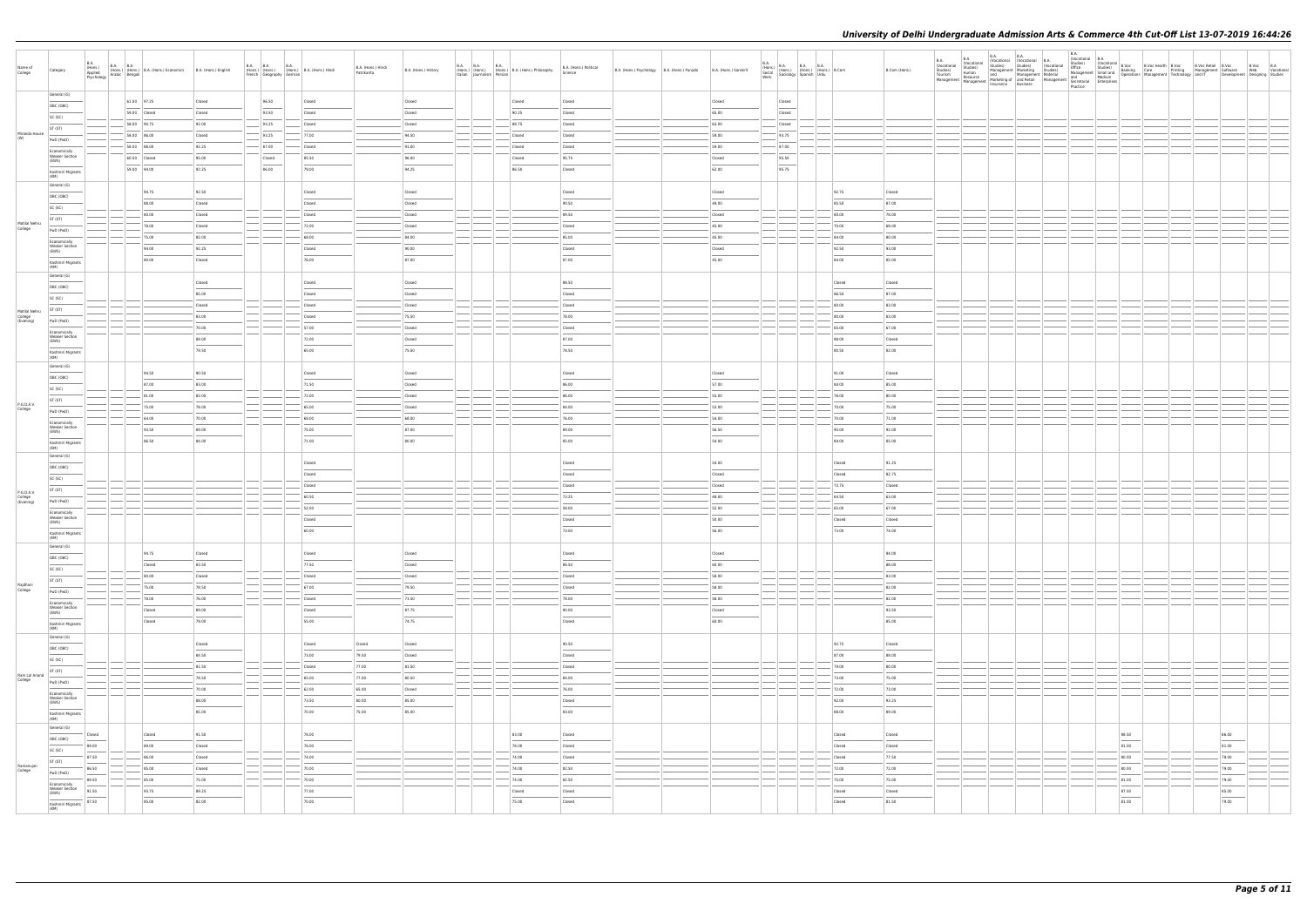| General (G)<br>61.00 97.25<br>96.50<br>Closed<br>Closed<br>Closed<br>Closed<br>Closed<br>Closed<br>Closed<br>OBC (OBC)<br>59.00 Closed<br>93.50<br>Closed<br>Closed<br>90.25<br>Closed<br>65.00<br>Closed<br>Closed<br>SC (SC)<br>58.00 90.75<br>92.00<br>93.25<br>88.75<br>63.00<br>Closed<br>Closed<br>Closed<br>Closed<br>ST (ST)<br>Miranda House<br>93.25<br>93.75<br>58.00 86.00<br>Closed<br>77.00<br>94.50<br>Closed<br>Closed<br>59.00<br>(W)<br>PwD (PwD)<br>87.00<br>$58.00$ 88.00<br>92.25<br>87.00<br>Closed<br>91.00<br>Closed<br>Closed<br>59.00<br>Economically<br><b>Weaker Section</b><br>95.50<br>60.50 Closed<br>95.00<br>85.50<br>96.00<br>95.75<br>Closed<br>Closed<br>Closed<br>(EWS)<br>95.75<br>86.00<br>59.00 94.00<br>92.25<br>79.00<br>94.25<br>86.50<br>Closed<br>62.00<br>Kashmiri Migrants<br>(KM)<br>General (G)<br>94.75<br>92.50<br>92.75<br>Closed<br>Closed<br>Closed<br>Closed<br>Closed<br>OBC (OBC)<br>88.00<br>Closed<br>Closed<br>90.50<br>49.00<br>85.50<br>87.00<br>Closed<br>SC (SC)<br>80.00<br>Closed<br>Closed<br>Closed<br>89.50<br>Closed<br>80.00<br>78.00<br>ST (ST)<br>Motilal Nehru<br>78.00<br>Closed<br>72.00<br>Closed<br>Closed<br>45.00<br>70.00<br>68.00<br>College<br>PwD (PwD)<br>$-45.00$<br>75.00<br>82.00<br>68.00<br>$-84.00$<br>85.00<br>84.00<br>80.00<br>Economically<br><b>Weaker Section</b><br>94.00<br>92.25<br>90.00<br>Closed<br>92.50<br>93.00<br>Closed<br>Closed<br>(EWS)<br>80.00<br>76.00<br>87.00<br>87.00<br>45.00<br>84.00<br>85.00<br>Closed<br>Kashmiri Migrants<br>(KM)<br>General (G)<br>Closed<br>88.50<br>Closed<br>Closed<br>Closed<br>Closed<br>OBC (OBC)<br>85.00<br>Closed<br>Closed<br>Closed<br>86.50<br>87.00<br>SC (SC)<br>Closed<br>Closed<br>Closed<br>Closed<br>80.00<br>83.00<br>ST (ST)<br>Motilal Nehru<br>83.00<br>75.50<br>78.00<br>College<br>(Evening)<br>Closed<br>80.00<br>83.00<br>PwD (PwD)<br>70.00<br>57.00<br>Closed<br>65.00<br>67.00<br>Closed<br>Economically<br><b>Weaker Section</b><br>88.00<br>72.00<br>87.00<br>88.00<br>Closed<br>Closed<br>(EWS)<br>79.50<br>65.00<br>75.50<br>78.50<br>80.50<br>82.00<br>Kashmiri Migrants<br>(KM)<br>General (G)<br>94.50<br>90.50<br>Closed<br>91.00<br>Closed<br>Closed<br>Closed<br>Closed<br>OBC (OBC)<br>87.00<br>83.00<br>71.50<br>Closed<br>86.00<br>57.00<br>84.00<br>85.00<br>SC (SC)<br>81.00<br>82.00<br>72.00<br>Closed<br>86.00<br>55.00<br>78.00<br>80.00<br>ST (ST)<br>P.G.D.A.V.<br>84.00<br>70.00<br>75.00<br>78.00<br>65.00<br>Closed<br>53.00<br>75.00<br>College<br>PwD (PwD)<br>64.00<br>70.00<br>68.00<br>68.00<br>76.00<br>54.00<br>70.00<br>71.00<br>Economically<br><b>Weaker Section</b><br>75.00<br>87.00<br>89.00<br>56.50<br>90.00<br>93.50<br>89.00<br>92.00<br>(EWS)<br>86.50<br>84.00<br>71.00<br>80.00<br>85.00<br>54.00<br>84.00<br>85.00<br>Kashmiri Migrants<br>(KM)<br>General (G)<br>Closed<br>Closed<br>54.00<br>Closed<br>91.25<br>OBC (OBC)<br>Closed<br>Closed<br>Closed<br>Closed<br>82.75<br>SC (SC)<br>Closed<br>73.75<br>Closed<br>Closed<br>Closed<br>ST (ST)<br>P.G.D.A.V.<br>73.25<br>College<br>(Evening)<br>60.50<br>48.00<br>64.50<br>63.00<br>PwD (PwD)<br>52.00<br>58.00<br>52.00<br>65.00<br>67.00<br>Economically<br><b>Weaker Section</b><br>50.00<br>Closed<br>Closed<br>Closed<br>Closed<br>(EWS)<br>60.00<br>73.00<br>56.00<br>73.00<br>74.00<br>Kashmiri Migrants<br>  (KM)<br>General (G)<br>94.75<br>Closed<br>Closed<br>Closed<br>Closed<br>Closed<br>94.00<br>OBC (OBC)<br>$\overline{\phantom{a}}$<br>83.50<br>77.50<br>86.50<br>60.00<br>88.00<br>Closed<br>Closed<br>SC (SC)<br>83.00<br>80.00<br>Closed<br>Closed<br>Closed<br>Closed<br>58.00<br>ST (ST)<br>Rajdhani<br>College<br>79.50<br>82.00<br>75.00<br>78.50<br>67.00<br>58.00<br>Closed<br>PwD (PwD)<br>73.50<br>78.00<br>58.00<br>82.00<br>78.00<br>76.00<br>Closed<br>Economically<br><b>Weaker Section</b><br>87.75<br>90.00<br>93.50<br>Closed<br>89.00<br>Closed<br>Closed<br>(EWS)<br>79.00<br>55.00<br>74.75<br>Closed<br>60.00<br>85.00<br>Closed<br>Kashmiri Migrants<br>(KM)<br>General (G)<br>92.75<br>Closed<br>Closed<br>Closed<br>Closed<br>90.50<br>Closed<br>OBC (OBC)<br>84.50<br>73.00<br>79.50<br>87.00<br>88.00<br>Closed<br>Closed<br>SC (SC) |                                  |
|---------------------------------------------------------------------------------------------------------------------------------------------------------------------------------------------------------------------------------------------------------------------------------------------------------------------------------------------------------------------------------------------------------------------------------------------------------------------------------------------------------------------------------------------------------------------------------------------------------------------------------------------------------------------------------------------------------------------------------------------------------------------------------------------------------------------------------------------------------------------------------------------------------------------------------------------------------------------------------------------------------------------------------------------------------------------------------------------------------------------------------------------------------------------------------------------------------------------------------------------------------------------------------------------------------------------------------------------------------------------------------------------------------------------------------------------------------------------------------------------------------------------------------------------------------------------------------------------------------------------------------------------------------------------------------------------------------------------------------------------------------------------------------------------------------------------------------------------------------------------------------------------------------------------------------------------------------------------------------------------------------------------------------------------------------------------------------------------------------------------------------------------------------------------------------------------------------------------------------------------------------------------------------------------------------------------------------------------------------------------------------------------------------------------------------------------------------------------------------------------------------------------------------------------------------------------------------------------------------------------------------------------------------------------------------------------------------------------------------------------------------------------------------------------------------------------------------------------------------------------------------------------------------------------------------------------------------------------------------------------------------------------------------------------------------------------------------------------------------------------------------------------------------------------------------------------------------------------------------------------------------------------------------------------------------------------------------------------------------------------------------------------------------------------------------------------------------------------------------------------------------------------------------------------------------------------------------------------------------------------------------------------------------------------------------------------------------------------------------------------------------------------------------------------------------------------------------------------------------------------------------------------------------------------------------------------------------------------------------------------------------------------------------------------------------------------------------------------------------------------------------------------------------------------------------------------------------------------------------------------------------------|----------------------------------|
|                                                                                                                                                                                                                                                                                                                                                                                                                                                                                                                                                                                                                                                                                                                                                                                                                                                                                                                                                                                                                                                                                                                                                                                                                                                                                                                                                                                                                                                                                                                                                                                                                                                                                                                                                                                                                                                                                                                                                                                                                                                                                                                                                                                                                                                                                                                                                                                                                                                                                                                                                                                                                                                                                                                                                                                                                                                                                                                                                                                                                                                                                                                                                                                                                                                                                                                                                                                                                                                                                                                                                                                                                                                                                                                                                                                                                                                                                                                                                                                                                                                                                                                                                                                                                                                               |                                  |
|                                                                                                                                                                                                                                                                                                                                                                                                                                                                                                                                                                                                                                                                                                                                                                                                                                                                                                                                                                                                                                                                                                                                                                                                                                                                                                                                                                                                                                                                                                                                                                                                                                                                                                                                                                                                                                                                                                                                                                                                                                                                                                                                                                                                                                                                                                                                                                                                                                                                                                                                                                                                                                                                                                                                                                                                                                                                                                                                                                                                                                                                                                                                                                                                                                                                                                                                                                                                                                                                                                                                                                                                                                                                                                                                                                                                                                                                                                                                                                                                                                                                                                                                                                                                                                                               |                                  |
|                                                                                                                                                                                                                                                                                                                                                                                                                                                                                                                                                                                                                                                                                                                                                                                                                                                                                                                                                                                                                                                                                                                                                                                                                                                                                                                                                                                                                                                                                                                                                                                                                                                                                                                                                                                                                                                                                                                                                                                                                                                                                                                                                                                                                                                                                                                                                                                                                                                                                                                                                                                                                                                                                                                                                                                                                                                                                                                                                                                                                                                                                                                                                                                                                                                                                                                                                                                                                                                                                                                                                                                                                                                                                                                                                                                                                                                                                                                                                                                                                                                                                                                                                                                                                                                               |                                  |
|                                                                                                                                                                                                                                                                                                                                                                                                                                                                                                                                                                                                                                                                                                                                                                                                                                                                                                                                                                                                                                                                                                                                                                                                                                                                                                                                                                                                                                                                                                                                                                                                                                                                                                                                                                                                                                                                                                                                                                                                                                                                                                                                                                                                                                                                                                                                                                                                                                                                                                                                                                                                                                                                                                                                                                                                                                                                                                                                                                                                                                                                                                                                                                                                                                                                                                                                                                                                                                                                                                                                                                                                                                                                                                                                                                                                                                                                                                                                                                                                                                                                                                                                                                                                                                                               |                                  |
|                                                                                                                                                                                                                                                                                                                                                                                                                                                                                                                                                                                                                                                                                                                                                                                                                                                                                                                                                                                                                                                                                                                                                                                                                                                                                                                                                                                                                                                                                                                                                                                                                                                                                                                                                                                                                                                                                                                                                                                                                                                                                                                                                                                                                                                                                                                                                                                                                                                                                                                                                                                                                                                                                                                                                                                                                                                                                                                                                                                                                                                                                                                                                                                                                                                                                                                                                                                                                                                                                                                                                                                                                                                                                                                                                                                                                                                                                                                                                                                                                                                                                                                                                                                                                                                               |                                  |
|                                                                                                                                                                                                                                                                                                                                                                                                                                                                                                                                                                                                                                                                                                                                                                                                                                                                                                                                                                                                                                                                                                                                                                                                                                                                                                                                                                                                                                                                                                                                                                                                                                                                                                                                                                                                                                                                                                                                                                                                                                                                                                                                                                                                                                                                                                                                                                                                                                                                                                                                                                                                                                                                                                                                                                                                                                                                                                                                                                                                                                                                                                                                                                                                                                                                                                                                                                                                                                                                                                                                                                                                                                                                                                                                                                                                                                                                                                                                                                                                                                                                                                                                                                                                                                                               |                                  |
|                                                                                                                                                                                                                                                                                                                                                                                                                                                                                                                                                                                                                                                                                                                                                                                                                                                                                                                                                                                                                                                                                                                                                                                                                                                                                                                                                                                                                                                                                                                                                                                                                                                                                                                                                                                                                                                                                                                                                                                                                                                                                                                                                                                                                                                                                                                                                                                                                                                                                                                                                                                                                                                                                                                                                                                                                                                                                                                                                                                                                                                                                                                                                                                                                                                                                                                                                                                                                                                                                                                                                                                                                                                                                                                                                                                                                                                                                                                                                                                                                                                                                                                                                                                                                                                               |                                  |
|                                                                                                                                                                                                                                                                                                                                                                                                                                                                                                                                                                                                                                                                                                                                                                                                                                                                                                                                                                                                                                                                                                                                                                                                                                                                                                                                                                                                                                                                                                                                                                                                                                                                                                                                                                                                                                                                                                                                                                                                                                                                                                                                                                                                                                                                                                                                                                                                                                                                                                                                                                                                                                                                                                                                                                                                                                                                                                                                                                                                                                                                                                                                                                                                                                                                                                                                                                                                                                                                                                                                                                                                                                                                                                                                                                                                                                                                                                                                                                                                                                                                                                                                                                                                                                                               |                                  |
|                                                                                                                                                                                                                                                                                                                                                                                                                                                                                                                                                                                                                                                                                                                                                                                                                                                                                                                                                                                                                                                                                                                                                                                                                                                                                                                                                                                                                                                                                                                                                                                                                                                                                                                                                                                                                                                                                                                                                                                                                                                                                                                                                                                                                                                                                                                                                                                                                                                                                                                                                                                                                                                                                                                                                                                                                                                                                                                                                                                                                                                                                                                                                                                                                                                                                                                                                                                                                                                                                                                                                                                                                                                                                                                                                                                                                                                                                                                                                                                                                                                                                                                                                                                                                                                               |                                  |
|                                                                                                                                                                                                                                                                                                                                                                                                                                                                                                                                                                                                                                                                                                                                                                                                                                                                                                                                                                                                                                                                                                                                                                                                                                                                                                                                                                                                                                                                                                                                                                                                                                                                                                                                                                                                                                                                                                                                                                                                                                                                                                                                                                                                                                                                                                                                                                                                                                                                                                                                                                                                                                                                                                                                                                                                                                                                                                                                                                                                                                                                                                                                                                                                                                                                                                                                                                                                                                                                                                                                                                                                                                                                                                                                                                                                                                                                                                                                                                                                                                                                                                                                                                                                                                                               |                                  |
|                                                                                                                                                                                                                                                                                                                                                                                                                                                                                                                                                                                                                                                                                                                                                                                                                                                                                                                                                                                                                                                                                                                                                                                                                                                                                                                                                                                                                                                                                                                                                                                                                                                                                                                                                                                                                                                                                                                                                                                                                                                                                                                                                                                                                                                                                                                                                                                                                                                                                                                                                                                                                                                                                                                                                                                                                                                                                                                                                                                                                                                                                                                                                                                                                                                                                                                                                                                                                                                                                                                                                                                                                                                                                                                                                                                                                                                                                                                                                                                                                                                                                                                                                                                                                                                               |                                  |
|                                                                                                                                                                                                                                                                                                                                                                                                                                                                                                                                                                                                                                                                                                                                                                                                                                                                                                                                                                                                                                                                                                                                                                                                                                                                                                                                                                                                                                                                                                                                                                                                                                                                                                                                                                                                                                                                                                                                                                                                                                                                                                                                                                                                                                                                                                                                                                                                                                                                                                                                                                                                                                                                                                                                                                                                                                                                                                                                                                                                                                                                                                                                                                                                                                                                                                                                                                                                                                                                                                                                                                                                                                                                                                                                                                                                                                                                                                                                                                                                                                                                                                                                                                                                                                                               |                                  |
|                                                                                                                                                                                                                                                                                                                                                                                                                                                                                                                                                                                                                                                                                                                                                                                                                                                                                                                                                                                                                                                                                                                                                                                                                                                                                                                                                                                                                                                                                                                                                                                                                                                                                                                                                                                                                                                                                                                                                                                                                                                                                                                                                                                                                                                                                                                                                                                                                                                                                                                                                                                                                                                                                                                                                                                                                                                                                                                                                                                                                                                                                                                                                                                                                                                                                                                                                                                                                                                                                                                                                                                                                                                                                                                                                                                                                                                                                                                                                                                                                                                                                                                                                                                                                                                               |                                  |
|                                                                                                                                                                                                                                                                                                                                                                                                                                                                                                                                                                                                                                                                                                                                                                                                                                                                                                                                                                                                                                                                                                                                                                                                                                                                                                                                                                                                                                                                                                                                                                                                                                                                                                                                                                                                                                                                                                                                                                                                                                                                                                                                                                                                                                                                                                                                                                                                                                                                                                                                                                                                                                                                                                                                                                                                                                                                                                                                                                                                                                                                                                                                                                                                                                                                                                                                                                                                                                                                                                                                                                                                                                                                                                                                                                                                                                                                                                                                                                                                                                                                                                                                                                                                                                                               |                                  |
|                                                                                                                                                                                                                                                                                                                                                                                                                                                                                                                                                                                                                                                                                                                                                                                                                                                                                                                                                                                                                                                                                                                                                                                                                                                                                                                                                                                                                                                                                                                                                                                                                                                                                                                                                                                                                                                                                                                                                                                                                                                                                                                                                                                                                                                                                                                                                                                                                                                                                                                                                                                                                                                                                                                                                                                                                                                                                                                                                                                                                                                                                                                                                                                                                                                                                                                                                                                                                                                                                                                                                                                                                                                                                                                                                                                                                                                                                                                                                                                                                                                                                                                                                                                                                                                               |                                  |
|                                                                                                                                                                                                                                                                                                                                                                                                                                                                                                                                                                                                                                                                                                                                                                                                                                                                                                                                                                                                                                                                                                                                                                                                                                                                                                                                                                                                                                                                                                                                                                                                                                                                                                                                                                                                                                                                                                                                                                                                                                                                                                                                                                                                                                                                                                                                                                                                                                                                                                                                                                                                                                                                                                                                                                                                                                                                                                                                                                                                                                                                                                                                                                                                                                                                                                                                                                                                                                                                                                                                                                                                                                                                                                                                                                                                                                                                                                                                                                                                                                                                                                                                                                                                                                                               |                                  |
|                                                                                                                                                                                                                                                                                                                                                                                                                                                                                                                                                                                                                                                                                                                                                                                                                                                                                                                                                                                                                                                                                                                                                                                                                                                                                                                                                                                                                                                                                                                                                                                                                                                                                                                                                                                                                                                                                                                                                                                                                                                                                                                                                                                                                                                                                                                                                                                                                                                                                                                                                                                                                                                                                                                                                                                                                                                                                                                                                                                                                                                                                                                                                                                                                                                                                                                                                                                                                                                                                                                                                                                                                                                                                                                                                                                                                                                                                                                                                                                                                                                                                                                                                                                                                                                               |                                  |
|                                                                                                                                                                                                                                                                                                                                                                                                                                                                                                                                                                                                                                                                                                                                                                                                                                                                                                                                                                                                                                                                                                                                                                                                                                                                                                                                                                                                                                                                                                                                                                                                                                                                                                                                                                                                                                                                                                                                                                                                                                                                                                                                                                                                                                                                                                                                                                                                                                                                                                                                                                                                                                                                                                                                                                                                                                                                                                                                                                                                                                                                                                                                                                                                                                                                                                                                                                                                                                                                                                                                                                                                                                                                                                                                                                                                                                                                                                                                                                                                                                                                                                                                                                                                                                                               |                                  |
|                                                                                                                                                                                                                                                                                                                                                                                                                                                                                                                                                                                                                                                                                                                                                                                                                                                                                                                                                                                                                                                                                                                                                                                                                                                                                                                                                                                                                                                                                                                                                                                                                                                                                                                                                                                                                                                                                                                                                                                                                                                                                                                                                                                                                                                                                                                                                                                                                                                                                                                                                                                                                                                                                                                                                                                                                                                                                                                                                                                                                                                                                                                                                                                                                                                                                                                                                                                                                                                                                                                                                                                                                                                                                                                                                                                                                                                                                                                                                                                                                                                                                                                                                                                                                                                               |                                  |
|                                                                                                                                                                                                                                                                                                                                                                                                                                                                                                                                                                                                                                                                                                                                                                                                                                                                                                                                                                                                                                                                                                                                                                                                                                                                                                                                                                                                                                                                                                                                                                                                                                                                                                                                                                                                                                                                                                                                                                                                                                                                                                                                                                                                                                                                                                                                                                                                                                                                                                                                                                                                                                                                                                                                                                                                                                                                                                                                                                                                                                                                                                                                                                                                                                                                                                                                                                                                                                                                                                                                                                                                                                                                                                                                                                                                                                                                                                                                                                                                                                                                                                                                                                                                                                                               |                                  |
|                                                                                                                                                                                                                                                                                                                                                                                                                                                                                                                                                                                                                                                                                                                                                                                                                                                                                                                                                                                                                                                                                                                                                                                                                                                                                                                                                                                                                                                                                                                                                                                                                                                                                                                                                                                                                                                                                                                                                                                                                                                                                                                                                                                                                                                                                                                                                                                                                                                                                                                                                                                                                                                                                                                                                                                                                                                                                                                                                                                                                                                                                                                                                                                                                                                                                                                                                                                                                                                                                                                                                                                                                                                                                                                                                                                                                                                                                                                                                                                                                                                                                                                                                                                                                                                               |                                  |
|                                                                                                                                                                                                                                                                                                                                                                                                                                                                                                                                                                                                                                                                                                                                                                                                                                                                                                                                                                                                                                                                                                                                                                                                                                                                                                                                                                                                                                                                                                                                                                                                                                                                                                                                                                                                                                                                                                                                                                                                                                                                                                                                                                                                                                                                                                                                                                                                                                                                                                                                                                                                                                                                                                                                                                                                                                                                                                                                                                                                                                                                                                                                                                                                                                                                                                                                                                                                                                                                                                                                                                                                                                                                                                                                                                                                                                                                                                                                                                                                                                                                                                                                                                                                                                                               |                                  |
|                                                                                                                                                                                                                                                                                                                                                                                                                                                                                                                                                                                                                                                                                                                                                                                                                                                                                                                                                                                                                                                                                                                                                                                                                                                                                                                                                                                                                                                                                                                                                                                                                                                                                                                                                                                                                                                                                                                                                                                                                                                                                                                                                                                                                                                                                                                                                                                                                                                                                                                                                                                                                                                                                                                                                                                                                                                                                                                                                                                                                                                                                                                                                                                                                                                                                                                                                                                                                                                                                                                                                                                                                                                                                                                                                                                                                                                                                                                                                                                                                                                                                                                                                                                                                                                               |                                  |
|                                                                                                                                                                                                                                                                                                                                                                                                                                                                                                                                                                                                                                                                                                                                                                                                                                                                                                                                                                                                                                                                                                                                                                                                                                                                                                                                                                                                                                                                                                                                                                                                                                                                                                                                                                                                                                                                                                                                                                                                                                                                                                                                                                                                                                                                                                                                                                                                                                                                                                                                                                                                                                                                                                                                                                                                                                                                                                                                                                                                                                                                                                                                                                                                                                                                                                                                                                                                                                                                                                                                                                                                                                                                                                                                                                                                                                                                                                                                                                                                                                                                                                                                                                                                                                                               |                                  |
|                                                                                                                                                                                                                                                                                                                                                                                                                                                                                                                                                                                                                                                                                                                                                                                                                                                                                                                                                                                                                                                                                                                                                                                                                                                                                                                                                                                                                                                                                                                                                                                                                                                                                                                                                                                                                                                                                                                                                                                                                                                                                                                                                                                                                                                                                                                                                                                                                                                                                                                                                                                                                                                                                                                                                                                                                                                                                                                                                                                                                                                                                                                                                                                                                                                                                                                                                                                                                                                                                                                                                                                                                                                                                                                                                                                                                                                                                                                                                                                                                                                                                                                                                                                                                                                               |                                  |
|                                                                                                                                                                                                                                                                                                                                                                                                                                                                                                                                                                                                                                                                                                                                                                                                                                                                                                                                                                                                                                                                                                                                                                                                                                                                                                                                                                                                                                                                                                                                                                                                                                                                                                                                                                                                                                                                                                                                                                                                                                                                                                                                                                                                                                                                                                                                                                                                                                                                                                                                                                                                                                                                                                                                                                                                                                                                                                                                                                                                                                                                                                                                                                                                                                                                                                                                                                                                                                                                                                                                                                                                                                                                                                                                                                                                                                                                                                                                                                                                                                                                                                                                                                                                                                                               |                                  |
|                                                                                                                                                                                                                                                                                                                                                                                                                                                                                                                                                                                                                                                                                                                                                                                                                                                                                                                                                                                                                                                                                                                                                                                                                                                                                                                                                                                                                                                                                                                                                                                                                                                                                                                                                                                                                                                                                                                                                                                                                                                                                                                                                                                                                                                                                                                                                                                                                                                                                                                                                                                                                                                                                                                                                                                                                                                                                                                                                                                                                                                                                                                                                                                                                                                                                                                                                                                                                                                                                                                                                                                                                                                                                                                                                                                                                                                                                                                                                                                                                                                                                                                                                                                                                                                               |                                  |
|                                                                                                                                                                                                                                                                                                                                                                                                                                                                                                                                                                                                                                                                                                                                                                                                                                                                                                                                                                                                                                                                                                                                                                                                                                                                                                                                                                                                                                                                                                                                                                                                                                                                                                                                                                                                                                                                                                                                                                                                                                                                                                                                                                                                                                                                                                                                                                                                                                                                                                                                                                                                                                                                                                                                                                                                                                                                                                                                                                                                                                                                                                                                                                                                                                                                                                                                                                                                                                                                                                                                                                                                                                                                                                                                                                                                                                                                                                                                                                                                                                                                                                                                                                                                                                                               |                                  |
|                                                                                                                                                                                                                                                                                                                                                                                                                                                                                                                                                                                                                                                                                                                                                                                                                                                                                                                                                                                                                                                                                                                                                                                                                                                                                                                                                                                                                                                                                                                                                                                                                                                                                                                                                                                                                                                                                                                                                                                                                                                                                                                                                                                                                                                                                                                                                                                                                                                                                                                                                                                                                                                                                                                                                                                                                                                                                                                                                                                                                                                                                                                                                                                                                                                                                                                                                                                                                                                                                                                                                                                                                                                                                                                                                                                                                                                                                                                                                                                                                                                                                                                                                                                                                                                               |                                  |
|                                                                                                                                                                                                                                                                                                                                                                                                                                                                                                                                                                                                                                                                                                                                                                                                                                                                                                                                                                                                                                                                                                                                                                                                                                                                                                                                                                                                                                                                                                                                                                                                                                                                                                                                                                                                                                                                                                                                                                                                                                                                                                                                                                                                                                                                                                                                                                                                                                                                                                                                                                                                                                                                                                                                                                                                                                                                                                                                                                                                                                                                                                                                                                                                                                                                                                                                                                                                                                                                                                                                                                                                                                                                                                                                                                                                                                                                                                                                                                                                                                                                                                                                                                                                                                                               |                                  |
|                                                                                                                                                                                                                                                                                                                                                                                                                                                                                                                                                                                                                                                                                                                                                                                                                                                                                                                                                                                                                                                                                                                                                                                                                                                                                                                                                                                                                                                                                                                                                                                                                                                                                                                                                                                                                                                                                                                                                                                                                                                                                                                                                                                                                                                                                                                                                                                                                                                                                                                                                                                                                                                                                                                                                                                                                                                                                                                                                                                                                                                                                                                                                                                                                                                                                                                                                                                                                                                                                                                                                                                                                                                                                                                                                                                                                                                                                                                                                                                                                                                                                                                                                                                                                                                               |                                  |
|                                                                                                                                                                                                                                                                                                                                                                                                                                                                                                                                                                                                                                                                                                                                                                                                                                                                                                                                                                                                                                                                                                                                                                                                                                                                                                                                                                                                                                                                                                                                                                                                                                                                                                                                                                                                                                                                                                                                                                                                                                                                                                                                                                                                                                                                                                                                                                                                                                                                                                                                                                                                                                                                                                                                                                                                                                                                                                                                                                                                                                                                                                                                                                                                                                                                                                                                                                                                                                                                                                                                                                                                                                                                                                                                                                                                                                                                                                                                                                                                                                                                                                                                                                                                                                                               |                                  |
|                                                                                                                                                                                                                                                                                                                                                                                                                                                                                                                                                                                                                                                                                                                                                                                                                                                                                                                                                                                                                                                                                                                                                                                                                                                                                                                                                                                                                                                                                                                                                                                                                                                                                                                                                                                                                                                                                                                                                                                                                                                                                                                                                                                                                                                                                                                                                                                                                                                                                                                                                                                                                                                                                                                                                                                                                                                                                                                                                                                                                                                                                                                                                                                                                                                                                                                                                                                                                                                                                                                                                                                                                                                                                                                                                                                                                                                                                                                                                                                                                                                                                                                                                                                                                                                               |                                  |
|                                                                                                                                                                                                                                                                                                                                                                                                                                                                                                                                                                                                                                                                                                                                                                                                                                                                                                                                                                                                                                                                                                                                                                                                                                                                                                                                                                                                                                                                                                                                                                                                                                                                                                                                                                                                                                                                                                                                                                                                                                                                                                                                                                                                                                                                                                                                                                                                                                                                                                                                                                                                                                                                                                                                                                                                                                                                                                                                                                                                                                                                                                                                                                                                                                                                                                                                                                                                                                                                                                                                                                                                                                                                                                                                                                                                                                                                                                                                                                                                                                                                                                                                                                                                                                                               |                                  |
|                                                                                                                                                                                                                                                                                                                                                                                                                                                                                                                                                                                                                                                                                                                                                                                                                                                                                                                                                                                                                                                                                                                                                                                                                                                                                                                                                                                                                                                                                                                                                                                                                                                                                                                                                                                                                                                                                                                                                                                                                                                                                                                                                                                                                                                                                                                                                                                                                                                                                                                                                                                                                                                                                                                                                                                                                                                                                                                                                                                                                                                                                                                                                                                                                                                                                                                                                                                                                                                                                                                                                                                                                                                                                                                                                                                                                                                                                                                                                                                                                                                                                                                                                                                                                                                               |                                  |
|                                                                                                                                                                                                                                                                                                                                                                                                                                                                                                                                                                                                                                                                                                                                                                                                                                                                                                                                                                                                                                                                                                                                                                                                                                                                                                                                                                                                                                                                                                                                                                                                                                                                                                                                                                                                                                                                                                                                                                                                                                                                                                                                                                                                                                                                                                                                                                                                                                                                                                                                                                                                                                                                                                                                                                                                                                                                                                                                                                                                                                                                                                                                                                                                                                                                                                                                                                                                                                                                                                                                                                                                                                                                                                                                                                                                                                                                                                                                                                                                                                                                                                                                                                                                                                                               |                                  |
|                                                                                                                                                                                                                                                                                                                                                                                                                                                                                                                                                                                                                                                                                                                                                                                                                                                                                                                                                                                                                                                                                                                                                                                                                                                                                                                                                                                                                                                                                                                                                                                                                                                                                                                                                                                                                                                                                                                                                                                                                                                                                                                                                                                                                                                                                                                                                                                                                                                                                                                                                                                                                                                                                                                                                                                                                                                                                                                                                                                                                                                                                                                                                                                                                                                                                                                                                                                                                                                                                                                                                                                                                                                                                                                                                                                                                                                                                                                                                                                                                                                                                                                                                                                                                                                               |                                  |
|                                                                                                                                                                                                                                                                                                                                                                                                                                                                                                                                                                                                                                                                                                                                                                                                                                                                                                                                                                                                                                                                                                                                                                                                                                                                                                                                                                                                                                                                                                                                                                                                                                                                                                                                                                                                                                                                                                                                                                                                                                                                                                                                                                                                                                                                                                                                                                                                                                                                                                                                                                                                                                                                                                                                                                                                                                                                                                                                                                                                                                                                                                                                                                                                                                                                                                                                                                                                                                                                                                                                                                                                                                                                                                                                                                                                                                                                                                                                                                                                                                                                                                                                                                                                                                                               |                                  |
|                                                                                                                                                                                                                                                                                                                                                                                                                                                                                                                                                                                                                                                                                                                                                                                                                                                                                                                                                                                                                                                                                                                                                                                                                                                                                                                                                                                                                                                                                                                                                                                                                                                                                                                                                                                                                                                                                                                                                                                                                                                                                                                                                                                                                                                                                                                                                                                                                                                                                                                                                                                                                                                                                                                                                                                                                                                                                                                                                                                                                                                                                                                                                                                                                                                                                                                                                                                                                                                                                                                                                                                                                                                                                                                                                                                                                                                                                                                                                                                                                                                                                                                                                                                                                                                               |                                  |
|                                                                                                                                                                                                                                                                                                                                                                                                                                                                                                                                                                                                                                                                                                                                                                                                                                                                                                                                                                                                                                                                                                                                                                                                                                                                                                                                                                                                                                                                                                                                                                                                                                                                                                                                                                                                                                                                                                                                                                                                                                                                                                                                                                                                                                                                                                                                                                                                                                                                                                                                                                                                                                                                                                                                                                                                                                                                                                                                                                                                                                                                                                                                                                                                                                                                                                                                                                                                                                                                                                                                                                                                                                                                                                                                                                                                                                                                                                                                                                                                                                                                                                                                                                                                                                                               |                                  |
|                                                                                                                                                                                                                                                                                                                                                                                                                                                                                                                                                                                                                                                                                                                                                                                                                                                                                                                                                                                                                                                                                                                                                                                                                                                                                                                                                                                                                                                                                                                                                                                                                                                                                                                                                                                                                                                                                                                                                                                                                                                                                                                                                                                                                                                                                                                                                                                                                                                                                                                                                                                                                                                                                                                                                                                                                                                                                                                                                                                                                                                                                                                                                                                                                                                                                                                                                                                                                                                                                                                                                                                                                                                                                                                                                                                                                                                                                                                                                                                                                                                                                                                                                                                                                                                               |                                  |
|                                                                                                                                                                                                                                                                                                                                                                                                                                                                                                                                                                                                                                                                                                                                                                                                                                                                                                                                                                                                                                                                                                                                                                                                                                                                                                                                                                                                                                                                                                                                                                                                                                                                                                                                                                                                                                                                                                                                                                                                                                                                                                                                                                                                                                                                                                                                                                                                                                                                                                                                                                                                                                                                                                                                                                                                                                                                                                                                                                                                                                                                                                                                                                                                                                                                                                                                                                                                                                                                                                                                                                                                                                                                                                                                                                                                                                                                                                                                                                                                                                                                                                                                                                                                                                                               |                                  |
|                                                                                                                                                                                                                                                                                                                                                                                                                                                                                                                                                                                                                                                                                                                                                                                                                                                                                                                                                                                                                                                                                                                                                                                                                                                                                                                                                                                                                                                                                                                                                                                                                                                                                                                                                                                                                                                                                                                                                                                                                                                                                                                                                                                                                                                                                                                                                                                                                                                                                                                                                                                                                                                                                                                                                                                                                                                                                                                                                                                                                                                                                                                                                                                                                                                                                                                                                                                                                                                                                                                                                                                                                                                                                                                                                                                                                                                                                                                                                                                                                                                                                                                                                                                                                                                               |                                  |
|                                                                                                                                                                                                                                                                                                                                                                                                                                                                                                                                                                                                                                                                                                                                                                                                                                                                                                                                                                                                                                                                                                                                                                                                                                                                                                                                                                                                                                                                                                                                                                                                                                                                                                                                                                                                                                                                                                                                                                                                                                                                                                                                                                                                                                                                                                                                                                                                                                                                                                                                                                                                                                                                                                                                                                                                                                                                                                                                                                                                                                                                                                                                                                                                                                                                                                                                                                                                                                                                                                                                                                                                                                                                                                                                                                                                                                                                                                                                                                                                                                                                                                                                                                                                                                                               |                                  |
|                                                                                                                                                                                                                                                                                                                                                                                                                                                                                                                                                                                                                                                                                                                                                                                                                                                                                                                                                                                                                                                                                                                                                                                                                                                                                                                                                                                                                                                                                                                                                                                                                                                                                                                                                                                                                                                                                                                                                                                                                                                                                                                                                                                                                                                                                                                                                                                                                                                                                                                                                                                                                                                                                                                                                                                                                                                                                                                                                                                                                                                                                                                                                                                                                                                                                                                                                                                                                                                                                                                                                                                                                                                                                                                                                                                                                                                                                                                                                                                                                                                                                                                                                                                                                                                               |                                  |
|                                                                                                                                                                                                                                                                                                                                                                                                                                                                                                                                                                                                                                                                                                                                                                                                                                                                                                                                                                                                                                                                                                                                                                                                                                                                                                                                                                                                                                                                                                                                                                                                                                                                                                                                                                                                                                                                                                                                                                                                                                                                                                                                                                                                                                                                                                                                                                                                                                                                                                                                                                                                                                                                                                                                                                                                                                                                                                                                                                                                                                                                                                                                                                                                                                                                                                                                                                                                                                                                                                                                                                                                                                                                                                                                                                                                                                                                                                                                                                                                                                                                                                                                                                                                                                                               |                                  |
|                                                                                                                                                                                                                                                                                                                                                                                                                                                                                                                                                                                                                                                                                                                                                                                                                                                                                                                                                                                                                                                                                                                                                                                                                                                                                                                                                                                                                                                                                                                                                                                                                                                                                                                                                                                                                                                                                                                                                                                                                                                                                                                                                                                                                                                                                                                                                                                                                                                                                                                                                                                                                                                                                                                                                                                                                                                                                                                                                                                                                                                                                                                                                                                                                                                                                                                                                                                                                                                                                                                                                                                                                                                                                                                                                                                                                                                                                                                                                                                                                                                                                                                                                                                                                                                               |                                  |
|                                                                                                                                                                                                                                                                                                                                                                                                                                                                                                                                                                                                                                                                                                                                                                                                                                                                                                                                                                                                                                                                                                                                                                                                                                                                                                                                                                                                                                                                                                                                                                                                                                                                                                                                                                                                                                                                                                                                                                                                                                                                                                                                                                                                                                                                                                                                                                                                                                                                                                                                                                                                                                                                                                                                                                                                                                                                                                                                                                                                                                                                                                                                                                                                                                                                                                                                                                                                                                                                                                                                                                                                                                                                                                                                                                                                                                                                                                                                                                                                                                                                                                                                                                                                                                                               |                                  |
| 81.50<br>77.00<br>Closed<br>79.00<br>80.00<br>Closed<br>81.50<br>ST (ST)<br>Ram Lal Anand<br>78.50<br>65.00<br> 84.00<br>73.00<br>75.00<br>77.00<br>80.50                                                                                                                                                                                                                                                                                                                                                                                                                                                                                                                                                                                                                                                                                                                                                                                                                                                                                                                                                                                                                                                                                                                                                                                                                                                                                                                                                                                                                                                                                                                                                                                                                                                                                                                                                                                                                                                                                                                                                                                                                                                                                                                                                                                                                                                                                                                                                                                                                                                                                                                                                                                                                                                                                                                                                                                                                                                                                                                                                                                                                                                                                                                                                                                                                                                                                                                                                                                                                                                                                                                                                                                                                                                                                                                                                                                                                                                                                                                                                                                                                                                                                                     |                                  |
| College<br>PwD (PwD)<br>70.00<br>76.00<br>72.00<br>73.00<br>62.00<br>65.00<br>Closed                                                                                                                                                                                                                                                                                                                                                                                                                                                                                                                                                                                                                                                                                                                                                                                                                                                                                                                                                                                                                                                                                                                                                                                                                                                                                                                                                                                                                                                                                                                                                                                                                                                                                                                                                                                                                                                                                                                                                                                                                                                                                                                                                                                                                                                                                                                                                                                                                                                                                                                                                                                                                                                                                                                                                                                                                                                                                                                                                                                                                                                                                                                                                                                                                                                                                                                                                                                                                                                                                                                                                                                                                                                                                                                                                                                                                                                                                                                                                                                                                                                                                                                                                                          |                                  |
| Economically<br><b>Weaker Section</b><br>88.00<br>73.50<br>80.00<br>85.00<br>Closed<br>92.00<br>93.25                                                                                                                                                                                                                                                                                                                                                                                                                                                                                                                                                                                                                                                                                                                                                                                                                                                                                                                                                                                                                                                                                                                                                                                                                                                                                                                                                                                                                                                                                                                                                                                                                                                                                                                                                                                                                                                                                                                                                                                                                                                                                                                                                                                                                                                                                                                                                                                                                                                                                                                                                                                                                                                                                                                                                                                                                                                                                                                                                                                                                                                                                                                                                                                                                                                                                                                                                                                                                                                                                                                                                                                                                                                                                                                                                                                                                                                                                                                                                                                                                                                                                                                                                         |                                  |
| (EWS)<br>85.00<br>70.00<br>75.00<br>85.00<br>83.00<br>88.00<br>89.00                                                                                                                                                                                                                                                                                                                                                                                                                                                                                                                                                                                                                                                                                                                                                                                                                                                                                                                                                                                                                                                                                                                                                                                                                                                                                                                                                                                                                                                                                                                                                                                                                                                                                                                                                                                                                                                                                                                                                                                                                                                                                                                                                                                                                                                                                                                                                                                                                                                                                                                                                                                                                                                                                                                                                                                                                                                                                                                                                                                                                                                                                                                                                                                                                                                                                                                                                                                                                                                                                                                                                                                                                                                                                                                                                                                                                                                                                                                                                                                                                                                                                                                                                                                          |                                  |
| Kashmiri Migrants<br>(KM)                                                                                                                                                                                                                                                                                                                                                                                                                                                                                                                                                                                                                                                                                                                                                                                                                                                                                                                                                                                                                                                                                                                                                                                                                                                                                                                                                                                                                                                                                                                                                                                                                                                                                                                                                                                                                                                                                                                                                                                                                                                                                                                                                                                                                                                                                                                                                                                                                                                                                                                                                                                                                                                                                                                                                                                                                                                                                                                                                                                                                                                                                                                                                                                                                                                                                                                                                                                                                                                                                                                                                                                                                                                                                                                                                                                                                                                                                                                                                                                                                                                                                                                                                                                                                                     |                                  |
| General (G)<br>91.50<br>78.00<br>83.00<br>Closed<br>Closed<br>Closed<br>Closed<br>Closed<br>OBC (OBC)                                                                                                                                                                                                                                                                                                                                                                                                                                                                                                                                                                                                                                                                                                                                                                                                                                                                                                                                                                                                                                                                                                                                                                                                                                                                                                                                                                                                                                                                                                                                                                                                                                                                                                                                                                                                                                                                                                                                                                                                                                                                                                                                                                                                                                                                                                                                                                                                                                                                                                                                                                                                                                                                                                                                                                                                                                                                                                                                                                                                                                                                                                                                                                                                                                                                                                                                                                                                                                                                                                                                                                                                                                                                                                                                                                                                                                                                                                                                                                                                                                                                                                                                                         |                                  |
| 76.00<br>78.00<br>Closed<br>89.00<br>89.00<br>Closed<br>Closed<br>Closed<br>SC (SC)                                                                                                                                                                                                                                                                                                                                                                                                                                                                                                                                                                                                                                                                                                                                                                                                                                                                                                                                                                                                                                                                                                                                                                                                                                                                                                                                                                                                                                                                                                                                                                                                                                                                                                                                                                                                                                                                                                                                                                                                                                                                                                                                                                                                                                                                                                                                                                                                                                                                                                                                                                                                                                                                                                                                                                                                                                                                                                                                                                                                                                                                                                                                                                                                                                                                                                                                                                                                                                                                                                                                                                                                                                                                                                                                                                                                                                                                                                                                                                                                                                                                                                                                                                           | 88.50<br>86.00                   |
| 74.00<br>77.50<br>87.50<br>86.00<br>74.00<br>Closed<br>Closed<br>Closed<br>ST (ST)                                                                                                                                                                                                                                                                                                                                                                                                                                                                                                                                                                                                                                                                                                                                                                                                                                                                                                                                                                                                                                                                                                                                                                                                                                                                                                                                                                                                                                                                                                                                                                                                                                                                                                                                                                                                                                                                                                                                                                                                                                                                                                                                                                                                                                                                                                                                                                                                                                                                                                                                                                                                                                                                                                                                                                                                                                                                                                                                                                                                                                                                                                                                                                                                                                                                                                                                                                                                                                                                                                                                                                                                                                                                                                                                                                                                                                                                                                                                                                                                                                                                                                                                                                            | 81.00<br>81.00                   |
| Ramanujan<br>85.00<br>70.00<br>74.00<br>82.50<br>72.00<br>72.00<br>86.50<br>Closed<br>College<br>PwD (PwD)                                                                                                                                                                                                                                                                                                                                                                                                                                                                                                                                                                                                                                                                                                                                                                                                                                                                                                                                                                                                                                                                                                                                                                                                                                                                                                                                                                                                                                                                                                                                                                                                                                                                                                                                                                                                                                                                                                                                                                                                                                                                                                                                                                                                                                                                                                                                                                                                                                                                                                                                                                                                                                                                                                                                                                                                                                                                                                                                                                                                                                                                                                                                                                                                                                                                                                                                                                                                                                                                                                                                                                                                                                                                                                                                                                                                                                                                                                                                                                                                                                                                                                                                                    | 79.00<br>80.00                   |
| 89.50<br>85.00<br>75.00<br>70.00<br>74.00<br>82.50<br>75.00<br>75.00<br>Economically                                                                                                                                                                                                                                                                                                                                                                                                                                                                                                                                                                                                                                                                                                                                                                                                                                                                                                                                                                                                                                                                                                                                                                                                                                                                                                                                                                                                                                                                                                                                                                                                                                                                                                                                                                                                                                                                                                                                                                                                                                                                                                                                                                                                                                                                                                                                                                                                                                                                                                                                                                                                                                                                                                                                                                                                                                                                                                                                                                                                                                                                                                                                                                                                                                                                                                                                                                                                                                                                                                                                                                                                                                                                                                                                                                                                                                                                                                                                                                                                                                                                                                                                                                          | 80.00<br>79.00                   |
| <b>Weaker Section</b><br>91.50<br>93.75<br>89.25<br>77.00<br>Closed<br>Closed<br>Closed<br>Closed<br>(EWS)                                                                                                                                                                                                                                                                                                                                                                                                                                                                                                                                                                                                                                                                                                                                                                                                                                                                                                                                                                                                                                                                                                                                                                                                                                                                                                                                                                                                                                                                                                                                                                                                                                                                                                                                                                                                                                                                                                                                                                                                                                                                                                                                                                                                                                                                                                                                                                                                                                                                                                                                                                                                                                                                                                                                                                                                                                                                                                                                                                                                                                                                                                                                                                                                                                                                                                                                                                                                                                                                                                                                                                                                                                                                                                                                                                                                                                                                                                                                                                                                                                                                                                                                                    | 81.00<br>79.00                   |
| 75.00<br>85.00<br>82.00<br>70.00<br>Closed<br>Closed<br>81.50<br>87.50<br>Kashmiri Migrants<br>(KM)                                                                                                                                                                                                                                                                                                                                                                                                                                                                                                                                                                                                                                                                                                                                                                                                                                                                                                                                                                                                                                                                                                                                                                                                                                                                                                                                                                                                                                                                                                                                                                                                                                                                                                                                                                                                                                                                                                                                                                                                                                                                                                                                                                                                                                                                                                                                                                                                                                                                                                                                                                                                                                                                                                                                                                                                                                                                                                                                                                                                                                                                                                                                                                                                                                                                                                                                                                                                                                                                                                                                                                                                                                                                                                                                                                                                                                                                                                                                                                                                                                                                                                                                                           | 87.00<br>85.00<br>81.00<br>79.00 |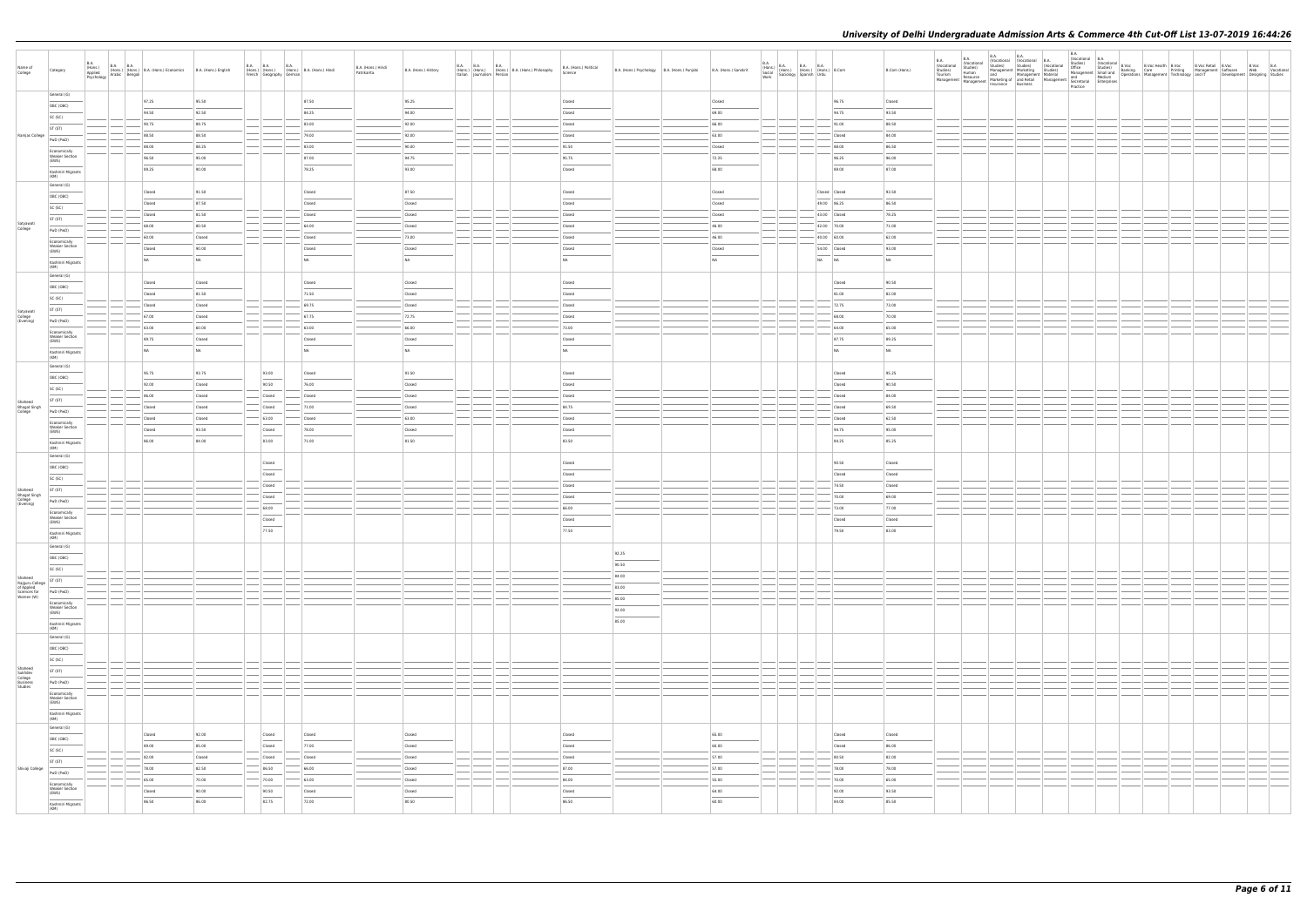| Name of<br>College                                                    | Category                                       | B.A.<br><b>B.A. B.A.</b><br>(Hons.)<br>Applied | (Hons.) (Hons.) (Hons.) B.A. (Hons.) Economics B.A. (Hons.) English<br>Applied (Hons.) (Hons.) B.A. (Hons.) Economics B.A. (Hons.) English |                  | <b>B.A. B.A.</b> | French Geography German            | <b>B.A.</b><br>(Hons.) (Hons.) (Hons.) B.A. (Hons.) Hindi | B.A. (Hons.) Hindi<br>Patrikarita | B.A. (Hons.) History | B.A. B.A. | <b>B.A.</b><br>(Hons.) (Hons.) (Hons.) B.A. (Hons.) Philosophy<br>Italian Journalism Persian | B.A. (Hons.) Political<br>Science | B.A. (Hons.) Psychology B.A. (Hons.) Punjabi B.A. (Hons.) Sanskrit |           | B.A. (Hons.) B.A. B.A. B.A. (Hons.) B.Com<br>Social (Hons.) (Hons.) (Hons.) B.Com<br>Work Sociology Spanish Urdu |       |                  | B.Com (Hons.)  |  |  |  | Development Designing Studies | B.Voc B.A<br>Web Vocational |
|-----------------------------------------------------------------------|------------------------------------------------|------------------------------------------------|--------------------------------------------------------------------------------------------------------------------------------------------|------------------|------------------|------------------------------------|-----------------------------------------------------------|-----------------------------------|----------------------|-----------|----------------------------------------------------------------------------------------------|-----------------------------------|--------------------------------------------------------------------|-----------|------------------------------------------------------------------------------------------------------------------|-------|------------------|----------------|--|--|--|-------------------------------|-----------------------------|
|                                                                       | General (G)                                    |                                                | 97.25                                                                                                                                      | 95.50            |                  |                                    | 87.50                                                     |                                   | 95.25                |           |                                                                                              | Closed                            |                                                                    | Closed    |                                                                                                                  |       | 96.75            | Closed         |  |  |  |                               |                             |
|                                                                       | OBC (OBC)                                      |                                                | 94.50                                                                                                                                      | 92.50            |                  |                                    | 84.25                                                     |                                   | 94.00                |           |                                                                                              | Closed                            |                                                                    | 69.00     |                                                                                                                  |       | 94.75            | 93.50          |  |  |  |                               |                             |
|                                                                       | SC (SC)                                        |                                                | 90.75                                                                                                                                      | 89.75            |                  |                                    | 83.00                                                     |                                   | 92.00                |           |                                                                                              | Closed                            |                                                                    | 66.00     |                                                                                                                  |       | 91.00            | 88.50          |  |  |  |                               |                             |
| Ramjas College                                                        | ST (ST)                                        |                                                | 88.50                                                                                                                                      | 88.50            |                  |                                    | 79.00                                                     |                                   | 92.00                |           |                                                                                              | Closed                            |                                                                    | 63.00     |                                                                                                                  |       | Closed           | 84.00          |  |  |  |                               |                             |
|                                                                       | PwD (PwD)                                      |                                                | 88.00                                                                                                                                      | 88.25            |                  |                                    | 83.00                                                     |                                   | 90.00                |           |                                                                                              | 91.50                             |                                                                    | Closed    |                                                                                                                  |       | 88.00            | 86.50          |  |  |  |                               |                             |
|                                                                       | Economically<br><b>Weaker Section</b><br>(EWS) |                                                | 96.50                                                                                                                                      | 95.00            |                  |                                    | 87.00                                                     |                                   | 94.75                |           |                                                                                              | 95.75                             |                                                                    | 72.25     |                                                                                                                  |       | 96.25            | 96.00          |  |  |  |                               |                             |
|                                                                       | Kashmiri Migrants                              |                                                | 89.25                                                                                                                                      | 90.00            |                  |                                    | 78.25                                                     |                                   | 93.00                |           |                                                                                              | Closed                            |                                                                    | 68.00     |                                                                                                                  |       | 89.00            | 87.00          |  |  |  |                               |                             |
|                                                                       | (KM)                                           |                                                |                                                                                                                                            |                  |                  |                                    |                                                           |                                   |                      |           |                                                                                              |                                   |                                                                    |           |                                                                                                                  |       |                  |                |  |  |  |                               |                             |
|                                                                       | General (G)                                    |                                                | Closed                                                                                                                                     | 91.50            |                  |                                    | Closed                                                    |                                   | 87.50                |           |                                                                                              | Closed                            |                                                                    | Closed    |                                                                                                                  |       | Closed Closed    | 93.50          |  |  |  |                               |                             |
|                                                                       | OBC (OBC)<br>SC (SC)                           |                                                | Closed                                                                                                                                     | 87.50            |                  |                                    | Closed                                                    |                                   | Closed               |           |                                                                                              | Closed                            |                                                                    | Closed    |                                                                                                                  |       | 49.00 86.25      | 86.50          |  |  |  |                               |                             |
|                                                                       | ST (ST)                                        |                                                | Closed                                                                                                                                     | 81.50            |                  |                                    | Closed                                                    |                                   | Closed               |           |                                                                                              | Closed                            |                                                                    | Closed    |                                                                                                                  |       | 43.00 Closed     | 78.25          |  |  |  |                               |                             |
| Satyawati<br>College                                                  | PwD (PwD)                                      |                                                | 68.00                                                                                                                                      | 80.50            |                  |                                    | 64.00                                                     |                                   | Closed               |           |                                                                                              | Closed                            |                                                                    | 46.00     |                                                                                                                  |       | 42.00 70.00      | 71.00          |  |  |  |                               |                             |
|                                                                       | Economically                                   |                                                | 60.00                                                                                                                                      | Closed           |                  |                                    | Closed                                                    |                                   | 73.00                |           |                                                                                              | Closed                            |                                                                    | 46.00     |                                                                                                                  |       | 40.00 60.00      | 62.00          |  |  |  |                               |                             |
|                                                                       | <b>Weaker Section</b><br>(EWS)                 |                                                | Closed                                                                                                                                     | 90.00            |                  |                                    | Closed                                                    |                                   | Closed               |           |                                                                                              | Closed                            |                                                                    | Closed    |                                                                                                                  |       | 54.00 Closed     | 93.00          |  |  |  |                               |                             |
|                                                                       | Kashmiri Migrants                              |                                                | <b>NA</b>                                                                                                                                  | NA               |                  |                                    | <b>NA</b>                                                 |                                   | NA                   |           |                                                                                              | NA                                |                                                                    | <b>NA</b> |                                                                                                                  | NA NA |                  | NA             |  |  |  |                               |                             |
|                                                                       | (KM)<br>General (G)                            |                                                |                                                                                                                                            |                  |                  |                                    |                                                           |                                   |                      |           |                                                                                              |                                   |                                                                    |           |                                                                                                                  |       |                  |                |  |  |  |                               |                             |
|                                                                       | OBC (OBC)                                      |                                                | Closed                                                                                                                                     | Closed           |                  |                                    | Closed                                                    |                                   | Closed               |           |                                                                                              | Closed                            |                                                                    |           |                                                                                                                  |       | Closed           | 90.50          |  |  |  |                               |                             |
|                                                                       | SC (SC)                                        |                                                | Closed                                                                                                                                     | 81.50            |                  |                                    | 71.50                                                     |                                   | Closed               |           |                                                                                              | Closed                            |                                                                    |           |                                                                                                                  |       | 81.00            | 82.00          |  |  |  |                               |                             |
| Satyawati                                                             | ST (ST)                                        |                                                | Closed                                                                                                                                     | Closed           |                  |                                    | 69.75                                                     |                                   | Closed               |           |                                                                                              | Closed                            |                                                                    |           |                                                                                                                  |       | 72.75            | 73.00          |  |  |  |                               |                             |
| College<br>(Evening)                                                  | PwD (PwD)                                      |                                                | 67.00                                                                                                                                      | Closed           |                  |                                    | 67.75                                                     |                                   | 72.75                |           |                                                                                              | Closed                            |                                                                    |           |                                                                                                                  |       | 68.00            | 70.00          |  |  |  |                               |                             |
|                                                                       | Economically                                   |                                                | 63.00                                                                                                                                      | 60.00            |                  |                                    | 63.00                                                     |                                   | 66.00                |           |                                                                                              | 73.00                             |                                                                    |           |                                                                                                                  |       | 64.00            | 65.00          |  |  |  |                               |                             |
|                                                                       | <b>Weaker Section</b><br>(EWS)                 |                                                | 89.75                                                                                                                                      | Closed           |                  |                                    | Closed                                                    |                                   | Closed               |           |                                                                                              | Closed                            |                                                                    |           |                                                                                                                  |       | 87.75            | 89.25          |  |  |  |                               |                             |
|                                                                       | Kashmiri Migrants<br>(KM)                      |                                                | N <sub>A</sub>                                                                                                                             | NA               |                  |                                    | <b>NA</b>                                                 |                                   | NA                   |           |                                                                                              | NA                                |                                                                    |           |                                                                                                                  |       | NA               | NA             |  |  |  |                               |                             |
|                                                                       | General (G)                                    |                                                |                                                                                                                                            |                  |                  |                                    |                                                           |                                   |                      |           |                                                                                              |                                   |                                                                    |           |                                                                                                                  |       |                  |                |  |  |  |                               |                             |
|                                                                       | OBC (OBC)                                      |                                                | 95.75                                                                                                                                      | 93.75            |                  | 93.00                              | Closed                                                    |                                   | 91.50                |           |                                                                                              | Closed                            |                                                                    |           |                                                                                                                  |       | Closed           | 95.25          |  |  |  |                               |                             |
|                                                                       | SC (SC)                                        |                                                | 92.00                                                                                                                                      | Closed           |                  | 90.50                              | 76.00                                                     |                                   | Closed               |           |                                                                                              | Closed                            |                                                                    |           |                                                                                                                  |       | Closed           | 90.50          |  |  |  |                               |                             |
| Shaheed                                                               | ST (ST)                                        |                                                | 86.00<br>Closed                                                                                                                            | Closed<br>Closed |                  | Closed<br>Closed                   | Closed<br>71.00                                           |                                   | Closed<br>Closed     |           |                                                                                              | Closed<br>84.75                   |                                                                    |           |                                                                                                                  |       | Closed<br>Closed | 84.00<br>69.50 |  |  |  |                               |                             |
| Bhagat Singh                                                          | PwD (PwD)                                      |                                                | Closed                                                                                                                                     | Closed           |                  | $- 63.00$                          | Closed                                                    |                                   | 63.00                |           |                                                                                              | Closed                            |                                                                    |           |                                                                                                                  |       | Closed           | 62.50          |  |  |  |                               |                             |
|                                                                       | Economically<br><b>Weaker Section</b>          |                                                | Closed                                                                                                                                     | 93.50            |                  | Closed                             | 78.00                                                     |                                   | Closed               |           |                                                                                              | Closed                            |                                                                    |           |                                                                                                                  |       | 94.75            | 95.00          |  |  |  |                               |                             |
|                                                                       | (EWS)                                          |                                                | 86.00                                                                                                                                      | 84.00            |                  | 83.00                              | 71.00                                                     |                                   | 81.50                |           |                                                                                              | 83.50                             |                                                                    |           |                                                                                                                  |       | 84.25            | 85.25          |  |  |  |                               |                             |
|                                                                       | Kashmiri Migrants<br>(KM)                      |                                                |                                                                                                                                            |                  |                  |                                    |                                                           |                                   |                      |           |                                                                                              |                                   |                                                                    |           |                                                                                                                  |       |                  |                |  |  |  |                               |                             |
|                                                                       | General (G)                                    |                                                |                                                                                                                                            |                  |                  | Closed                             |                                                           |                                   |                      |           |                                                                                              | Closed                            |                                                                    |           |                                                                                                                  |       | 90.50            | Closed         |  |  |  |                               |                             |
|                                                                       | OBC (OBC)                                      |                                                |                                                                                                                                            |                  |                  | Closed                             |                                                           |                                   |                      |           |                                                                                              | Closed                            |                                                                    |           |                                                                                                                  |       | Closed           | Closed         |  |  |  |                               |                             |
|                                                                       | SC (SC)                                        |                                                |                                                                                                                                            |                  |                  | Closed                             |                                                           |                                   |                      |           |                                                                                              | Closed                            |                                                                    |           |                                                                                                                  |       | 74.50            | Closed         |  |  |  |                               |                             |
| Shaheed<br>Bhagat Singh<br>College<br>(Evening)                       | ST (ST)<br>PwD (PwD)                           |                                                |                                                                                                                                            |                  |                  | Closed                             |                                                           |                                   |                      |           |                                                                                              | Closed                            |                                                                    |           |                                                                                                                  |       | 70.00            | 69.00          |  |  |  |                               |                             |
|                                                                       | Economically                                   |                                                |                                                                                                                                            |                  |                  | 68.00                              |                                                           |                                   |                      |           |                                                                                              | 66.00                             |                                                                    |           |                                                                                                                  |       | 73.00            | 77.00          |  |  |  |                               |                             |
|                                                                       | <b>Weaker Section</b><br>(EWS)                 |                                                |                                                                                                                                            |                  |                  | Closed                             |                                                           |                                   |                      |           |                                                                                              | Closed                            |                                                                    |           |                                                                                                                  |       | Closed           | Closed         |  |  |  |                               |                             |
|                                                                       | Kashmiri Migrants                              |                                                |                                                                                                                                            |                  |                  | 77.50                              |                                                           |                                   |                      |           |                                                                                              | 77.50                             |                                                                    |           |                                                                                                                  |       | 79.50            | 83.00          |  |  |  |                               |                             |
|                                                                       | General (G)                                    |                                                |                                                                                                                                            |                  |                  |                                    |                                                           |                                   |                      |           |                                                                                              |                                   |                                                                    |           |                                                                                                                  |       |                  |                |  |  |  |                               |                             |
|                                                                       | OBC (OBC)                                      |                                                |                                                                                                                                            |                  |                  |                                    |                                                           |                                   |                      |           |                                                                                              |                                   | 92.25                                                              |           |                                                                                                                  |       |                  |                |  |  |  |                               |                             |
|                                                                       | SC (SC)                                        |                                                |                                                                                                                                            |                  |                  |                                    |                                                           |                                   |                      |           |                                                                                              |                                   | 90.50                                                              |           |                                                                                                                  |       |                  |                |  |  |  |                               |                             |
|                                                                       | ST (ST)                                        |                                                |                                                                                                                                            |                  |                  |                                    |                                                           |                                   |                      |           |                                                                                              |                                   | 84.00                                                              |           |                                                                                                                  |       |                  |                |  |  |  |                               |                             |
| Shaheed<br>Rajguru College<br>of Applied<br>Sciences for<br>Women (W) | PwD (PwD)                                      |                                                |                                                                                                                                            |                  |                  |                                    |                                                           |                                   |                      |           |                                                                                              |                                   | 83.00                                                              |           |                                                                                                                  |       |                  |                |  |  |  |                               |                             |
|                                                                       | Economically                                   |                                                |                                                                                                                                            |                  |                  |                                    |                                                           |                                   |                      |           |                                                                                              |                                   | 85.00                                                              |           |                                                                                                                  |       |                  |                |  |  |  |                               |                             |
|                                                                       | Weaker Section<br>(EWS)                        |                                                |                                                                                                                                            |                  |                  |                                    |                                                           |                                   |                      |           |                                                                                              |                                   | 92.00<br>85.00                                                     |           |                                                                                                                  |       |                  |                |  |  |  |                               |                             |
|                                                                       | Kashmiri Migrants<br>(KM)                      |                                                |                                                                                                                                            |                  |                  |                                    |                                                           |                                   |                      |           |                                                                                              |                                   |                                                                    |           |                                                                                                                  |       |                  |                |  |  |  |                               |                             |
|                                                                       | General (G)                                    |                                                |                                                                                                                                            |                  |                  |                                    |                                                           |                                   |                      |           |                                                                                              |                                   |                                                                    |           |                                                                                                                  |       |                  |                |  |  |  |                               |                             |
|                                                                       | OBC (OBC)                                      |                                                |                                                                                                                                            |                  |                  |                                    |                                                           |                                   |                      |           |                                                                                              |                                   |                                                                    |           |                                                                                                                  |       |                  |                |  |  |  |                               |                             |
|                                                                       | SC (SC)                                        | $\frac{1}{2}$                                  |                                                                                                                                            |                  |                  |                                    |                                                           |                                   |                      |           |                                                                                              |                                   |                                                                    |           |                                                                                                                  |       |                  |                |  |  |  |                               |                             |
| Shaheed<br>Sukhdev<br>College<br>Business<br>Studies                  | ST (ST)                                        | <b>Contract Contract Contract</b>              |                                                                                                                                            |                  |                  |                                    |                                                           |                                   |                      | $-$       |                                                                                              |                                   |                                                                    |           |                                                                                                                  |       |                  |                |  |  |  |                               |                             |
|                                                                       | PwD (PwD)                                      |                                                |                                                                                                                                            |                  |                  |                                    |                                                           |                                   |                      |           |                                                                                              |                                   |                                                                    |           |                                                                                                                  |       |                  |                |  |  |  |                               |                             |
|                                                                       | Economically<br><b>Weaker Section</b><br>(EWS) |                                                |                                                                                                                                            |                  |                  |                                    |                                                           |                                   |                      |           |                                                                                              |                                   |                                                                    |           |                                                                                                                  |       |                  |                |  |  |  |                               |                             |
|                                                                       | $\sim$<br>Kashmiri Migrants<br>(KM)            |                                                |                                                                                                                                            |                  |                  |                                    |                                                           |                                   |                      |           |                                                                                              |                                   |                                                                    |           |                                                                                                                  |       |                  |                |  |  |  |                               |                             |
|                                                                       | General (G)                                    |                                                |                                                                                                                                            |                  |                  |                                    |                                                           |                                   |                      |           |                                                                                              |                                   |                                                                    |           |                                                                                                                  |       |                  |                |  |  |  |                               |                             |
|                                                                       | OBC (OBC)                                      |                                                | Closed                                                                                                                                     | 92.00            |                  | Closed                             | Closed                                                    |                                   | Closed               |           |                                                                                              | Closed                            |                                                                    | 65.00     |                                                                                                                  |       | Closed           | Closed         |  |  |  |                               |                             |
|                                                                       | SC (SC)                                        |                                                | 89.00                                                                                                                                      | 85.00            |                  | $\overline{\phantom{a}}$<br>Closed | 77.00                                                     |                                   | Closed               |           |                                                                                              | Closed                            |                                                                    | 60.00     |                                                                                                                  |       | Closed           | 86.00          |  |  |  |                               |                             |
|                                                                       | ST (ST)                                        |                                                | 82.00                                                                                                                                      | Closed           |                  | Closed                             | Closed                                                    |                                   | Closed               |           |                                                                                              | Closed                            |                                                                    | 57.00     |                                                                                                                  |       | 80.50            | 82.00          |  |  |  |                               |                             |
| Shivaji College                                                       | PwD (PwD)                                      |                                                | 78.00                                                                                                                                      | 82.50            |                  | 86.50                              | 66.00                                                     |                                   | Closed               |           |                                                                                              | 87.00                             |                                                                    | 57.00     |                                                                                                                  |       | 78.00            | 78.00          |  |  |  |                               |                             |
|                                                                       | Economically                                   |                                                | 65.00                                                                                                                                      | 70.00            |                  | $-70.00$                           | 63.00                                                     |                                   | Closed               |           |                                                                                              | 84.00                             |                                                                    | $-$ 55.00 |                                                                                                                  |       | 70.00            | 65.00          |  |  |  |                               |                             |
|                                                                       | <b>Weaker Section</b><br>(EWS)                 |                                                | Closed                                                                                                                                     | 90.00            |                  | 90.50                              | Closed                                                    |                                   | Closed               |           |                                                                                              | Closed                            |                                                                    | 64.00     |                                                                                                                  |       | 92.00            | 93.50          |  |  |  |                               |                             |
|                                                                       | Kashmiri Migrants<br>(KM)                      |                                                | 86.50                                                                                                                                      | 86.00            |                  | 82.75                              | 72.00                                                     |                                   | 80.50                |           |                                                                                              | 86.50                             |                                                                    | 60.00     |                                                                                                                  |       | 84.00            | 85.50          |  |  |  |                               |                             |
|                                                                       |                                                |                                                |                                                                                                                                            |                  |                  |                                    |                                                           |                                   |                      |           |                                                                                              |                                   |                                                                    |           |                                                                                                                  |       |                  |                |  |  |  |                               |                             |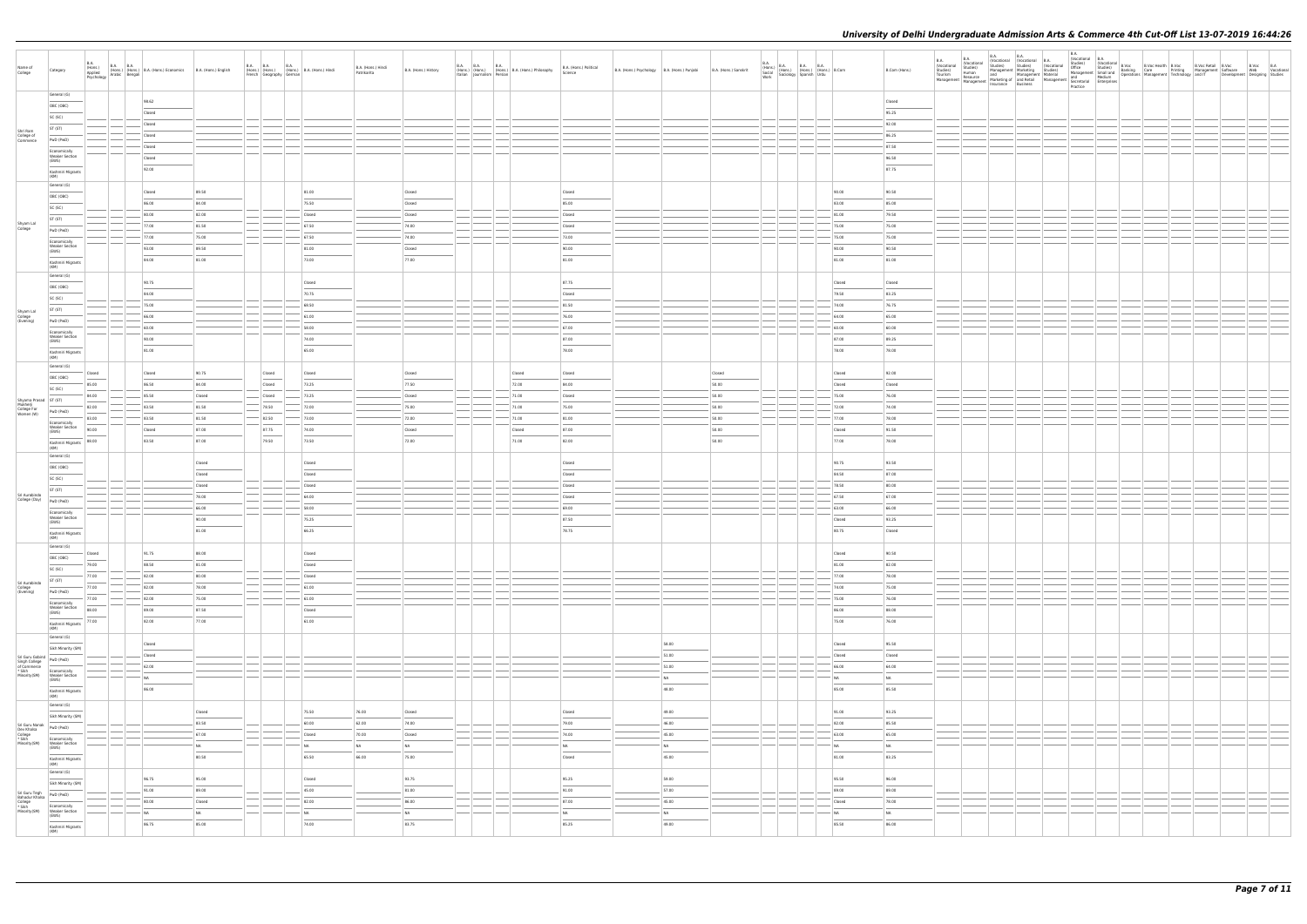| Name of<br>College                                                                                      | Category                                                                                                                                                                                                                                                                                                                                                                                                                                                                                        | B.A.<br>(Hons.)<br>Applied (Hons.) (Hons.) B<br>Psychology Arabic Bengali | B.A. B.A. (Hons.) B.A. (Hons.) Economics B.A. (Hons.) English |        | French Geography German | B.A. (Hons.) B.A. (Hons.) B.A. (Hons.) Hindi | B.A. (Hons.) Hindi<br>Patrikarita | B.A. (Hons.) History              |  | Italian Journalism Persian | B.A. B.A. B.A. B.A. (Hons.) B.A. (Hons.) Philosophy | B.A. (Hons.) Political<br>Science | B.A. (Hons.) Psychology   B.A. (Hons.) Punjabi |                                   | B.A. (Hons.) Sanskrit | B.A. (Hons.) B.A. B.A. B.A. (Hons.) B.Com<br>Social (Hons.) (Hons.) (Hons.) B.Com<br>Work Sociology Spanish Urdu |                                         | B.Com (Hons.)  | <b>B.A.</b><br><b>Vocational</b><br>Studies)<br>Tourism<br>Management |  |  |  |  |  |  |
|---------------------------------------------------------------------------------------------------------|-------------------------------------------------------------------------------------------------------------------------------------------------------------------------------------------------------------------------------------------------------------------------------------------------------------------------------------------------------------------------------------------------------------------------------------------------------------------------------------------------|---------------------------------------------------------------------------|---------------------------------------------------------------|--------|-------------------------|----------------------------------------------|-----------------------------------|-----------------------------------|--|----------------------------|-----------------------------------------------------|-----------------------------------|------------------------------------------------|-----------------------------------|-----------------------|------------------------------------------------------------------------------------------------------------------|-----------------------------------------|----------------|-----------------------------------------------------------------------|--|--|--|--|--|--|
|                                                                                                         | General (G)                                                                                                                                                                                                                                                                                                                                                                                                                                                                                     |                                                                           | 98.62                                                         |        |                         |                                              |                                   |                                   |  |                            |                                                     |                                   |                                                |                                   |                       |                                                                                                                  |                                         | Closed         |                                                                       |  |  |  |  |  |  |
|                                                                                                         | OBC (OBC)                                                                                                                                                                                                                                                                                                                                                                                                                                                                                       |                                                                           | Closed                                                        |        |                         |                                              |                                   |                                   |  |                            |                                                     |                                   |                                                |                                   |                       |                                                                                                                  |                                         | 95.25          |                                                                       |  |  |  |  |  |  |
|                                                                                                         | SC (SC)                                                                                                                                                                                                                                                                                                                                                                                                                                                                                         |                                                                           | Closed                                                        |        |                         |                                              |                                   |                                   |  |                            |                                                     |                                   |                                                |                                   |                       |                                                                                                                  |                                         | 92.00          |                                                                       |  |  |  |  |  |  |
| Shri Ram<br>College of<br>Commerce                                                                      | ST (ST)                                                                                                                                                                                                                                                                                                                                                                                                                                                                                         |                                                                           | Closed                                                        |        |                         |                                              |                                   |                                   |  |                            |                                                     |                                   |                                                |                                   |                       |                                                                                                                  |                                         | 86.25          |                                                                       |  |  |  |  |  |  |
|                                                                                                         | PwD (PwD)                                                                                                                                                                                                                                                                                                                                                                                                                                                                                       |                                                                           | Closed                                                        |        |                         |                                              |                                   |                                   |  |                            |                                                     |                                   |                                                |                                   |                       |                                                                                                                  |                                         | 87.50          |                                                                       |  |  |  |  |  |  |
|                                                                                                         | Economically<br><b>Weaker Section</b>                                                                                                                                                                                                                                                                                                                                                                                                                                                           |                                                                           | Closed                                                        |        |                         |                                              |                                   |                                   |  |                            |                                                     |                                   |                                                |                                   |                       |                                                                                                                  |                                         | 96.50          |                                                                       |  |  |  |  |  |  |
|                                                                                                         | (EWS)<br>Kashmiri Migrants                                                                                                                                                                                                                                                                                                                                                                                                                                                                      |                                                                           | 92.00                                                         |        |                         |                                              |                                   |                                   |  |                            |                                                     |                                   |                                                |                                   |                       |                                                                                                                  |                                         | 87.75          |                                                                       |  |  |  |  |  |  |
|                                                                                                         | (KM)                                                                                                                                                                                                                                                                                                                                                                                                                                                                                            |                                                                           |                                                               |        |                         |                                              |                                   |                                   |  |                            |                                                     |                                   |                                                |                                   |                       |                                                                                                                  |                                         |                |                                                                       |  |  |  |  |  |  |
|                                                                                                         | General (G)                                                                                                                                                                                                                                                                                                                                                                                                                                                                                     |                                                                           | Closed                                                        | 89.50  |                         | 81.00                                        |                                   | Closed                            |  |                            |                                                     | Closed                            |                                                |                                   |                       |                                                                                                                  | 90.00                                   | 90.50          |                                                                       |  |  |  |  |  |  |
|                                                                                                         | OBC (OBC)                                                                                                                                                                                                                                                                                                                                                                                                                                                                                       |                                                                           | 86.00                                                         | 84.00  |                         | 75.50                                        |                                   | Closed                            |  |                            |                                                     | 85.00                             |                                                |                                   |                       |                                                                                                                  | 83.00                                   | 85.00          |                                                                       |  |  |  |  |  |  |
|                                                                                                         | SC (SC)                                                                                                                                                                                                                                                                                                                                                                                                                                                                                         |                                                                           | 80.00                                                         | 82.00  |                         | Closed                                       |                                   | Closed                            |  |                            |                                                     | Closed                            |                                                |                                   |                       |                                                                                                                  | 81.00                                   | 79.50          |                                                                       |  |  |  |  |  |  |
| Shyam Lal<br>College                                                                                    | ST (ST)<br>PwD (PwD)                                                                                                                                                                                                                                                                                                                                                                                                                                                                            |                                                                           | 77.00                                                         | 81.50  |                         | 67.50                                        |                                   | 74.00                             |  |                            |                                                     | Closed                            |                                                |                                   |                       |                                                                                                                  | 75.00                                   | 75.00          |                                                                       |  |  |  |  |  |  |
|                                                                                                         | Economically                                                                                                                                                                                                                                                                                                                                                                                                                                                                                    |                                                                           | 77.00                                                         | 75.00  |                         | $-67.50$                                     |                                   | 74.00                             |  |                            |                                                     | 73.00                             |                                                |                                   |                       |                                                                                                                  | 75.00                                   | 75.00          |                                                                       |  |  |  |  |  |  |
|                                                                                                         | <b>Weaker Section</b><br>(EWS)                                                                                                                                                                                                                                                                                                                                                                                                                                                                  |                                                                           | 93.00                                                         | 89.50  |                         | 81.00                                        |                                   | Closed                            |  |                            |                                                     | 90.00                             |                                                |                                   |                       |                                                                                                                  | 90.00                                   | 90.50          |                                                                       |  |  |  |  |  |  |
|                                                                                                         | Kashmiri Migrants                                                                                                                                                                                                                                                                                                                                                                                                                                                                               |                                                                           | 84.00                                                         | 81.00  |                         | 73.00                                        |                                   | 77.00                             |  |                            |                                                     | 81.00                             |                                                |                                   |                       |                                                                                                                  | 81.00                                   | 81.00          |                                                                       |  |  |  |  |  |  |
|                                                                                                         | (KM)<br>General (G)                                                                                                                                                                                                                                                                                                                                                                                                                                                                             |                                                                           |                                                               |        |                         |                                              |                                   |                                   |  |                            |                                                     |                                   |                                                |                                   |                       |                                                                                                                  |                                         |                |                                                                       |  |  |  |  |  |  |
|                                                                                                         | OBC (OBC)                                                                                                                                                                                                                                                                                                                                                                                                                                                                                       |                                                                           | 90.75                                                         |        |                         | Closed                                       |                                   |                                   |  |                            |                                                     | 87.75                             |                                                |                                   |                       |                                                                                                                  | Closed                                  | Closed         |                                                                       |  |  |  |  |  |  |
|                                                                                                         | SC (SC)                                                                                                                                                                                                                                                                                                                                                                                                                                                                                         |                                                                           | 84.00                                                         |        |                         | 70.75                                        |                                   |                                   |  |                            |                                                     | Closed                            |                                                |                                   |                       |                                                                                                                  | 79.50                                   | 83.25          |                                                                       |  |  |  |  |  |  |
|                                                                                                         | ST (ST)                                                                                                                                                                                                                                                                                                                                                                                                                                                                                         |                                                                           | 75.00                                                         |        |                         | 68.50                                        |                                   |                                   |  |                            |                                                     | 81.50                             |                                                |                                   |                       |                                                                                                                  | 74.00                                   | 76.75          |                                                                       |  |  |  |  |  |  |
| Shyam Lal<br>College<br>(Evening)                                                                       | PwD (PwD)                                                                                                                                                                                                                                                                                                                                                                                                                                                                                       |                                                                           | 66.00                                                         |        |                         | 61.00                                        |                                   |                                   |  |                            |                                                     | 76.00                             |                                                |                                   |                       |                                                                                                                  | 64.00                                   | 65.00          |                                                                       |  |  |  |  |  |  |
|                                                                                                         | Economically                                                                                                                                                                                                                                                                                                                                                                                                                                                                                    |                                                                           | 60.00                                                         |        |                         | 58.00                                        |                                   |                                   |  |                            |                                                     | 67.00                             |                                                |                                   |                       |                                                                                                                  | 60.00                                   | 60.00          |                                                                       |  |  |  |  |  |  |
|                                                                                                         | <b>Weaker Section</b><br>(EWS)                                                                                                                                                                                                                                                                                                                                                                                                                                                                  |                                                                           | 90.00                                                         |        |                         | 74.00                                        |                                   |                                   |  |                            |                                                     | 87.00                             |                                                |                                   |                       |                                                                                                                  | 87.00                                   | 89.25          |                                                                       |  |  |  |  |  |  |
|                                                                                                         | Kashmiri Migrants<br>(KM)                                                                                                                                                                                                                                                                                                                                                                                                                                                                       |                                                                           | 81.00                                                         |        |                         | 65.00                                        |                                   |                                   |  |                            |                                                     | 78.00                             |                                                |                                   |                       |                                                                                                                  | 78.00                                   | 78.00          |                                                                       |  |  |  |  |  |  |
|                                                                                                         | General (G)                                                                                                                                                                                                                                                                                                                                                                                                                                                                                     |                                                                           |                                                               |        |                         |                                              |                                   |                                   |  |                            |                                                     |                                   |                                                |                                   |                       |                                                                                                                  |                                         |                |                                                                       |  |  |  |  |  |  |
|                                                                                                         | OBC (OBC)                                                                                                                                                                                                                                                                                                                                                                                                                                                                                       | Closed<br>$\sim$                                                          | Closed                                                        | 90.75  | Closed                  | Closed                                       |                                   | Closed                            |  |                            | Closed                                              | Closed                            |                                                |                                   | Closed                |                                                                                                                  | Closed                                  | 92.00          |                                                                       |  |  |  |  |  |  |
|                                                                                                         | SC (SC)                                                                                                                                                                                                                                                                                                                                                                                                                                                                                         | 85.00                                                                     | 86.50                                                         | 84.00  | Closed                  | 73.25                                        |                                   | 77.50                             |  |                            | 72.00                                               | 84.00                             |                                                |                                   | 50.00                 |                                                                                                                  | Closed                                  | Closed         |                                                                       |  |  |  |  |  |  |
| Shyama Prasad ST (ST)                                                                                   |                                                                                                                                                                                                                                                                                                                                                                                                                                                                                                 | 84.00                                                                     | 85.50                                                         | Closed | Closed                  | 73.25                                        |                                   | Closed                            |  |                            | 71.00                                               | Closed                            |                                                |                                   | 50.00                 |                                                                                                                  | 75.00                                   | 76.00          |                                                                       |  |  |  |  |  |  |
| Mukherji<br>College For<br>Women (W)                                                                    | PwD (PwD)                                                                                                                                                                                                                                                                                                                                                                                                                                                                                       | 82.00                                                                     | 83.50                                                         | 81.50  | 78.50                   | 72.00                                        |                                   | 75.00                             |  |                            | 71.00                                               | 75.00                             |                                                |                                   | 50.00                 |                                                                                                                  | 72.00                                   | 74.00          |                                                                       |  |  |  |  |  |  |
|                                                                                                         | Economically<br><b>Weaker Section</b>                                                                                                                                                                                                                                                                                                                                                                                                                                                           | 83.00                                                                     | 83.50                                                         | 81.50  | 82.50                   | 73.00                                        |                                   | 72.00                             |  |                            | 71.00                                               | 81.00                             |                                                |                                   | 50.00                 |                                                                                                                  | 77.00                                   | 78.00          |                                                                       |  |  |  |  |  |  |
|                                                                                                         | (EWS)<br>$\frac{1}{2} \left( \frac{1}{2} \right) \left( \frac{1}{2} \right) \left( \frac{1}{2} \right) \left( \frac{1}{2} \right) \left( \frac{1}{2} \right) \left( \frac{1}{2} \right) \left( \frac{1}{2} \right) \left( \frac{1}{2} \right) \left( \frac{1}{2} \right) \left( \frac{1}{2} \right) \left( \frac{1}{2} \right) \left( \frac{1}{2} \right) \left( \frac{1}{2} \right) \left( \frac{1}{2} \right) \left( \frac{1}{2} \right) \left( \frac{1}{2} \right) \left( \frac$             | 90.00                                                                     | Closed                                                        | 87.00  | 87.75                   | 74.00                                        |                                   | Closed                            |  |                            | Closed                                              | 87.00                             |                                                |                                   | 50.00                 |                                                                                                                  | Closed                                  | 91.50          |                                                                       |  |  |  |  |  |  |
|                                                                                                         | Kashmiri Migrants<br>(KM)                                                                                                                                                                                                                                                                                                                                                                                                                                                                       | 88.00                                                                     | 83.50                                                         | 87.00  | 79.50                   | 73.50                                        |                                   | 72.00                             |  |                            | 71.00                                               | 82.00                             |                                                |                                   | 50.00                 |                                                                                                                  | 77.00                                   | 78.00          |                                                                       |  |  |  |  |  |  |
|                                                                                                         | General (G)                                                                                                                                                                                                                                                                                                                                                                                                                                                                                     |                                                                           |                                                               | Closed |                         | Closed                                       |                                   |                                   |  |                            |                                                     | Closed                            |                                                |                                   |                       |                                                                                                                  | 90.75                                   | 93.50          |                                                                       |  |  |  |  |  |  |
|                                                                                                         | OBC (OBC)                                                                                                                                                                                                                                                                                                                                                                                                                                                                                       |                                                                           |                                                               | Closed |                         | Closed                                       |                                   |                                   |  |                            |                                                     | Closed                            |                                                |                                   |                       |                                                                                                                  | 84.50                                   | 87.00          |                                                                       |  |  |  |  |  |  |
|                                                                                                         | SC (SC)                                                                                                                                                                                                                                                                                                                                                                                                                                                                                         |                                                                           |                                                               | Closed |                         | Closed                                       |                                   |                                   |  |                            |                                                     | Closed                            |                                                |                                   |                       |                                                                                                                  | 78.50                                   | 80.00          |                                                                       |  |  |  |  |  |  |
| Sri Aurobindo<br>College (Day)                                                                          | ST (ST)                                                                                                                                                                                                                                                                                                                                                                                                                                                                                         |                                                                           |                                                               | 78.00  |                         | 64.00                                        |                                   |                                   |  |                            |                                                     | Closed                            |                                                |                                   |                       |                                                                                                                  | 67.50                                   | 67.00          |                                                                       |  |  |  |  |  |  |
|                                                                                                         | PwD (PwD)                                                                                                                                                                                                                                                                                                                                                                                                                                                                                       |                                                                           |                                                               | 66.00  |                         | 58.00                                        |                                   |                                   |  |                            |                                                     | 69.00                             |                                                |                                   |                       |                                                                                                                  | 63.00                                   | 66.00          |                                                                       |  |  |  |  |  |  |
|                                                                                                         | Economically<br><b>Weaker Section</b><br>(EWS)                                                                                                                                                                                                                                                                                                                                                                                                                                                  |                                                                           |                                                               | 90.00  |                         | 75.25                                        |                                   |                                   |  |                            |                                                     | 87.50                             |                                                |                                   |                       |                                                                                                                  | Closed                                  | 93.25          |                                                                       |  |  |  |  |  |  |
|                                                                                                         | Kashmiri Migrants                                                                                                                                                                                                                                                                                                                                                                                                                                                                               |                                                                           |                                                               | 81.00  |                         | 66.25                                        |                                   |                                   |  |                            |                                                     | 78.75                             |                                                |                                   |                       |                                                                                                                  | 80.75                                   | Closed         |                                                                       |  |  |  |  |  |  |
|                                                                                                         | (KM)<br>General (G)                                                                                                                                                                                                                                                                                                                                                                                                                                                                             |                                                                           |                                                               |        |                         |                                              |                                   |                                   |  |                            |                                                     |                                   |                                                |                                   |                       |                                                                                                                  |                                         |                |                                                                       |  |  |  |  |  |  |
|                                                                                                         | OBC (OBC)                                                                                                                                                                                                                                                                                                                                                                                                                                                                                       | Closed                                                                    | 91.75                                                         | 88.00  |                         | Closed                                       |                                   |                                   |  |                            |                                                     |                                   |                                                |                                   |                       |                                                                                                                  | Closed                                  | 90.50          |                                                                       |  |  |  |  |  |  |
|                                                                                                         | SC (SC)                                                                                                                                                                                                                                                                                                                                                                                                                                                                                         | $\frac{1}{2}$<br>79.00                                                    | 88.50                                                         | 81.00  |                         | Closed                                       |                                   |                                   |  |                            |                                                     |                                   |                                                |                                   |                       |                                                                                                                  | 81.00                                   | 82.00          |                                                                       |  |  |  |  |  |  |
|                                                                                                         | ST (ST)                                                                                                                                                                                                                                                                                                                                                                                                                                                                                         | 77.00                                                                     | 82.00                                                         | 80.00  |                         | Closed                                       |                                   |                                   |  |                            |                                                     |                                   |                                                |                                   |                       |                                                                                                                  | 77.00                                   | 78.00          |                                                                       |  |  |  |  |  |  |
| Sri Aurobindo<br>College<br>(Evening)                                                                   | PwD (PwD)                                                                                                                                                                                                                                                                                                                                                                                                                                                                                       | $\frac{1}{2}$<br>77.00                                                    | 82.00                                                         | 78.00  |                         | 61.00                                        |                                   |                                   |  |                            |                                                     |                                   |                                                |                                   |                       |                                                                                                                  | 74.00                                   | 75.00          |                                                                       |  |  |  |  |  |  |
|                                                                                                         | Economically                                                                                                                                                                                                                                                                                                                                                                                                                                                                                    | 77.00                                                                     | 82.00                                                         | 75.00  |                         | 61.00                                        |                                   |                                   |  |                            |                                                     |                                   |                                                |                                   |                       |                                                                                                                  | 75.00                                   | 76.00          |                                                                       |  |  |  |  |  |  |
|                                                                                                         | <b>Weaker Section</b><br>(EWS)                                                                                                                                                                                                                                                                                                                                                                                                                                                                  | 88.00                                                                     | 89.00                                                         | 87.50  |                         | Closed                                       |                                   |                                   |  |                            |                                                     |                                   |                                                |                                   |                       |                                                                                                                  | 86.00                                   | 88.00          |                                                                       |  |  |  |  |  |  |
|                                                                                                         | $\frac{1}{2} \left( \frac{1}{2} \right) \left( \frac{1}{2} \right) \left( \frac{1}{2} \right) \left( \frac{1}{2} \right) \left( \frac{1}{2} \right) \left( \frac{1}{2} \right) \left( \frac{1}{2} \right) \left( \frac{1}{2} \right) \left( \frac{1}{2} \right) \left( \frac{1}{2} \right) \left( \frac{1}{2} \right) \left( \frac{1}{2} \right) \left( \frac{1}{2} \right) \left( \frac{1}{2} \right) \left( \frac{1}{2} \right) \left( \frac{1}{2} \right) \left( \frac$<br>Kashmiri Migrants | 77.00                                                                     | 82.00                                                         | 77.00  |                         | 61.00                                        |                                   |                                   |  |                            |                                                     |                                   |                                                |                                   |                       |                                                                                                                  | 75.00                                   | 76.00          |                                                                       |  |  |  |  |  |  |
|                                                                                                         | (KM)<br>General (G)                                                                                                                                                                                                                                                                                                                                                                                                                                                                             |                                                                           |                                                               |        |                         |                                              |                                   |                                   |  |                            |                                                     |                                   |                                                |                                   |                       |                                                                                                                  |                                         |                |                                                                       |  |  |  |  |  |  |
|                                                                                                         | Sikh Minority (SM)                                                                                                                                                                                                                                                                                                                                                                                                                                                                              |                                                                           | Closed<br>$\sim$                                              |        |                         |                                              |                                   |                                   |  |                            |                                                     |                                   |                                                | 58.00                             |                       |                                                                                                                  | Closed<br>$\overline{\phantom{a}}$      | 95.50          |                                                                       |  |  |  |  |  |  |
| $\begin{array}{ l c c c }\hline \text{Sri Guru Gobind} & \text{PWD (PWD)} \\ \hline \hline \end{array}$ |                                                                                                                                                                                                                                                                                                                                                                                                                                                                                                 |                                                                           | Closed                                                        |        |                         |                                              |                                   |                                   |  |                            |                                                     |                                   |                                                | 51.00                             |                       |                                                                                                                  | Closed                                  | Closed         |                                                                       |  |  |  |  |  |  |
|                                                                                                         | Singh College<br>of Commerce<br>* Sikh<br>Minority(SM)<br>* Commically<br>* Commically<br>* Minority(SM)<br>* Weaker<br>* Cruich<br>* Cruich<br>* Cruich<br>* Cruich<br>* Cruich<br>* Sikh<br>* Cruich<br>* Sikh<br>* Cruich<br>* Cruich<br>* Cruich<br>* Cruich<br>*                                                                                                                                                                                                                           |                                                                           | 62.00                                                         |        |                         |                                              |                                   |                                   |  |                            |                                                     |                                   |                                                | 51.00                             |                       |                                                                                                                  | 66.00                                   | 64.00          |                                                                       |  |  |  |  |  |  |
|                                                                                                         | (EWS)                                                                                                                                                                                                                                                                                                                                                                                                                                                                                           |                                                                           | N <sub>A</sub>                                                |        |                         |                                              |                                   |                                   |  |                            |                                                     |                                   |                                                | NA                                |                       |                                                                                                                  | NA                                      | NA             |                                                                       |  |  |  |  |  |  |
|                                                                                                         | Kashmiri Migrants<br>(KM)                                                                                                                                                                                                                                                                                                                                                                                                                                                                       |                                                                           | 86.00                                                         |        |                         |                                              |                                   |                                   |  |                            |                                                     |                                   |                                                | 48.00                             |                       |                                                                                                                  | 85.00                                   | 85.50          |                                                                       |  |  |  |  |  |  |
|                                                                                                         | General (G)                                                                                                                                                                                                                                                                                                                                                                                                                                                                                     |                                                                           |                                                               |        |                         |                                              |                                   |                                   |  |                            |                                                     |                                   |                                                |                                   |                       |                                                                                                                  |                                         |                |                                                                       |  |  |  |  |  |  |
|                                                                                                         | $\overline{\phantom{a}}$<br>Sikh Minority (SM)                                                                                                                                                                                                                                                                                                                                                                                                                                                  |                                                                           |                                                               | Closed |                         | 75.50                                        | 76.00                             | Closed                            |  |                            |                                                     | Closed                            |                                                | 49.00                             |                       |                                                                                                                  | 91.00<br>$\overline{\phantom{a}}$       | 93.25          |                                                                       |  |  |  |  |  |  |
| Sri Guru Nanak<br>Dev Khalsa<br>College<br>* Sikh<br>Minority(SM)                                       | PwD (PwD)                                                                                                                                                                                                                                                                                                                                                                                                                                                                                       |                                                                           |                                                               | 83.50  |                         | 60.00                                        | 62.00                             | 74.00                             |  |                            |                                                     | 79.00                             |                                                | 46.00                             |                       |                                                                                                                  | 82.00                                   | 85.50          |                                                                       |  |  |  |  |  |  |
|                                                                                                         | Economically                                                                                                                                                                                                                                                                                                                                                                                                                                                                                    |                                                                           |                                                               | 67.00  |                         | Closed<br><b>NA</b>                          | 70.00                             | Closed                            |  |                            |                                                     | 74.00<br>$\overline{\phantom{a}}$ |                                                | 45.00                             |                       |                                                                                                                  | 63.00                                   | 65.00          |                                                                       |  |  |  |  |  |  |
|                                                                                                         | Weaker Section<br>(EWS)<br><b>Contract Contract Contract Contract Contract Contract Contract Contract Contract Contract Contract Contract Contract Contract Contract Contract Contract Contract Contract Contract Contract Contract Contract Contract Contr</b>                                                                                                                                                                                                                                 |                                                                           |                                                               | NA     |                         |                                              | <b>NA</b>                         | NA                                |  |                            |                                                     | NA<br>$\overline{\phantom{a}}$    |                                                | NA<br>45.00                       |                       |                                                                                                                  | NA<br>$\overline{\phantom{m}}$<br>81.00 | NA<br>83.25    |                                                                       |  |  |  |  |  |  |
|                                                                                                         | Kashmiri Migrants<br>(KM)                                                                                                                                                                                                                                                                                                                                                                                                                                                                       |                                                                           |                                                               | 80.50  |                         | 65.50                                        | 66.00                             | 75.00                             |  |                            |                                                     | Closed                            |                                                |                                   |                       |                                                                                                                  |                                         |                |                                                                       |  |  |  |  |  |  |
|                                                                                                         | General (G)                                                                                                                                                                                                                                                                                                                                                                                                                                                                                     |                                                                           | 96.75                                                         | 95.00  |                         | Closed                                       |                                   | 93.75                             |  |                            |                                                     | 95.25                             |                                                | 59.00                             |                       |                                                                                                                  | 95.50                                   | 96.00          |                                                                       |  |  |  |  |  |  |
|                                                                                                         | Sikh Minority (SM)                                                                                                                                                                                                                                                                                                                                                                                                                                                                              |                                                                           | 91.00                                                         | 89.00  |                         | 45.00                                        |                                   | 81.00                             |  |                            |                                                     | 91.00                             |                                                | 57.00                             |                       |                                                                                                                  | 89.00                                   | 89.00          |                                                                       |  |  |  |  |  |  |
|                                                                                                         |                                                                                                                                                                                                                                                                                                                                                                                                                                                                                                 |                                                                           | 80.00                                                         | Closed |                         | 82.00                                        |                                   | 86.00                             |  |                            |                                                     | 87.00                             |                                                | 45.00                             |                       |                                                                                                                  | Closed                                  | 78.00          |                                                                       |  |  |  |  |  |  |
|                                                                                                         | Sri Guru Tegh<br>Bahadur Khalsa<br>College $\overline{\begin{array}{r} \text{FWD (PWD)}\\ \text{Eobs}\\ \text{Economically}\\ \text{Minority(SM)}\\ \text{(EWS)}\\ \end{array}}$                                                                                                                                                                                                                                                                                                                |                                                                           | NA                                                            | NA     |                         | <b>NA</b>                                    |                                   | NA                                |  |                            |                                                     | $\frac{1}{2}$<br>NA               |                                                | NA                                |                       |                                                                                                                  | NA                                      | N <sub>A</sub> |                                                                       |  |  |  |  |  |  |
|                                                                                                         | Kashmiri Migrants                                                                                                                                                                                                                                                                                                                                                                                                                                                                               |                                                                           | 86.75                                                         | 85.00  |                         | $\overline{\phantom{a}}$<br>74.00            |                                   | $\overline{\phantom{a}}$<br>83.75 |  |                            |                                                     | $\overline{\phantom{a}}$<br>85.25 |                                                | $\overline{\phantom{a}}$<br>49.00 |                       |                                                                                                                  | $\overline{\phantom{a}}$<br>85.50       | 86.00          |                                                                       |  |  |  |  |  |  |
|                                                                                                         | (KM)                                                                                                                                                                                                                                                                                                                                                                                                                                                                                            |                                                                           |                                                               |        |                         |                                              |                                   |                                   |  |                            |                                                     |                                   |                                                |                                   |                       |                                                                                                                  |                                         |                |                                                                       |  |  |  |  |  |  |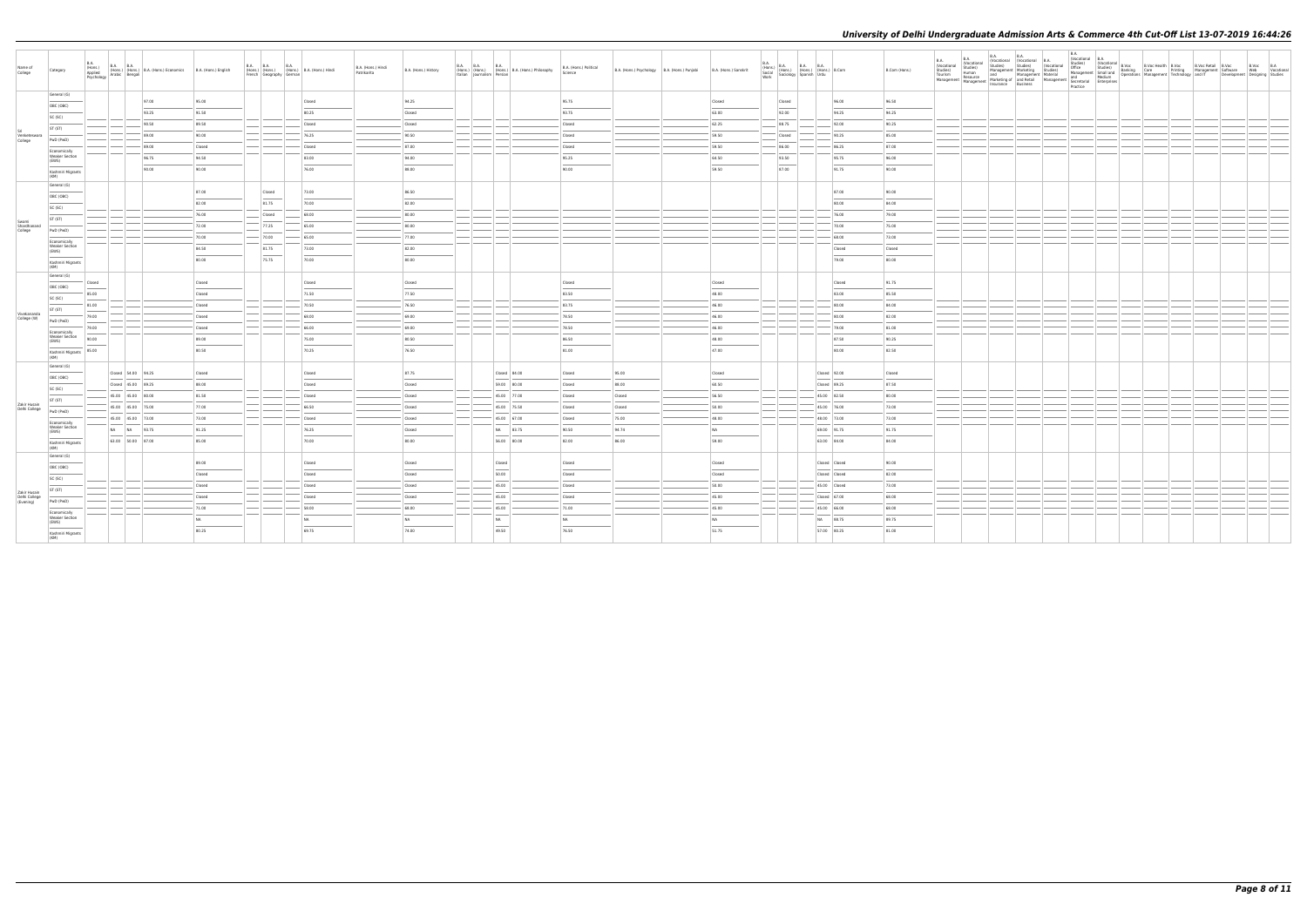| Name of<br>College            | Category                              | B.A.   |                    | B.A. B.A. B.A. B.A. (Hons.) (Formulation of the Hons.) (Formulation of Architects) and the Psychology Arabic Bengali | B.A. (Hons.) English |       | French Geography German | B.A. B.A. B.A. B.A. (Hons.) B.A. (Hons.) Hindi | B.A. (Hons.) Hindi<br>Patrikarita | B.A. (Hons.) History | B.A. B.A.<br><b>B.A.</b><br>(Hons.) (Hons.) (Hons.) B.A. (Hons.) Philosophy<br>Italian Journalism Persian                                                                                                                                                                                                                                                                                                                                                                        | B.A. (Hons.) Political<br>Science | B.A. (Hons.) Psychology B.A. (Hons.) Punjabi | B.A. (Hons.) Sanskrit | B.A.<br>Work | B.A. (Hons.) B.A. B.A. B.A. (Hons.) B.Com<br>Social (Hons.) (Hons.) (Hons.) B.Com<br>Work Sociology Spanish Urdu |                | B.Com (Hons.)  | B.A.<br>(Vocational<br>Studies)<br>Tourism<br>Management | <b>B.A.</b> | B.A. B.A. B.A.<br>(Vocational (Vocational B.A. Studies) Studies) (Vocational | B.A.<br>(Vocational B.A.<br>Practice |  |  | B.Voc B.A<br>Web Vocational<br>Development Designing Studies |  |
|-------------------------------|---------------------------------------|--------|--------------------|----------------------------------------------------------------------------------------------------------------------|----------------------|-------|-------------------------|------------------------------------------------|-----------------------------------|----------------------|----------------------------------------------------------------------------------------------------------------------------------------------------------------------------------------------------------------------------------------------------------------------------------------------------------------------------------------------------------------------------------------------------------------------------------------------------------------------------------|-----------------------------------|----------------------------------------------|-----------------------|--------------|------------------------------------------------------------------------------------------------------------------|----------------|----------------|----------------------------------------------------------|-------------|------------------------------------------------------------------------------|--------------------------------------|--|--|--------------------------------------------------------------|--|
|                               | General (G)                           |        |                    | 97.00                                                                                                                | 95.00                |       |                         | Closed                                         |                                   | 94.25                |                                                                                                                                                                                                                                                                                                                                                                                                                                                                                  | 95.75                             |                                              | Closed                |              | Closed                                                                                                           | 96.00          | 96.50          |                                                          |             |                                                                              |                                      |  |  |                                                              |  |
|                               | OBC (OBC)                             |        |                    | 93.25                                                                                                                | 91.50                |       |                         | 80.25                                          |                                   | Closed               |                                                                                                                                                                                                                                                                                                                                                                                                                                                                                  | 93.75                             |                                              | 63.00                 |              | 92.00                                                                                                            | 94.25          | 94.25          |                                                          |             |                                                                              |                                      |  |  |                                                              |  |
|                               | SC (SC)                               |        |                    | 90.50                                                                                                                | 89.50                |       |                         | Closed                                         |                                   | Closed               |                                                                                                                                                                                                                                                                                                                                                                                                                                                                                  | Closed                            |                                              | 62.25                 |              | 88.75                                                                                                            | 92.00          | 90.25          |                                                          |             |                                                                              |                                      |  |  |                                                              |  |
| Venketeswara                  | ST (ST)                               |        |                    | 89.00                                                                                                                | 90.00                |       |                         | 76.25                                          |                                   | 90.50                |                                                                                                                                                                                                                                                                                                                                                                                                                                                                                  | Closed                            |                                              | 59.50                 |              | Closed                                                                                                           | 90.25          | 85.00          |                                                          |             |                                                                              |                                      |  |  |                                                              |  |
| College                       | PwD (PwD)                             |        |                    |                                                                                                                      |                      |       |                         |                                                |                                   |                      |                                                                                                                                                                                                                                                                                                                                                                                                                                                                                  |                                   |                                              |                       |              |                                                                                                                  |                |                |                                                          |             |                                                                              |                                      |  |  |                                                              |  |
|                               | Economically<br><b>Weaker Section</b> |        |                    | 89.00<br>96.75                                                                                                       | Closed<br>94.50      |       |                         | Closed<br>83.00                                |                                   | 87.00<br>94.00       |                                                                                                                                                                                                                                                                                                                                                                                                                                                                                  | Closed<br>95.25                   |                                              | 59.50<br>64.50        |              | 86.00<br>93.50                                                                                                   | 86.25<br>95.75 | 87.00<br>96.00 |                                                          |             |                                                                              |                                      |  |  |                                                              |  |
|                               | (EWS)                                 |        |                    |                                                                                                                      |                      |       |                         |                                                |                                   |                      |                                                                                                                                                                                                                                                                                                                                                                                                                                                                                  |                                   |                                              |                       |              |                                                                                                                  |                |                |                                                          |             |                                                                              |                                      |  |  |                                                              |  |
|                               | Kashmiri Migrants<br>(KM)             |        |                    | 90.00                                                                                                                | 90.00                |       |                         | 76.00                                          |                                   | 88.00                |                                                                                                                                                                                                                                                                                                                                                                                                                                                                                  | 90.00                             |                                              | 59.50                 |              | 87.00                                                                                                            | 91.75          | 90.00          |                                                          |             |                                                                              |                                      |  |  |                                                              |  |
|                               | General (G)                           |        |                    |                                                                                                                      |                      |       |                         |                                                |                                   |                      |                                                                                                                                                                                                                                                                                                                                                                                                                                                                                  |                                   |                                              |                       |              |                                                                                                                  |                |                |                                                          |             |                                                                              |                                      |  |  |                                                              |  |
|                               | OBC (OBC)                             |        |                    |                                                                                                                      | 87.00                |       | Closed                  | 73.00                                          |                                   | 86.50                |                                                                                                                                                                                                                                                                                                                                                                                                                                                                                  |                                   |                                              |                       |              |                                                                                                                  | 87.00          | 90.00          |                                                          |             |                                                                              |                                      |  |  |                                                              |  |
|                               | SC (SC)                               |        |                    |                                                                                                                      | 82.00                | 81.75 |                         | 70.00                                          |                                   | 82.00                |                                                                                                                                                                                                                                                                                                                                                                                                                                                                                  |                                   |                                              |                       |              |                                                                                                                  | 80.00          | 84.00          |                                                          |             |                                                                              |                                      |  |  |                                                              |  |
| Swami                         | ST (ST)                               |        |                    |                                                                                                                      | 76.00                |       | Closed                  | 68.00                                          |                                   | 80.00                |                                                                                                                                                                                                                                                                                                                                                                                                                                                                                  |                                   |                                              |                       |              |                                                                                                                  | 76.00          | 79.00          |                                                          |             |                                                                              |                                      |  |  |                                                              |  |
| Shardhanand<br>College        | PwD (PwD)                             |        |                    |                                                                                                                      | 72.00                | 77.25 |                         | 65.00                                          |                                   | 80.00                |                                                                                                                                                                                                                                                                                                                                                                                                                                                                                  |                                   |                                              |                       |              |                                                                                                                  | 70.00          | 75.00          |                                                          |             |                                                                              |                                      |  |  |                                                              |  |
|                               | Economically                          |        |                    |                                                                                                                      | 70.00                | 70.00 |                         | 65.00                                          |                                   | 77.00                |                                                                                                                                                                                                                                                                                                                                                                                                                                                                                  |                                   |                                              |                       |              |                                                                                                                  | 68.00          | 73.00          |                                                          |             |                                                                              |                                      |  |  |                                                              |  |
|                               | <b>Weaker Section</b><br>(EWS)        |        |                    |                                                                                                                      | 84.50                | 81.75 |                         | 73.00                                          |                                   | 82.00                |                                                                                                                                                                                                                                                                                                                                                                                                                                                                                  |                                   |                                              |                       |              |                                                                                                                  | Closed         | Closed         |                                                          |             |                                                                              |                                      |  |  |                                                              |  |
|                               | Kashmiri Migrants<br>(KM)             |        |                    |                                                                                                                      | 80.00                | 75.75 |                         | 70.00                                          |                                   | 80.00                |                                                                                                                                                                                                                                                                                                                                                                                                                                                                                  |                                   |                                              |                       |              |                                                                                                                  | 79.00          | 80.00          |                                                          |             |                                                                              |                                      |  |  |                                                              |  |
|                               | General (G)                           | Closed |                    |                                                                                                                      | Closed               |       |                         | Closed                                         |                                   | Closed               |                                                                                                                                                                                                                                                                                                                                                                                                                                                                                  | Closed                            |                                              | Closed                |              |                                                                                                                  | Closed         | 91.75          |                                                          |             |                                                                              |                                      |  |  |                                                              |  |
|                               | OBC (OBC)                             | 85.00  |                    |                                                                                                                      | Closed               |       |                         | 71.50                                          |                                   | 77.50                |                                                                                                                                                                                                                                                                                                                                                                                                                                                                                  | 83.50                             |                                              | 48.00                 |              |                                                                                                                  | 83.00          | 85.50          |                                                          |             |                                                                              |                                      |  |  |                                                              |  |
|                               | SC (SC)                               |        |                    |                                                                                                                      |                      |       |                         |                                                |                                   |                      |                                                                                                                                                                                                                                                                                                                                                                                                                                                                                  | 83.75                             |                                              | 46.00                 |              |                                                                                                                  | 80.00          | 84.00          |                                                          |             |                                                                              |                                      |  |  |                                                              |  |
| Vivekananda                   | ST (ST)                               | 81.00  |                    |                                                                                                                      | Closed               |       |                         | 70.50                                          |                                   | 76.50                |                                                                                                                                                                                                                                                                                                                                                                                                                                                                                  |                                   |                                              |                       |              |                                                                                                                  |                |                |                                                          |             |                                                                              |                                      |  |  |                                                              |  |
| College (W)                   | PwD (PwD)                             | 79.00  |                    |                                                                                                                      | Closed               |       |                         | 68.00                                          |                                   | 69.00                |                                                                                                                                                                                                                                                                                                                                                                                                                                                                                  | 78.50                             |                                              | 46.00                 |              |                                                                                                                  | 80.00          | 82.00          |                                                          |             |                                                                              |                                      |  |  |                                                              |  |
|                               | Economically                          | 79.00  |                    |                                                                                                                      | Closed               |       |                         | 66.00                                          |                                   | 69.00                |                                                                                                                                                                                                                                                                                                                                                                                                                                                                                  | 78.50                             |                                              | 46.00                 |              |                                                                                                                  | 79.00          | 81.00          |                                                          |             |                                                                              |                                      |  |  |                                                              |  |
|                               | Weaker Section<br>(EWS)               | 90.00  |                    |                                                                                                                      | 89.00                |       |                         | 75.00                                          |                                   | 80.50                |                                                                                                                                                                                                                                                                                                                                                                                                                                                                                  | 86.50                             |                                              | 48.00                 |              |                                                                                                                  | 87.50          | 90.25          |                                                          |             |                                                                              |                                      |  |  |                                                              |  |
|                               | Kashmiri Migrants<br>(KM)             | 85.00  |                    |                                                                                                                      | 80.50                |       |                         | 70.25                                          |                                   | 76.50                |                                                                                                                                                                                                                                                                                                                                                                                                                                                                                  | 81.00                             |                                              | 47.00                 |              |                                                                                                                  | 80.00          | 82.50          |                                                          |             |                                                                              |                                      |  |  |                                                              |  |
|                               | General (G)                           |        | Closed 54.00 94.25 |                                                                                                                      | Closed               |       |                         | Closed                                         |                                   | 87.75                | Closed 84.00                                                                                                                                                                                                                                                                                                                                                                                                                                                                     | Closed                            | 95.00                                        | Closed                |              |                                                                                                                  | Closed 92.00   | Closed         |                                                          |             |                                                                              |                                      |  |  |                                                              |  |
|                               | OBC (OBC)                             |        | Closed 45.00 89.25 |                                                                                                                      | 88.00                |       |                         | Closed                                         |                                   | Closed               | 59.00 80.00                                                                                                                                                                                                                                                                                                                                                                                                                                                                      | Closed                            | 88.00                                        | 60.50                 |              |                                                                                                                  | Closed 89.25   | 87.50          |                                                          |             |                                                                              |                                      |  |  |                                                              |  |
|                               | SC (SC)                               |        | 45.00 45.00 80.00  |                                                                                                                      | 81.50                |       |                         | Closed                                         |                                   | Closed               | 45.00 77.00                                                                                                                                                                                                                                                                                                                                                                                                                                                                      | Closed                            | Closed                                       | 56.50                 |              |                                                                                                                  | 45.00 82.50    | 80.00          |                                                          |             |                                                                              |                                      |  |  |                                                              |  |
| Zakir Husain                  | ST (ST)                               |        | 45.00 45.00 75.00  |                                                                                                                      | 77.00                |       |                         | 66.50                                          |                                   | Closed               | 45.00 75.50                                                                                                                                                                                                                                                                                                                                                                                                                                                                      | Closed                            | Closed                                       | 50.00                 |              |                                                                                                                  | 45.00 76.00    | 73.00          |                                                          |             |                                                                              |                                      |  |  |                                                              |  |
| Delhi College                 | PwD (PwD)                             |        | 45.00 45.00 73.00  |                                                                                                                      | 73.00                |       |                         | Closed                                         |                                   | Closed               | 45.00 67.00                                                                                                                                                                                                                                                                                                                                                                                                                                                                      | Closed                            | 75.00                                        | 48.00                 |              |                                                                                                                  | 48.00 73.00    | 73.00          |                                                          |             |                                                                              |                                      |  |  |                                                              |  |
|                               | Economically<br><b>Weaker Section</b> |        | NA NA 93.75        |                                                                                                                      | 91.25                |       |                         | 76.25                                          |                                   | Closed               | NA 83.75                                                                                                                                                                                                                                                                                                                                                                                                                                                                         | 90.50                             | 94.74                                        | NA                    |              |                                                                                                                  | 69.00 91.75    | 91.75          |                                                          |             |                                                                              |                                      |  |  |                                                              |  |
|                               | (EWS)<br>Kashmiri Migrants            |        | 63.00 50.00 87.00  |                                                                                                                      | 85.00                |       |                         | 70.00                                          |                                   | 80.00                | 56.00 80.00                                                                                                                                                                                                                                                                                                                                                                                                                                                                      | 82.00                             | 86.00                                        | 59.00                 |              |                                                                                                                  | 63.00 84.00    | 84.00          |                                                          |             |                                                                              |                                      |  |  |                                                              |  |
|                               | (KM)<br>General (G)                   |        |                    |                                                                                                                      | 89.00                |       |                         | Closed                                         |                                   | Closed               | Closed                                                                                                                                                                                                                                                                                                                                                                                                                                                                           | Closed                            |                                              | Closed                |              |                                                                                                                  | Closed Closed  | 90.00          |                                                          |             |                                                                              |                                      |  |  |                                                              |  |
|                               | OBC (OBC)                             |        |                    |                                                                                                                      |                      |       |                         |                                                |                                   |                      |                                                                                                                                                                                                                                                                                                                                                                                                                                                                                  |                                   |                                              |                       |              |                                                                                                                  |                |                |                                                          |             |                                                                              |                                      |  |  |                                                              |  |
|                               | SC (SC)                               |        |                    |                                                                                                                      | Closed               |       |                         | Closed                                         |                                   | Closed               | 50.00                                                                                                                                                                                                                                                                                                                                                                                                                                                                            | Closed                            |                                              | Closed                |              |                                                                                                                  | Closed Closed  | 82.00          |                                                          |             |                                                                              |                                      |  |  |                                                              |  |
| Zakir Husain<br>Delhi College | ST (ST)                               |        |                    |                                                                                                                      | Closed               |       |                         | Closed                                         |                                   | Closed               | 45.00                                                                                                                                                                                                                                                                                                                                                                                                                                                                            | Closed                            |                                              | 50.00                 |              |                                                                                                                  | 45.00 Closed   | 73.00          |                                                          |             |                                                                              |                                      |  |  |                                                              |  |
| (Evening)                     | PwD (PwD)                             |        |                    |                                                                                                                      | Closed               |       |                         | Closed                                         |                                   | Closed               | 45.00                                                                                                                                                                                                                                                                                                                                                                                                                                                                            | Closed                            |                                              | 45.00                 |              |                                                                                                                  | Closed 67.00   | 68.00          |                                                          |             |                                                                              |                                      |  |  |                                                              |  |
|                               | Economically<br><b>Weaker Section</b> |        |                    |                                                                                                                      | 71.00                |       |                         | 58.00                                          |                                   | 68.00                | 45.00                                                                                                                                                                                                                                                                                                                                                                                                                                                                            | 71.00                             |                                              | 45.00                 |              |                                                                                                                  | 45.00 66.00    | 68.00          |                                                          |             |                                                                              |                                      |  |  |                                                              |  |
|                               | (EWS)                                 |        |                    |                                                                                                                      | NA                   |       |                         | NA                                             |                                   | NA                   | NA<br>$\frac{1}{2} \left( \frac{1}{2} \right) \left( \frac{1}{2} \right) \left( \frac{1}{2} \right) \left( \frac{1}{2} \right) \left( \frac{1}{2} \right) \left( \frac{1}{2} \right) \left( \frac{1}{2} \right) \left( \frac{1}{2} \right) \left( \frac{1}{2} \right) \left( \frac{1}{2} \right) \left( \frac{1}{2} \right) \left( \frac{1}{2} \right) \left( \frac{1}{2} \right) \left( \frac{1}{2} \right) \left( \frac{1}{2} \right) \left( \frac{1}{2} \right) \left( \frac$ | NA                                |                                              | <b>NA</b>             |              |                                                                                                                  | NA 88.75       | 89.75          |                                                          |             |                                                                              |                                      |  |  |                                                              |  |
|                               | Kashmiri Migrants<br>(KM)             |        |                    |                                                                                                                      | 80.25                |       |                         | 69.75                                          |                                   | 74.00                | 49.50                                                                                                                                                                                                                                                                                                                                                                                                                                                                            | 76.50                             |                                              | 51.75                 |              |                                                                                                                  | 57.00 80.25    | 81.00          |                                                          |             |                                                                              |                                      |  |  |                                                              |  |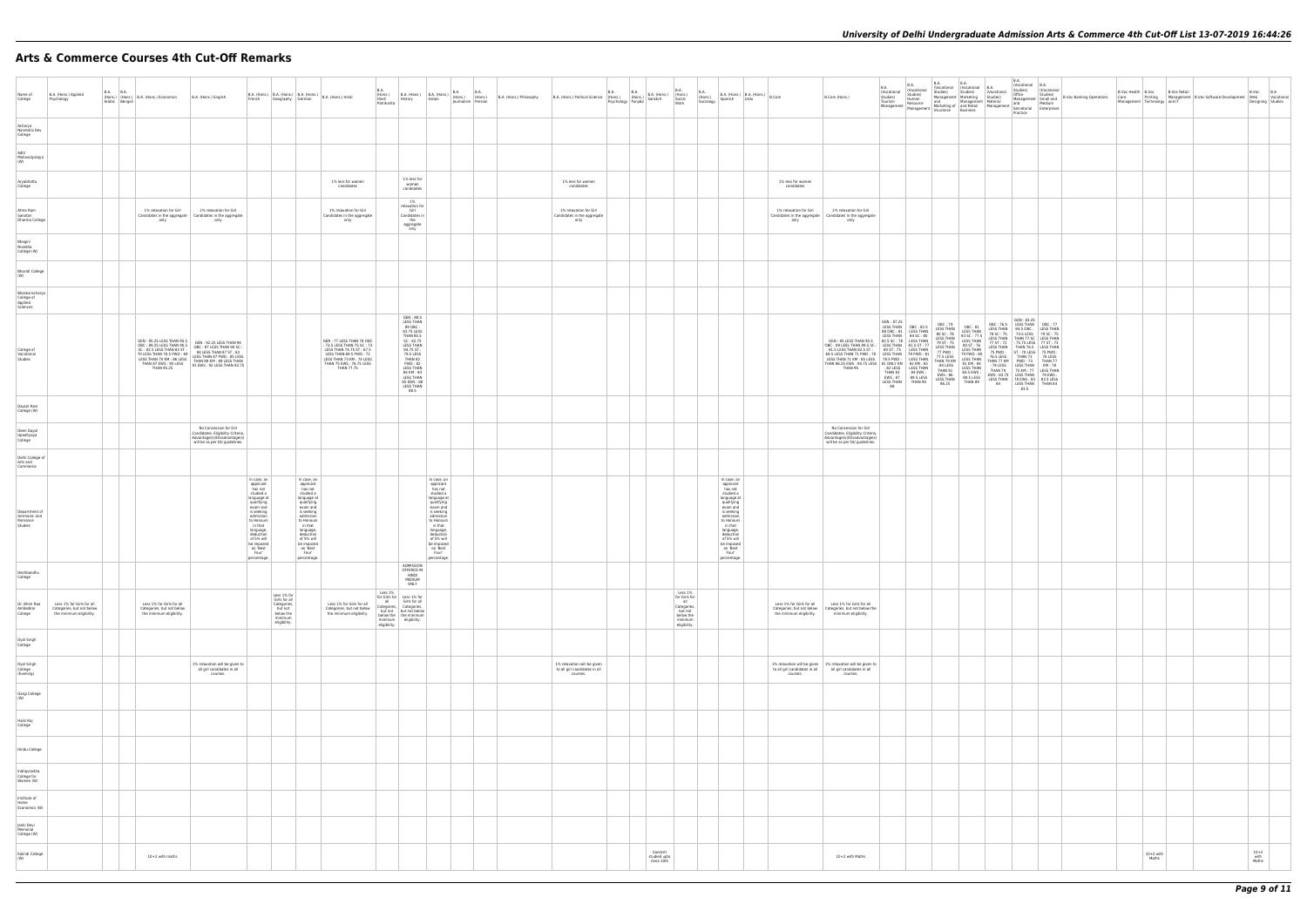# **Arts & Commerce Courses 4th Cut-Off Remarks**

| Name of<br>College                                  | B.A. (Hons.) Applied<br>Psychology                                                 | <b>B.A. B.A.</b><br>Arabic Bengali | (Hons.) (Hons.) B.A. (Hons.) Economics                                                                                                                                                                                                                             | B.A. (Hons.) English                                                                                                                         | French                                                                                                                                                                                                                                  | B.A. (Hons.) B.A. (Hons.) B.A. (Hons.) B.A. (Hons.) Hindi<br>Geography German                                                                                                                                                           |                                                                                                                                                                                           | <b>B.A.</b><br>(Hons.)<br>Hindi<br>Patrikarita | History                                                                                                                                                                                                                        | Italian                                                                                                                                                                                                                                 | B.A. (Hons.) B.A. (Hons.) B.A. B.A. B.A.<br>History Halian (Hons.) (Hons.)<br>Journalism Persian | B.A. (Hons.) Philosophy | B.A. (Hons.) Political Science (Hons.) B.A. (Hons.) B.A. (Hons.) (Hons.)<br>B.A. (Hons.) Political Science (Hons.) (Hons.) Sanskrit Social | <b>B.A.</b><br>Psychology Punjabi | B.A. |                                        | B.A.<br>Work                                                                                      | <b>B.A.</b><br>$\begin{array}{ c c c c c c c c c } \hline b.A. & \text{(Hons.)} & B.A. & \text{(Hons.)} & B.Com \\ \hline \end{array}$<br>Spanish<br>Sociology                                                                          | Urdu |                                                       | B.Com (Hons.)                                                                                                                                                                                                                                                                             | B.A.<br>(Vocational<br>Studies)<br>Tourism<br>Management Management Marketing of and Retail<br>Insurance Business                                                      | <b>B.A.</b><br>(Vocational<br>Studies)<br>Human<br>Resource | B.A.<br>(Vocational (Vocational<br>Studies) Studies)<br>Management   Marketing<br>and                                                                                                        | <b>B.A.</b><br>Managemer                                                                                                                                                                                                              |
|-----------------------------------------------------|------------------------------------------------------------------------------------|------------------------------------|--------------------------------------------------------------------------------------------------------------------------------------------------------------------------------------------------------------------------------------------------------------------|----------------------------------------------------------------------------------------------------------------------------------------------|-----------------------------------------------------------------------------------------------------------------------------------------------------------------------------------------------------------------------------------------|-----------------------------------------------------------------------------------------------------------------------------------------------------------------------------------------------------------------------------------------|-------------------------------------------------------------------------------------------------------------------------------------------------------------------------------------------|------------------------------------------------|--------------------------------------------------------------------------------------------------------------------------------------------------------------------------------------------------------------------------------|-----------------------------------------------------------------------------------------------------------------------------------------------------------------------------------------------------------------------------------------|--------------------------------------------------------------------------------------------------|-------------------------|--------------------------------------------------------------------------------------------------------------------------------------------|-----------------------------------|------|----------------------------------------|---------------------------------------------------------------------------------------------------|-----------------------------------------------------------------------------------------------------------------------------------------------------------------------------------------------------------------------------------------|------|-------------------------------------------------------|-------------------------------------------------------------------------------------------------------------------------------------------------------------------------------------------------------------------------------------------------------------------------------------------|------------------------------------------------------------------------------------------------------------------------------------------------------------------------|-------------------------------------------------------------|----------------------------------------------------------------------------------------------------------------------------------------------------------------------------------------------|---------------------------------------------------------------------------------------------------------------------------------------------------------------------------------------------------------------------------------------|
| Acharya<br>Narendra Dev<br>College                  |                                                                                    |                                    |                                                                                                                                                                                                                                                                    |                                                                                                                                              |                                                                                                                                                                                                                                         |                                                                                                                                                                                                                                         |                                                                                                                                                                                           |                                                |                                                                                                                                                                                                                                |                                                                                                                                                                                                                                         |                                                                                                  |                         |                                                                                                                                            |                                   |      |                                        |                                                                                                   |                                                                                                                                                                                                                                         |      |                                                       |                                                                                                                                                                                                                                                                                           |                                                                                                                                                                        |                                                             |                                                                                                                                                                                              |                                                                                                                                                                                                                                       |
| Aditi<br>Mahavidyalaya<br>(W)                       |                                                                                    |                                    |                                                                                                                                                                                                                                                                    |                                                                                                                                              |                                                                                                                                                                                                                                         |                                                                                                                                                                                                                                         |                                                                                                                                                                                           |                                                |                                                                                                                                                                                                                                |                                                                                                                                                                                                                                         |                                                                                                  |                         |                                                                                                                                            |                                   |      |                                        |                                                                                                   |                                                                                                                                                                                                                                         |      |                                                       |                                                                                                                                                                                                                                                                                           |                                                                                                                                                                        |                                                             |                                                                                                                                                                                              |                                                                                                                                                                                                                                       |
| Aryabhatta<br>College                               |                                                                                    |                                    |                                                                                                                                                                                                                                                                    |                                                                                                                                              |                                                                                                                                                                                                                                         |                                                                                                                                                                                                                                         | 1% less for women<br>candidates                                                                                                                                                           |                                                | 1% less for<br>women<br>candidates                                                                                                                                                                                             |                                                                                                                                                                                                                                         |                                                                                                  |                         | 1% less for women<br>candidates                                                                                                            |                                   |      |                                        |                                                                                                   |                                                                                                                                                                                                                                         |      | 1% less for women<br>candidates                       |                                                                                                                                                                                                                                                                                           |                                                                                                                                                                        |                                                             |                                                                                                                                                                                              |                                                                                                                                                                                                                                       |
| Atma Ram<br>Sanatan<br>Dharma College               |                                                                                    |                                    | 1% relaxation for Girl<br>only                                                                                                                                                                                                                                     | 1% relaxation for Girl<br>Candidates in the aggregate   Candidates in the aggregate<br>only                                                  |                                                                                                                                                                                                                                         |                                                                                                                                                                                                                                         | 1% relaxation for Girl<br>Candidates in the aggregate<br>only                                                                                                                             |                                                | 1%<br>relaxation for<br>Girl<br>Candidates in<br>the<br>aggregate<br>only                                                                                                                                                      |                                                                                                                                                                                                                                         |                                                                                                  |                         | 1% relaxation for Girl<br>Candidates in the aggregate<br>only                                                                              |                                   |      |                                        |                                                                                                   |                                                                                                                                                                                                                                         |      | 1% relaxation for Girl<br>only                        | 1% relaxation for Girl<br>Candidates in the aggregate   Candidates in the aggregate<br>only                                                                                                                                                                                               |                                                                                                                                                                        |                                                             |                                                                                                                                                                                              |                                                                                                                                                                                                                                       |
| Bhagini<br>Nivedita<br>College (W)                  |                                                                                    |                                    |                                                                                                                                                                                                                                                                    |                                                                                                                                              |                                                                                                                                                                                                                                         |                                                                                                                                                                                                                                         |                                                                                                                                                                                           |                                                |                                                                                                                                                                                                                                |                                                                                                                                                                                                                                         |                                                                                                  |                         |                                                                                                                                            |                                   |      |                                        |                                                                                                   |                                                                                                                                                                                                                                         |      |                                                       |                                                                                                                                                                                                                                                                                           |                                                                                                                                                                        |                                                             |                                                                                                                                                                                              |                                                                                                                                                                                                                                       |
| <b>Bharati College</b><br>(W)                       |                                                                                    |                                    |                                                                                                                                                                                                                                                                    |                                                                                                                                              |                                                                                                                                                                                                                                         |                                                                                                                                                                                                                                         |                                                                                                                                                                                           |                                                |                                                                                                                                                                                                                                |                                                                                                                                                                                                                                         |                                                                                                  |                         |                                                                                                                                            |                                   |      |                                        |                                                                                                   |                                                                                                                                                                                                                                         |      |                                                       |                                                                                                                                                                                                                                                                                           |                                                                                                                                                                        |                                                             |                                                                                                                                                                                              |                                                                                                                                                                                                                                       |
| Bhaskaracharya<br>College of<br>Applied<br>Sciences |                                                                                    |                                    |                                                                                                                                                                                                                                                                    |                                                                                                                                              |                                                                                                                                                                                                                                         |                                                                                                                                                                                                                                         |                                                                                                                                                                                           |                                                |                                                                                                                                                                                                                                |                                                                                                                                                                                                                                         |                                                                                                  |                         |                                                                                                                                            |                                   |      |                                        |                                                                                                   |                                                                                                                                                                                                                                         |      |                                                       |                                                                                                                                                                                                                                                                                           |                                                                                                                                                                        |                                                             |                                                                                                                                                                                              |                                                                                                                                                                                                                                       |
| College of<br>Vocational<br>Studies                 |                                                                                    |                                    | GEN: 95.25 LESS THAN 95.5<br>NUSSIBINATION CONTROL BETWEEN THAN BY SINCESS<br>TO LESS THAN 70 KM : 86 LESS<br>LESS THAN 70 KM : 86 LESS<br>THAN 87 FWS : 95 LESS<br>THAN 87 FWS : 95 LESS<br>PILM 87 FWAN 65 75<br>DIEWS : 92 LESS THAN 93.75<br><b>THAN 95.25</b> | GEN: 95.25 LESS THAN 95.5<br>OBC: 89.25 LESS THAN 90.5<br>SC: 82.5 LESS THAN 83 ST: OBC: 87 LESS THAN 90 SC:<br>SC: 82.5 LESS THAN 83 ST: 83 |                                                                                                                                                                                                                                         |                                                                                                                                                                                                                                         | GEN: 77 LESS THAN 78 OBC<br>: 73.5 LESS THAN 75 SC : 73<br>LESS THAN 74.75 ST: 67.5<br>LESS THAN 69.5 PWD: 72<br>LESS THAN 73 KM: 74 LESS<br>THAN 75 EWS: 76.75 LESS<br><b>THAN 77.75</b> |                                                | GEN: 88.5<br><b>LESS THAN</b><br>89 OBC:<br>83.75 LESS<br>THAN 85.5<br>SC: 82.75<br><b>LESS THAN</b><br>84.75 ST:<br>79.5 LESS<br>THAN 82<br>PWD:82<br><b>LESS THAN</b><br>84 KM: 84<br>85 EWS: 88<br><b>LESS THAN</b><br>88.5 |                                                                                                                                                                                                                                         |                                                                                                  |                         |                                                                                                                                            |                                   |      |                                        |                                                                                                   |                                                                                                                                                                                                                                         |      |                                                       | GEN: 95 LESS THAN 95.5<br>0BC: 89 LESS THAN 89.5 SC: LESS THAN 81.5 ST: 77<br>81.5 LESS THAN 82.5 ST: 80 ST: 75 LESS THAN<br>69.5 LESS THAN 71 PWD: 70 LESS THAN 79 PWD: 81<br>LESS THAN 71 KM: 85 LESS 78.5 PWD: LESS THAN<br>THAN 86.25 EWS: 94.75 LESS 81 ONLY KM 82 KM: 83<br>THAN 95 | GEN: 87.25<br>88 OBC: 81 LESS THAN<br>LESS THAN 84 SC: 80<br>82.5 SC: 78 LESS THAN<br>80 ST: 75 LESS THAN<br>: 82 LESS<br>THAN 83<br>EWS: 87<br><b>LESS THAN</b><br>88 | <b>LESS THAN</b><br>84 EWS :<br>89.5 LESS<br>THAN 90        | OBC: 79<br>LESS THAN 0BC: 82.5   UBC: 79<br>80 SC: 78<br><b>LESS THAN</b><br>79 ST: 75<br>77 PWD:<br>77.5 LESS<br>THAN 79 KM<br>: 80 LESS<br>THAN 81<br>EWS: 86<br><b>LESS THAN</b><br>86.25 | $\begin{array}{c} \text{OBC}:81 \\ \text{LESS THAN} \\ 83 \text{ SC}:77.5 \end{array}$<br><b>LESS THAN</b><br>80 ST: 76<br>LESS THAN<br>79 PWD: 80<br>LESS THAN<br>81 KM: 84<br><b>LESS THAN</b><br>84.5 EWS:<br>88.5 LESS<br>THAN 89 |
| Daulat Ram<br>College (W)                           |                                                                                    |                                    |                                                                                                                                                                                                                                                                    |                                                                                                                                              |                                                                                                                                                                                                                                         |                                                                                                                                                                                                                                         |                                                                                                                                                                                           |                                                |                                                                                                                                                                                                                                |                                                                                                                                                                                                                                         |                                                                                                  |                         |                                                                                                                                            |                                   |      |                                        |                                                                                                   |                                                                                                                                                                                                                                         |      |                                                       |                                                                                                                                                                                                                                                                                           |                                                                                                                                                                        |                                                             |                                                                                                                                                                                              |                                                                                                                                                                                                                                       |
| Deen Dayal<br>Upadhyaya<br>College                  |                                                                                    |                                    |                                                                                                                                                                                                                                                                    | No Concession for Girl<br>Candidates. Eligibility Criteria,<br>Advantage(s)/Disadvantage(s)<br>will be as per DU guidelines.                 |                                                                                                                                                                                                                                         |                                                                                                                                                                                                                                         |                                                                                                                                                                                           |                                                |                                                                                                                                                                                                                                |                                                                                                                                                                                                                                         |                                                                                                  |                         |                                                                                                                                            |                                   |      |                                        |                                                                                                   |                                                                                                                                                                                                                                         |      |                                                       | No Concession for Girl<br>Candidates. Eligibility Criteria,<br>Advantage(s)/Disadvantage(s)<br>will be as per DU guidelines.                                                                                                                                                              |                                                                                                                                                                        |                                                             |                                                                                                                                                                                              |                                                                                                                                                                                                                                       |
| Delhi College of<br>Arts and<br>Commerce            |                                                                                    |                                    |                                                                                                                                                                                                                                                                    |                                                                                                                                              |                                                                                                                                                                                                                                         |                                                                                                                                                                                                                                         |                                                                                                                                                                                           |                                                |                                                                                                                                                                                                                                |                                                                                                                                                                                                                                         |                                                                                                  |                         |                                                                                                                                            |                                   |      |                                        |                                                                                                   |                                                                                                                                                                                                                                         |      |                                                       |                                                                                                                                                                                                                                                                                           |                                                                                                                                                                        |                                                             |                                                                                                                                                                                              |                                                                                                                                                                                                                                       |
| Department of<br>Germanic and<br>Romance<br>Studies |                                                                                    |                                    |                                                                                                                                                                                                                                                                    |                                                                                                                                              | In case, an<br>applicant<br>has not<br>studied a<br>language at<br>qualifying<br>exam and<br>is seeking<br>admission<br>to Honours<br>in that<br>language,<br>deduction<br>of 5% will<br>be imposed<br>on 'Best<br>Four'<br>percentage. | In case, an<br>applicant<br>has not<br>studied a<br>language at<br>qualifying<br>exam and<br>is seeking<br>admission<br>to Honours<br>in that<br>language,<br>deduction<br>of 5% will<br>be imposed<br>on 'Best<br>Four'<br>percentage. |                                                                                                                                                                                           |                                                |                                                                                                                                                                                                                                | In case, an<br>applicant<br>has not<br>studied a<br>language at<br>qualifying<br>exam and<br>is seeking<br>admission<br>to Honours<br>in that<br>language,<br>deduction<br>of 5% will<br>be imposed<br>on 'Best<br>Four'<br>percentage. |                                                                                                  |                         |                                                                                                                                            |                                   |      |                                        |                                                                                                   | In case, an<br>applicant<br>has not<br>studied a<br>language at<br>qualifying<br>exam and<br>is seeking<br>admission<br>to Honours<br>in that<br>language,<br>deduction<br>of 5% will<br>be imposed<br>on 'Best<br>Four'<br>percentage. |      |                                                       |                                                                                                                                                                                                                                                                                           |                                                                                                                                                                        |                                                             |                                                                                                                                                                                              |                                                                                                                                                                                                                                       |
| Deshbandhu<br>College                               |                                                                                    |                                    |                                                                                                                                                                                                                                                                    |                                                                                                                                              |                                                                                                                                                                                                                                         |                                                                                                                                                                                                                                         |                                                                                                                                                                                           |                                                | ADMISSION<br>OFFERED IN<br>HINDI<br>MEDIUM<br>ONLY                                                                                                                                                                             |                                                                                                                                                                                                                                         |                                                                                                  |                         |                                                                                                                                            |                                   |      |                                        |                                                                                                   |                                                                                                                                                                                                                                         |      |                                                       |                                                                                                                                                                                                                                                                                           |                                                                                                                                                                        |                                                             |                                                                                                                                                                                              |                                                                                                                                                                                                                                       |
| Dr. Bhim Rao<br>Ambedkar<br>College                 | Less 1% for Girls for all<br>Categories, but not below<br>the minimum eligibility. |                                    | Less 1% for Girls for all<br>Categories, but not below<br>the minimum eligibility.                                                                                                                                                                                 |                                                                                                                                              |                                                                                                                                                                                                                                         | Less 1% for<br>Girls for all<br>Categories,<br>but not<br>below the<br>minimum<br>eligibility.                                                                                                                                          | Less 1% for Girls for all<br>Categories, but not below<br>the minimum eligibility.                                                                                                        | Less 1%<br>all<br>eligibility.                 | for Girls for Less 1% for<br>Girls for all<br>Categories, Categories,<br>but not but not below<br>below the the minimum<br>minimum eligibility.                                                                                |                                                                                                                                                                                                                                         |                                                                                                  |                         |                                                                                                                                            |                                   |      |                                        | Less 1%<br>for Girls for<br>all<br>Categories,<br>but not<br>below the<br>minimum<br>eligibility. |                                                                                                                                                                                                                                         |      | Less 1% for Girls for all<br>the minimum eligibility. | Less 1% for Girls for all<br>Categories, but not below Categories, but not below the<br>minimum eligibility.                                                                                                                                                                              |                                                                                                                                                                        |                                                             |                                                                                                                                                                                              |                                                                                                                                                                                                                                       |
| Dyal Singh<br>College                               |                                                                                    |                                    |                                                                                                                                                                                                                                                                    |                                                                                                                                              |                                                                                                                                                                                                                                         |                                                                                                                                                                                                                                         |                                                                                                                                                                                           |                                                |                                                                                                                                                                                                                                |                                                                                                                                                                                                                                         |                                                                                                  |                         |                                                                                                                                            |                                   |      |                                        |                                                                                                   |                                                                                                                                                                                                                                         |      |                                                       |                                                                                                                                                                                                                                                                                           |                                                                                                                                                                        |                                                             |                                                                                                                                                                                              |                                                                                                                                                                                                                                       |
| Dyal Singh<br>College<br>(Evening)                  |                                                                                    |                                    |                                                                                                                                                                                                                                                                    | 1% relaxation will be given to<br>all girl candidates in all<br>courses.                                                                     |                                                                                                                                                                                                                                         |                                                                                                                                                                                                                                         |                                                                                                                                                                                           |                                                |                                                                                                                                                                                                                                |                                                                                                                                                                                                                                         |                                                                                                  |                         | 1% relaxation will be given<br>to all girl candidates in all<br>courses.                                                                   |                                   |      |                                        |                                                                                                   |                                                                                                                                                                                                                                         |      | to all girl candidates in all<br>courses.             | 1% relaxation will be given 1% relaxation will be given to<br>all girl candidates in all<br>courses.                                                                                                                                                                                      |                                                                                                                                                                        |                                                             |                                                                                                                                                                                              |                                                                                                                                                                                                                                       |
| Gargi College<br>(W)                                |                                                                                    |                                    |                                                                                                                                                                                                                                                                    |                                                                                                                                              |                                                                                                                                                                                                                                         |                                                                                                                                                                                                                                         |                                                                                                                                                                                           |                                                |                                                                                                                                                                                                                                |                                                                                                                                                                                                                                         |                                                                                                  |                         |                                                                                                                                            |                                   |      |                                        |                                                                                                   |                                                                                                                                                                                                                                         |      |                                                       |                                                                                                                                                                                                                                                                                           |                                                                                                                                                                        |                                                             |                                                                                                                                                                                              |                                                                                                                                                                                                                                       |
| Hans Raj<br>College                                 |                                                                                    |                                    |                                                                                                                                                                                                                                                                    |                                                                                                                                              |                                                                                                                                                                                                                                         |                                                                                                                                                                                                                                         |                                                                                                                                                                                           |                                                |                                                                                                                                                                                                                                |                                                                                                                                                                                                                                         |                                                                                                  |                         |                                                                                                                                            |                                   |      |                                        |                                                                                                   |                                                                                                                                                                                                                                         |      |                                                       |                                                                                                                                                                                                                                                                                           |                                                                                                                                                                        |                                                             |                                                                                                                                                                                              |                                                                                                                                                                                                                                       |
| Hindu College                                       |                                                                                    |                                    |                                                                                                                                                                                                                                                                    |                                                                                                                                              |                                                                                                                                                                                                                                         |                                                                                                                                                                                                                                         |                                                                                                                                                                                           |                                                |                                                                                                                                                                                                                                |                                                                                                                                                                                                                                         |                                                                                                  |                         |                                                                                                                                            |                                   |      |                                        |                                                                                                   |                                                                                                                                                                                                                                         |      |                                                       |                                                                                                                                                                                                                                                                                           |                                                                                                                                                                        |                                                             |                                                                                                                                                                                              |                                                                                                                                                                                                                                       |
| Indraprastha<br>College for<br>Women (W)            |                                                                                    |                                    |                                                                                                                                                                                                                                                                    |                                                                                                                                              |                                                                                                                                                                                                                                         |                                                                                                                                                                                                                                         |                                                                                                                                                                                           |                                                |                                                                                                                                                                                                                                |                                                                                                                                                                                                                                         |                                                                                                  |                         |                                                                                                                                            |                                   |      |                                        |                                                                                                   |                                                                                                                                                                                                                                         |      |                                                       |                                                                                                                                                                                                                                                                                           |                                                                                                                                                                        |                                                             |                                                                                                                                                                                              |                                                                                                                                                                                                                                       |
| Institute of<br>Home<br>Economics (W)               |                                                                                    |                                    |                                                                                                                                                                                                                                                                    |                                                                                                                                              |                                                                                                                                                                                                                                         |                                                                                                                                                                                                                                         |                                                                                                                                                                                           |                                                |                                                                                                                                                                                                                                |                                                                                                                                                                                                                                         |                                                                                                  |                         |                                                                                                                                            |                                   |      |                                        |                                                                                                   |                                                                                                                                                                                                                                         |      |                                                       |                                                                                                                                                                                                                                                                                           |                                                                                                                                                                        |                                                             |                                                                                                                                                                                              |                                                                                                                                                                                                                                       |
| Janki Devi<br>Memorial<br>College (W)               |                                                                                    |                                    |                                                                                                                                                                                                                                                                    |                                                                                                                                              |                                                                                                                                                                                                                                         |                                                                                                                                                                                                                                         |                                                                                                                                                                                           |                                                |                                                                                                                                                                                                                                |                                                                                                                                                                                                                                         |                                                                                                  |                         |                                                                                                                                            |                                   |      |                                        |                                                                                                   |                                                                                                                                                                                                                                         |      |                                                       |                                                                                                                                                                                                                                                                                           |                                                                                                                                                                        |                                                             |                                                                                                                                                                                              |                                                                                                                                                                                                                                       |
| Kalindi College<br>(W)                              |                                                                                    |                                    | 10+2 with maths                                                                                                                                                                                                                                                    |                                                                                                                                              |                                                                                                                                                                                                                                         |                                                                                                                                                                                                                                         |                                                                                                                                                                                           |                                                |                                                                                                                                                                                                                                |                                                                                                                                                                                                                                         |                                                                                                  |                         |                                                                                                                                            |                                   |      | Sanskrit<br>studied upto<br>class 10th |                                                                                                   |                                                                                                                                                                                                                                         |      |                                                       | 10+2 with Maths                                                                                                                                                                                                                                                                           |                                                                                                                                                                        |                                                             |                                                                                                                                                                                              |                                                                                                                                                                                                                                       |

| B.A.<br>(Vocational<br>Studies)<br>Material<br>Management                                                                                                                                         | B.A.<br>(Vocational<br>Studies)<br>Office<br>Management<br>and<br>Secretarial<br>Practice                                                                                                       | B.A.<br>(Vocational<br>Studies)<br>Small and<br>Medium<br>Enterprises                                                                                                               | <b>B.Voc Banking Operations</b> | <b>B.Voc Health</b><br>Care<br>Management Technology | B.Voc<br>Printing    | <b>B.Voc Retail</b><br>Management<br>and IT | <b>B.Voc Software Development</b> | B.Voc<br>Web<br>Designing | B.A<br>Vocational<br>Studies |
|---------------------------------------------------------------------------------------------------------------------------------------------------------------------------------------------------|-------------------------------------------------------------------------------------------------------------------------------------------------------------------------------------------------|-------------------------------------------------------------------------------------------------------------------------------------------------------------------------------------|---------------------------------|------------------------------------------------------|----------------------|---------------------------------------------|-----------------------------------|---------------------------|------------------------------|
|                                                                                                                                                                                                   |                                                                                                                                                                                                 |                                                                                                                                                                                     |                                 |                                                      |                      |                                             |                                   |                           |                              |
|                                                                                                                                                                                                   |                                                                                                                                                                                                 |                                                                                                                                                                                     |                                 |                                                      |                      |                                             |                                   |                           |                              |
|                                                                                                                                                                                                   |                                                                                                                                                                                                 |                                                                                                                                                                                     |                                 |                                                      |                      |                                             |                                   |                           |                              |
|                                                                                                                                                                                                   |                                                                                                                                                                                                 |                                                                                                                                                                                     |                                 |                                                      |                      |                                             |                                   |                           |                              |
|                                                                                                                                                                                                   |                                                                                                                                                                                                 |                                                                                                                                                                                     |                                 |                                                      |                      |                                             |                                   |                           |                              |
|                                                                                                                                                                                                   |                                                                                                                                                                                                 |                                                                                                                                                                                     |                                 |                                                      |                      |                                             |                                   |                           |                              |
|                                                                                                                                                                                                   |                                                                                                                                                                                                 |                                                                                                                                                                                     |                                 |                                                      |                      |                                             |                                   |                           |                              |
| OBC: 76.5<br>LESS THAN<br>78 SC: 75<br>78 SC : 75<br>The SS THAN<br>77 ST : 72<br>THAN<br>75 PWD :<br>76.5 LESS<br>THAN 77 KM<br>78 LESS<br>: 78 LESS<br>THAN 79<br>EWS: 83.75<br>LESS THAN<br>84 | GEN : 83.25<br>LESS THAN<br>84.5 OBC :<br>74.5 LESS<br>THAN 77 SC<br>THAN 76.5<br>ST : 70 LESS<br>THAN 73<br>PWD : 73<br>LESS THAN<br>75 KM: 77<br>LESS THAN<br>78 EWS: 83<br>LESS THAN<br>83.5 | OBC: 77<br>LESS THAN<br>79 SC: 75<br>19 SC : 75<br>LESS THAN<br>77 ST : 73<br>LESS THAN<br>75 PWD :<br>76 LESS<br>THAN 77<br>17M : 79<br>KM: 78<br>79 EWS :<br>83.5 LESS<br>THAN 84 |                                 |                                                      |                      |                                             |                                   |                           |                              |
|                                                                                                                                                                                                   |                                                                                                                                                                                                 |                                                                                                                                                                                     |                                 |                                                      |                      |                                             |                                   |                           |                              |
|                                                                                                                                                                                                   |                                                                                                                                                                                                 |                                                                                                                                                                                     |                                 |                                                      |                      |                                             |                                   |                           |                              |
|                                                                                                                                                                                                   |                                                                                                                                                                                                 |                                                                                                                                                                                     |                                 |                                                      |                      |                                             |                                   |                           |                              |
|                                                                                                                                                                                                   |                                                                                                                                                                                                 |                                                                                                                                                                                     |                                 |                                                      |                      |                                             |                                   |                           |                              |
|                                                                                                                                                                                                   |                                                                                                                                                                                                 |                                                                                                                                                                                     |                                 |                                                      |                      |                                             |                                   |                           |                              |
|                                                                                                                                                                                                   |                                                                                                                                                                                                 |                                                                                                                                                                                     |                                 |                                                      |                      |                                             |                                   |                           |                              |
|                                                                                                                                                                                                   |                                                                                                                                                                                                 |                                                                                                                                                                                     |                                 |                                                      |                      |                                             |                                   |                           |                              |
|                                                                                                                                                                                                   |                                                                                                                                                                                                 |                                                                                                                                                                                     |                                 |                                                      |                      |                                             |                                   |                           |                              |
|                                                                                                                                                                                                   |                                                                                                                                                                                                 |                                                                                                                                                                                     |                                 |                                                      |                      |                                             |                                   |                           |                              |
|                                                                                                                                                                                                   |                                                                                                                                                                                                 |                                                                                                                                                                                     |                                 |                                                      |                      |                                             |                                   |                           |                              |
|                                                                                                                                                                                                   |                                                                                                                                                                                                 |                                                                                                                                                                                     |                                 |                                                      |                      |                                             |                                   |                           |                              |
|                                                                                                                                                                                                   |                                                                                                                                                                                                 |                                                                                                                                                                                     |                                 |                                                      |                      |                                             |                                   |                           |                              |
|                                                                                                                                                                                                   |                                                                                                                                                                                                 |                                                                                                                                                                                     |                                 |                                                      |                      |                                             |                                   |                           |                              |
|                                                                                                                                                                                                   |                                                                                                                                                                                                 |                                                                                                                                                                                     |                                 |                                                      | $10+2$ with<br>Maths |                                             |                                   | $10 + 2$<br>with<br>Maths |                              |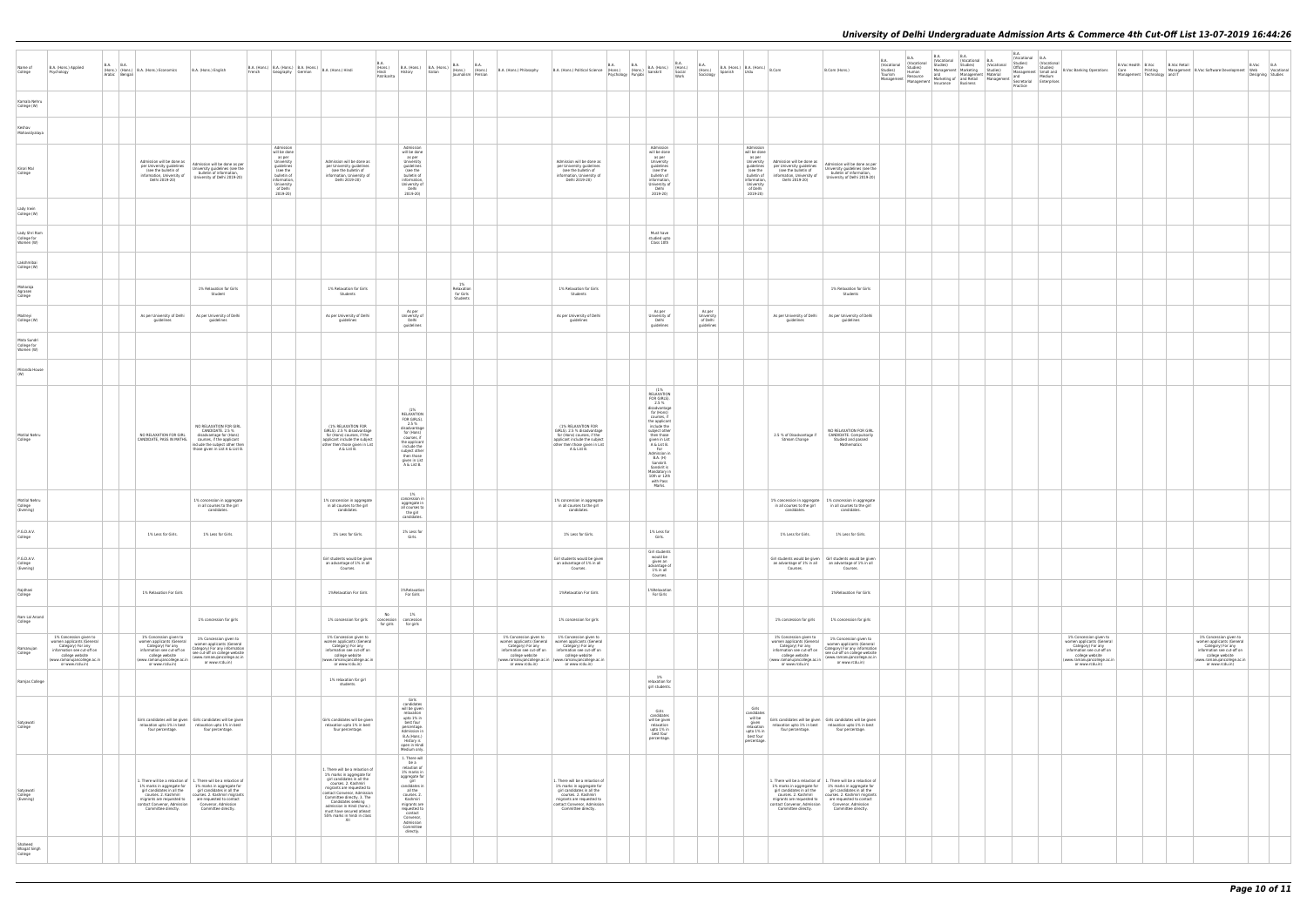| B.A.<br>(Vocational<br>Studies)<br>Material<br>Management | $\mathsf{B}.\mathsf{A}$<br>(Vocational<br>Studies)<br>Office<br>Management<br>and<br>Secretarial<br>Practice | B.A.<br>(Vocational<br>Studies)<br>Small and<br>Medium<br>Enterprises | <b>B.Voc Banking Operations</b>                                                                                                                                                | <b>B.Voc Health</b><br>Care<br>Management   Printing<br>Management   Technology | B.Voc | <b>B.Voc Retail</b><br>and IT | Management   B.Voc Software Development                                                                                                                                        | $\mathsf{B}.\mathsf{Voc}$<br>Web<br>Designing | $_{\rm B.A}$<br>Vocational<br>Studies |
|-----------------------------------------------------------|--------------------------------------------------------------------------------------------------------------|-----------------------------------------------------------------------|--------------------------------------------------------------------------------------------------------------------------------------------------------------------------------|---------------------------------------------------------------------------------|-------|-------------------------------|--------------------------------------------------------------------------------------------------------------------------------------------------------------------------------|-----------------------------------------------|---------------------------------------|
|                                                           |                                                                                                              |                                                                       |                                                                                                                                                                                |                                                                                 |       |                               |                                                                                                                                                                                |                                               |                                       |
|                                                           |                                                                                                              |                                                                       |                                                                                                                                                                                |                                                                                 |       |                               |                                                                                                                                                                                |                                               |                                       |
|                                                           |                                                                                                              |                                                                       |                                                                                                                                                                                |                                                                                 |       |                               |                                                                                                                                                                                |                                               |                                       |
|                                                           |                                                                                                              |                                                                       |                                                                                                                                                                                |                                                                                 |       |                               |                                                                                                                                                                                |                                               |                                       |
|                                                           |                                                                                                              |                                                                       |                                                                                                                                                                                |                                                                                 |       |                               |                                                                                                                                                                                |                                               |                                       |
|                                                           |                                                                                                              |                                                                       |                                                                                                                                                                                |                                                                                 |       |                               |                                                                                                                                                                                |                                               |                                       |
|                                                           |                                                                                                              |                                                                       |                                                                                                                                                                                |                                                                                 |       |                               |                                                                                                                                                                                |                                               |                                       |
|                                                           |                                                                                                              |                                                                       |                                                                                                                                                                                |                                                                                 |       |                               |                                                                                                                                                                                |                                               |                                       |
|                                                           |                                                                                                              |                                                                       |                                                                                                                                                                                |                                                                                 |       |                               |                                                                                                                                                                                |                                               |                                       |
|                                                           |                                                                                                              |                                                                       |                                                                                                                                                                                |                                                                                 |       |                               |                                                                                                                                                                                |                                               |                                       |
|                                                           |                                                                                                              |                                                                       |                                                                                                                                                                                |                                                                                 |       |                               |                                                                                                                                                                                |                                               |                                       |
|                                                           |                                                                                                              |                                                                       |                                                                                                                                                                                |                                                                                 |       |                               |                                                                                                                                                                                |                                               |                                       |
|                                                           |                                                                                                              |                                                                       |                                                                                                                                                                                |                                                                                 |       |                               |                                                                                                                                                                                |                                               |                                       |
|                                                           |                                                                                                              |                                                                       |                                                                                                                                                                                |                                                                                 |       |                               |                                                                                                                                                                                |                                               |                                       |
|                                                           |                                                                                                              |                                                                       |                                                                                                                                                                                |                                                                                 |       |                               |                                                                                                                                                                                |                                               |                                       |
|                                                           |                                                                                                              |                                                                       |                                                                                                                                                                                |                                                                                 |       |                               |                                                                                                                                                                                |                                               |                                       |
|                                                           |                                                                                                              |                                                                       |                                                                                                                                                                                |                                                                                 |       |                               |                                                                                                                                                                                |                                               |                                       |
|                                                           |                                                                                                              |                                                                       |                                                                                                                                                                                |                                                                                 |       |                               |                                                                                                                                                                                |                                               |                                       |
|                                                           |                                                                                                              |                                                                       |                                                                                                                                                                                |                                                                                 |       |                               |                                                                                                                                                                                |                                               |                                       |
|                                                           |                                                                                                              |                                                                       |                                                                                                                                                                                |                                                                                 |       |                               |                                                                                                                                                                                |                                               |                                       |
|                                                           |                                                                                                              |                                                                       | $1\%$ Concession given to<br>women applicants (General<br>Category) For any<br>information see cut-off on<br>college website<br>(www.ramanujancollege.ac.in<br>or www.rcdu.in) |                                                                                 |       |                               | $1\%$ Concession given to<br>women applicants (General<br>Category) For any<br>information see cut-off on<br>college website<br>(www.ramanujancollege.ac.in<br>or www.rcdu.in) |                                               |                                       |
|                                                           |                                                                                                              |                                                                       |                                                                                                                                                                                |                                                                                 |       |                               |                                                                                                                                                                                |                                               |                                       |
|                                                           |                                                                                                              |                                                                       |                                                                                                                                                                                |                                                                                 |       |                               |                                                                                                                                                                                |                                               |                                       |
|                                                           |                                                                                                              |                                                                       |                                                                                                                                                                                |                                                                                 |       |                               |                                                                                                                                                                                |                                               |                                       |
|                                                           |                                                                                                              |                                                                       |                                                                                                                                                                                |                                                                                 |       |                               |                                                                                                                                                                                |                                               |                                       |
|                                                           |                                                                                                              |                                                                       |                                                                                                                                                                                |                                                                                 |       |                               |                                                                                                                                                                                |                                               |                                       |
|                                                           |                                                                                                              |                                                                       |                                                                                                                                                                                |                                                                                 |       |                               |                                                                                                                                                                                |                                               |                                       |
|                                                           |                                                                                                              |                                                                       |                                                                                                                                                                                |                                                                                 |       |                               |                                                                                                                                                                                |                                               |                                       |
|                                                           |                                                                                                              |                                                                       |                                                                                                                                                                                |                                                                                 |       |                               |                                                                                                                                                                                |                                               |                                       |

| Name of<br>College                        | B.A. (Hons.) Applied<br>Psychology                                                                                                                                          | B.A. | <b>B.A.</b><br>Arabic Bengali | (Hons.) (Hons.) B.A. (Hons.) Economics                                                                                                                                      | B.A. (Hons.) English<br>French                                                                                                                                                                                                                                  | Geography German                                                                                                                                 | B.A. (Hons.) B.A. (Hons.) B.A. (Hons.) B.A. (Hons.) Hindi                                                                                                                                                                                                                                                                           | <b>B.A.</b><br>(Hons.)<br>Hindi<br>Patrikarita | History                                                                                                                                                                                                                                                                                   | B.A. (Hons.) B.A. (Hons.)<br>Italian | B.A.<br>(Hons.)<br>Journalism Persian     | <b>B.A.</b><br>(Hons.) | B.A. (Hons.) Philosophy                                                                                                                                                     | B.A. (Hons.) Political Science (Hons.)                                                                                                                                                                | <b>B.A.</b> | <b>B.A.</b><br>(Hons.)<br>Psychology Punjabi | B.A. (Hons.)<br>Sanskrit                                                                                                                                                                                                                                                                                   | B.A.<br>(Hons.)<br>Social<br>Work | <b>B.A.</b><br>(Hons.)<br>Sociology            | Spanish | $\Big $ B.A. (Hons.) $\Big $ B.A. (Hons.) $\Big $ B.Com<br>Urdu                                                                                  |                                                                                                                                                                             | B.Com (Hons.)                                                                                                                                                                                                                         | B.A.<br>(Vocational<br>Studies)<br>Tourism<br>Management | <b>B.A.</b><br>(Vocational<br>Studies)<br>Human<br>Resource<br>Management | B.A.<br>Studies)<br>Insurance | B.A.<br>(Vocational (Vocational<br>Studies)<br>Management   Marketing<br>and Management<br>Marketing of and Retail<br>Business |
|-------------------------------------------|-----------------------------------------------------------------------------------------------------------------------------------------------------------------------------|------|-------------------------------|-----------------------------------------------------------------------------------------------------------------------------------------------------------------------------|-----------------------------------------------------------------------------------------------------------------------------------------------------------------------------------------------------------------------------------------------------------------|--------------------------------------------------------------------------------------------------------------------------------------------------|-------------------------------------------------------------------------------------------------------------------------------------------------------------------------------------------------------------------------------------------------------------------------------------------------------------------------------------|------------------------------------------------|-------------------------------------------------------------------------------------------------------------------------------------------------------------------------------------------------------------------------------------------------------------------------------------------|--------------------------------------|-------------------------------------------|------------------------|-----------------------------------------------------------------------------------------------------------------------------------------------------------------------------|-------------------------------------------------------------------------------------------------------------------------------------------------------------------------------------------------------|-------------|----------------------------------------------|------------------------------------------------------------------------------------------------------------------------------------------------------------------------------------------------------------------------------------------------------------------------------------------------------------|-----------------------------------|------------------------------------------------|---------|--------------------------------------------------------------------------------------------------------------------------------------------------|-----------------------------------------------------------------------------------------------------------------------------------------------------------------------------|---------------------------------------------------------------------------------------------------------------------------------------------------------------------------------------------------------------------------------------|----------------------------------------------------------|---------------------------------------------------------------------------|-------------------------------|--------------------------------------------------------------------------------------------------------------------------------|
| Kamala Nehru<br>College (W)               |                                                                                                                                                                             |      |                               |                                                                                                                                                                             |                                                                                                                                                                                                                                                                 |                                                                                                                                                  |                                                                                                                                                                                                                                                                                                                                     |                                                |                                                                                                                                                                                                                                                                                           |                                      |                                           |                        |                                                                                                                                                                             |                                                                                                                                                                                                       |             |                                              |                                                                                                                                                                                                                                                                                                            |                                   |                                                |         |                                                                                                                                                  |                                                                                                                                                                             |                                                                                                                                                                                                                                       |                                                          |                                                                           |                               |                                                                                                                                |
| Keshav<br>Mahavidyalaya                   |                                                                                                                                                                             |      |                               |                                                                                                                                                                             |                                                                                                                                                                                                                                                                 |                                                                                                                                                  |                                                                                                                                                                                                                                                                                                                                     |                                                |                                                                                                                                                                                                                                                                                           |                                      |                                           |                        |                                                                                                                                                                             |                                                                                                                                                                                                       |             |                                              |                                                                                                                                                                                                                                                                                                            |                                   |                                                |         |                                                                                                                                                  |                                                                                                                                                                             |                                                                                                                                                                                                                                       |                                                          |                                                                           |                               |                                                                                                                                |
| Kirori Mal<br>College                     |                                                                                                                                                                             |      |                               | Admission will be done as<br>per University guidelines<br>(see the bulletin of<br>information, University of<br>Delhi 2019-20)                                              | Admission will be done as per<br>University guidelines (see the<br>bulletin of information.<br>University of Delhi 2019-20)                                                                                                                                     | Admission<br>will be done<br>as per<br>University<br>guidelines<br>(see the<br>bulletin of<br>information,<br>University<br>of Delhi<br>2019-20) | Admission will be done as<br>per University guidelines<br>(see the bulletin of<br>information, University of<br>Delhi 2019-20)                                                                                                                                                                                                      |                                                | Admission<br>will be done<br>as per<br>University<br>guidelines<br>(see the<br>bulletin of<br>information.<br>University of<br>Delhi<br>2019-20)                                                                                                                                          |                                      |                                           |                        |                                                                                                                                                                             | Admission will be done as<br>per University guidelines<br>(see the bulletin of<br>information, University of<br>Delhi 2019-20)                                                                        |             |                                              | Admission<br>will be done<br>as per<br>University<br>guidelines<br>(see the<br>bulletin of<br>information<br>University of<br>Delhi<br>2019-20)                                                                                                                                                            |                                   |                                                |         | Admission<br>will be done<br>as per<br>University<br>quidelines<br>(see the<br>bulletin of<br>information,<br>University<br>of Delhi<br>2019-20) | Admission will be done as<br>per University guidelines<br>(see the bulletin of<br>information, University of<br>Delhi 2019-20)                                              | Admission will be done as per<br>University guidelines (see the<br>bulletin of information,<br>University of Delhi 2019-20)                                                                                                           |                                                          |                                                                           |                               |                                                                                                                                |
| Lady Irwin<br>College (W)                 |                                                                                                                                                                             |      |                               |                                                                                                                                                                             |                                                                                                                                                                                                                                                                 |                                                                                                                                                  |                                                                                                                                                                                                                                                                                                                                     |                                                |                                                                                                                                                                                                                                                                                           |                                      |                                           |                        |                                                                                                                                                                             |                                                                                                                                                                                                       |             |                                              |                                                                                                                                                                                                                                                                                                            |                                   |                                                |         |                                                                                                                                                  |                                                                                                                                                                             |                                                                                                                                                                                                                                       |                                                          |                                                                           |                               |                                                                                                                                |
| Lady Shri Ram<br>College for<br>Women (W) |                                                                                                                                                                             |      |                               |                                                                                                                                                                             |                                                                                                                                                                                                                                                                 |                                                                                                                                                  |                                                                                                                                                                                                                                                                                                                                     |                                                |                                                                                                                                                                                                                                                                                           |                                      |                                           |                        |                                                                                                                                                                             |                                                                                                                                                                                                       |             |                                              | Must have<br>studied upto<br>Class 10th                                                                                                                                                                                                                                                                    |                                   |                                                |         |                                                                                                                                                  |                                                                                                                                                                             |                                                                                                                                                                                                                                       |                                                          |                                                                           |                               |                                                                                                                                |
| Lakshmibai<br>College (W)                 |                                                                                                                                                                             |      |                               |                                                                                                                                                                             |                                                                                                                                                                                                                                                                 |                                                                                                                                                  |                                                                                                                                                                                                                                                                                                                                     |                                                |                                                                                                                                                                                                                                                                                           |                                      |                                           |                        |                                                                                                                                                                             |                                                                                                                                                                                                       |             |                                              |                                                                                                                                                                                                                                                                                                            |                                   |                                                |         |                                                                                                                                                  |                                                                                                                                                                             |                                                                                                                                                                                                                                       |                                                          |                                                                           |                               |                                                                                                                                |
| Maharaja<br>Agrasen<br>College            |                                                                                                                                                                             |      |                               |                                                                                                                                                                             | 1% Relaxation for Girls<br>Student                                                                                                                                                                                                                              |                                                                                                                                                  | 1% Relaxation for Girls<br>Students                                                                                                                                                                                                                                                                                                 |                                                |                                                                                                                                                                                                                                                                                           |                                      | 1%<br>Relaxation<br>for Girls<br>Students |                        |                                                                                                                                                                             | 1% Relaxation for Girls<br>Students                                                                                                                                                                   |             |                                              |                                                                                                                                                                                                                                                                                                            |                                   |                                                |         |                                                                                                                                                  |                                                                                                                                                                             | 1% Relaxation for Girls<br>Students                                                                                                                                                                                                   |                                                          |                                                                           |                               |                                                                                                                                |
| Maitrevi<br>College (W)                   |                                                                                                                                                                             |      |                               | As per University of Delhi<br>quidelines                                                                                                                                    | As per University of Delhi<br>guidelines                                                                                                                                                                                                                        |                                                                                                                                                  | As per University of Delhi<br>guidelines                                                                                                                                                                                                                                                                                            |                                                | As per<br>University of<br>Delhi<br>guidelines                                                                                                                                                                                                                                            |                                      |                                           |                        |                                                                                                                                                                             | As per University of Delhi<br>guidelines                                                                                                                                                              |             |                                              | As per<br>University of<br>Delhi<br>guidelines                                                                                                                                                                                                                                                             |                                   | As per<br>University<br>of Delhi<br>guidelines |         |                                                                                                                                                  | As per University of Delhi<br>quidelines                                                                                                                                    | As per University of Delhi<br>guidelines                                                                                                                                                                                              |                                                          |                                                                           |                               |                                                                                                                                |
| Mata Sundri<br>College for<br>Women (W)   |                                                                                                                                                                             |      |                               |                                                                                                                                                                             |                                                                                                                                                                                                                                                                 |                                                                                                                                                  |                                                                                                                                                                                                                                                                                                                                     |                                                |                                                                                                                                                                                                                                                                                           |                                      |                                           |                        |                                                                                                                                                                             |                                                                                                                                                                                                       |             |                                              |                                                                                                                                                                                                                                                                                                            |                                   |                                                |         |                                                                                                                                                  |                                                                                                                                                                             |                                                                                                                                                                                                                                       |                                                          |                                                                           |                               |                                                                                                                                |
| Miranda House<br>(W)                      |                                                                                                                                                                             |      |                               |                                                                                                                                                                             |                                                                                                                                                                                                                                                                 |                                                                                                                                                  |                                                                                                                                                                                                                                                                                                                                     |                                                |                                                                                                                                                                                                                                                                                           |                                      |                                           |                        |                                                                                                                                                                             |                                                                                                                                                                                                       |             |                                              |                                                                                                                                                                                                                                                                                                            |                                   |                                                |         |                                                                                                                                                  |                                                                                                                                                                             |                                                                                                                                                                                                                                       |                                                          |                                                                           |                               |                                                                                                                                |
| Motilal Nehru<br>College                  |                                                                                                                                                                             |      |                               | NO RELAXATION FOR GIRL<br>CANDIDATE, PASS IN MATHS.                                                                                                                         | NO RELAXATION FOR GIRL<br>CANDIDATE. 2.5 %<br>disadvantage for (Hons)<br>courses, if the applicant<br>include the subject other then<br>those given in List A & List B.                                                                                         |                                                                                                                                                  | (1% RELAXATION FOR<br>GIRLS). 2.5 % disadvantage<br>for (Hons) courses, if the<br>applicant include the subject<br>other then those given in List<br>A & List B.                                                                                                                                                                    |                                                | (1%<br>RELAXATION<br>FOR GIRLS).<br>2.5%<br>disadvantage<br>for (Hons)<br>courses, if<br>the applicant<br>include the<br>subject other<br>then those<br>given in List<br>A & List B.                                                                                                      |                                      |                                           |                        |                                                                                                                                                                             | (1% RELAXATION FOR<br>GIRLS). 2.5 % disadvantage<br>for (Hons) courses, if the<br>applicant include the subject<br>other then those given in List<br>A & List B.                                      |             |                                              | (1%<br>RELAXATION<br>FOR GIRLS).<br>2.5%<br>disadvantage<br>for (Hons)<br>courses, if<br>the applicant<br>include the<br>subject other<br>then those<br>given in List<br>A & List B.<br>For<br>Admission in<br>B.A. (H)<br>Sanskrit.<br>Sanskrit is<br>Mandatory in<br>10th or 12th<br>with Pass<br>Marks. |                                   |                                                |         |                                                                                                                                                  | 2.5 % of Disadvantage if<br>Stream Change                                                                                                                                   | NO RELAXATION FOR GIRL<br>CANDIDATE. Compulsorily<br>Studied and passed<br>Mathematics                                                                                                                                                |                                                          |                                                                           |                               |                                                                                                                                |
| Motilal Nehru<br>College<br>(Evening)     |                                                                                                                                                                             |      |                               |                                                                                                                                                                             | 1% concession in aggregate<br>in all courses to the girl<br>candidates.                                                                                                                                                                                         |                                                                                                                                                  | 1% concession in aggregate<br>in all courses to the girl<br>candidates.                                                                                                                                                                                                                                                             |                                                | 1%<br>concession in<br>aggregate in<br>all courses to<br>the girl<br>candidates.                                                                                                                                                                                                          |                                      |                                           |                        |                                                                                                                                                                             | 1% concession in aggregate<br>in all courses to the girl<br>candidates.                                                                                                                               |             |                                              |                                                                                                                                                                                                                                                                                                            |                                   |                                                |         |                                                                                                                                                  | in all courses to the girl<br>candidates.                                                                                                                                   | 1% concession in aggregate 1% concession in aggregate<br>in all courses to the girl<br>candidates.                                                                                                                                    |                                                          |                                                                           |                               |                                                                                                                                |
| P.G.D.A.V.<br>College                     |                                                                                                                                                                             |      |                               | 1% Less for Girls.                                                                                                                                                          | 1% Less for Girls.                                                                                                                                                                                                                                              |                                                                                                                                                  | 1% Less for Girls.                                                                                                                                                                                                                                                                                                                  |                                                | 1% Less for<br>Girls.                                                                                                                                                                                                                                                                     |                                      |                                           |                        |                                                                                                                                                                             | 1% Less for Girls.                                                                                                                                                                                    |             |                                              | 1% Less for<br>Girls.                                                                                                                                                                                                                                                                                      |                                   |                                                |         |                                                                                                                                                  | 1% Less for Girls.                                                                                                                                                          | 1% Less for Girls.                                                                                                                                                                                                                    |                                                          |                                                                           |                               |                                                                                                                                |
| P.G.D.A.V.<br>College<br>(Evening)        |                                                                                                                                                                             |      |                               |                                                                                                                                                                             |                                                                                                                                                                                                                                                                 |                                                                                                                                                  | Girl students would be given<br>an advantage of 1% in all<br>Courses.                                                                                                                                                                                                                                                               |                                                |                                                                                                                                                                                                                                                                                           |                                      |                                           |                        |                                                                                                                                                                             | Girl students would be given<br>an advantage of 1% in all<br>Courses.                                                                                                                                 |             |                                              | Girl students<br>would be<br>qiven an<br>advantage of<br>1% in all<br>Courses.                                                                                                                                                                                                                             |                                   |                                                |         |                                                                                                                                                  | an advantage of 1% in all<br>Courses.                                                                                                                                       | Girl students would be given Girl students would be given<br>an advantage of 1% in all<br>Courses.                                                                                                                                    |                                                          |                                                                           |                               |                                                                                                                                |
| Rajdhani<br>College                       |                                                                                                                                                                             |      |                               | 1% Relaxation For Girls                                                                                                                                                     |                                                                                                                                                                                                                                                                 |                                                                                                                                                  | 1% Relaxation For Girls                                                                                                                                                                                                                                                                                                             |                                                | 1%Relaxation<br>For Girls                                                                                                                                                                                                                                                                 |                                      |                                           |                        |                                                                                                                                                                             | 1%Relaxation For Girls                                                                                                                                                                                |             |                                              | 1%Relaxation<br>For Girls                                                                                                                                                                                                                                                                                  |                                   |                                                |         |                                                                                                                                                  |                                                                                                                                                                             | 1%Relaxation For Girls                                                                                                                                                                                                                |                                                          |                                                                           |                               |                                                                                                                                |
| Ram Lal Anand<br>College                  |                                                                                                                                                                             |      |                               |                                                                                                                                                                             | 1% concession for girls                                                                                                                                                                                                                                         |                                                                                                                                                  | 1% concession for girls                                                                                                                                                                                                                                                                                                             | No<br>concession<br>for girls                  | 1%<br>concession<br>for girls                                                                                                                                                                                                                                                             |                                      |                                           |                        |                                                                                                                                                                             | 1% concession for girls                                                                                                                                                                               |             |                                              |                                                                                                                                                                                                                                                                                                            |                                   |                                                |         |                                                                                                                                                  | 1% concession for girls                                                                                                                                                     | 1% concession for girls                                                                                                                                                                                                               |                                                          |                                                                           |                               |                                                                                                                                |
| Ramanujan<br>College                      | 1% Concession given to<br>women applicants (General<br>Category) For any<br>information see cut-off on<br>college website<br>(www.ramanujancollege.ac.in<br>or www.rcdu.in) |      |                               | 1% Concession given to<br>women applicants (General<br>Category) For any<br>information see cut-off on<br>college website<br>(www.ramanujancollege.ac.in<br>or www.rcdu.in) | 1% Concession given to<br>women applicants (General<br>Category) For any information<br>see cut-off on college website<br>(www.ramanujancollege.ac.in<br>or www.rcdu.in)                                                                                        |                                                                                                                                                  | 1% Concession given to<br>women applicants (General<br>Category) For any<br>information see cut-off on<br>college website<br>(www.ramanujancollege.ac.in<br>or www.rcdu.in)                                                                                                                                                         |                                                |                                                                                                                                                                                                                                                                                           |                                      |                                           |                        | 1% Concession given to<br>women applicants (General<br>Category) For any<br>information see cut-off on<br>college website<br>(www.ramanujancollege.ac.in<br>or www.rcdu.in) | 1% Concession given to<br>women applicants (General<br>Category) For any<br>information see cut-off on<br>college website<br>(www.ramanujancollege.ac.in<br>or www.rcdu.in)                           |             |                                              |                                                                                                                                                                                                                                                                                                            |                                   |                                                |         |                                                                                                                                                  | 1% Concession given to<br>women applicants (General<br>Category) For any<br>information see cut-off on<br>college website<br>(www.ramanujancollege.ac.in<br>or www.rcdu.in) | 1% Concession given to<br>women applicants (General<br>Category) For any information<br>see cut-off on college website<br>(www.ramanujancollege.ac.in<br>or www.rcdu.in)                                                              |                                                          |                                                                           |                               |                                                                                                                                |
| Ramjas College                            |                                                                                                                                                                             |      |                               |                                                                                                                                                                             |                                                                                                                                                                                                                                                                 |                                                                                                                                                  | 1% relaxation for girl<br>students.                                                                                                                                                                                                                                                                                                 |                                                |                                                                                                                                                                                                                                                                                           |                                      |                                           |                        |                                                                                                                                                                             |                                                                                                                                                                                                       |             |                                              | 1%<br>relaxation for<br>girl students.                                                                                                                                                                                                                                                                     |                                   |                                                |         |                                                                                                                                                  |                                                                                                                                                                             |                                                                                                                                                                                                                                       |                                                          |                                                                           |                               |                                                                                                                                |
| Satyawati<br>College                      |                                                                                                                                                                             |      |                               | four percentage.                                                                                                                                                            | Girls candidates will be given Girls candidates will be given<br>relaxation upto 1% in best relaxation upto 1% in best<br>four percentage.                                                                                                                      |                                                                                                                                                  | Girls candidates will be given<br>relaxation upto 1% in best<br>four percentage.                                                                                                                                                                                                                                                    |                                                | Girls<br>candidates<br>will be given<br>relaxation<br>upto 1% in<br>best four<br>percentage.<br>Admission in<br>B.A.(Hons.)<br>History is<br>open in Hindi<br>Medium only.                                                                                                                |                                      |                                           |                        |                                                                                                                                                                             |                                                                                                                                                                                                       |             |                                              | Girls<br>candidates<br>will be given<br>relaxation<br>upto 1% in<br>best four<br>percentage.                                                                                                                                                                                                               |                                   |                                                |         | Girls<br>candidates<br>will be<br>given<br>relaxation<br>upto 1% in<br>best four<br>percentage.                                                  | four percentage.                                                                                                                                                            | Girls candidates will be given Girls candidates will be given<br>relaxation upto 1% in best relaxation upto 1% in best<br>four percentage.                                                                                            |                                                          |                                                                           |                               |                                                                                                                                |
| Satyawati<br>College<br>(Evening)         |                                                                                                                                                                             |      |                               | girl candidates in all the<br>courses. 2. Kashmiri<br>migrants are requested to<br>contact Convenor, Admission<br>Committee directly.                                       | 1. There will be a relaxtion of 1. There will be a relaxtion of<br>1% marks in aggregate for 1% marks in aggregate for<br>girl candidates in all the<br>courses. 2. Kashmiri migrants<br>are requested to contact<br>Convenor, Admission<br>Committee directly. |                                                                                                                                                  | 1. There will be a relaxtion of<br>1% marks in aggregate for<br>girl candidates in all the<br>courses. 2. Kashmiri<br>migrants are requested to<br>contact Convenor, Admission<br>Committee directly. 3. The<br>Candidates seeking<br>admission in Hindi (hons.)<br>must have secured atleast<br>55% marks in hindi in class<br>XII |                                                | 1. There will<br>be a<br>relaxtion of<br>1% marks in<br>aggregate for<br>$\begin{array}{ c } \hline \text{girl} \\ \text{candidates in} \end{array}$<br>all the<br>courses. 2.<br>Kashmiri<br>migrants are<br>requested to<br>contact<br>Convenor,<br>Admission<br>Committee<br>directly. |                                      |                                           |                        |                                                                                                                                                                             | 1. There will be a relaxtion of<br>1% marks in aggregate for<br>girl candidates in all the<br>courses. 2. Kashmiri<br>migrants are requested to<br>contact Convenor, Admission<br>Committee directly. |             |                                              |                                                                                                                                                                                                                                                                                                            |                                   |                                                |         |                                                                                                                                                  | 1% marks in aggregate for<br>girl candidates in all the<br>courses. 2. Kashmiri<br>migrants are requested to<br>contact Convenor, Admission<br>Committee directly.          | 1. There will be a relaxtion of 1. There will be a relaxtion of<br>1% marks in aggregate for<br>girl candidates in all the<br>courses. 2. Kashmiri migrants<br>are requested to contact<br>Convenor, Admission<br>Committee directly. |                                                          |                                                                           |                               |                                                                                                                                |
| Shaheed<br><b>Bhagat Singh</b><br>College |                                                                                                                                                                             |      |                               |                                                                                                                                                                             |                                                                                                                                                                                                                                                                 |                                                                                                                                                  |                                                                                                                                                                                                                                                                                                                                     |                                                |                                                                                                                                                                                                                                                                                           |                                      |                                           |                        |                                                                                                                                                                             |                                                                                                                                                                                                       |             |                                              |                                                                                                                                                                                                                                                                                                            |                                   |                                                |         |                                                                                                                                                  |                                                                                                                                                                             |                                                                                                                                                                                                                                       |                                                          |                                                                           |                               |                                                                                                                                |